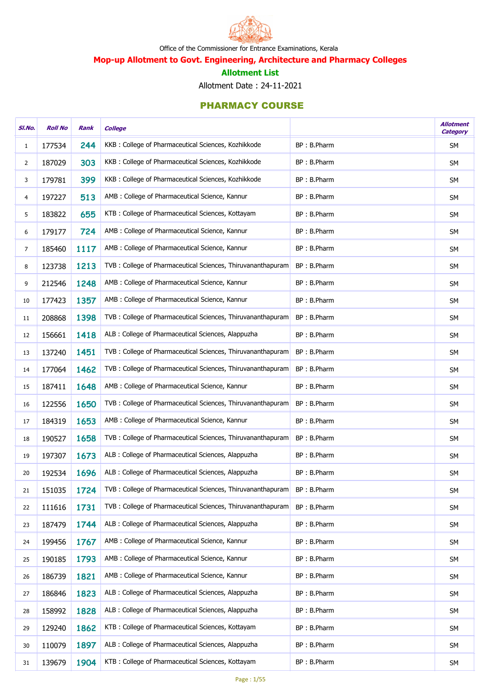

# Mop-up Allotment to Govt. Engineering, Architecture and Pharmacy Colleges

#### Allotment List

Allotment Date : 24-11-2021

| SI.No.         | <b>Roll No</b> | Rank | <b>College</b>                                               |             | <b>Allotment</b><br><b>Category</b> |
|----------------|----------------|------|--------------------------------------------------------------|-------------|-------------------------------------|
| $\mathbf{1}$   | 177534         | 244  | KKB: College of Pharmaceutical Sciences, Kozhikkode          | BP: B.Pharm | <b>SM</b>                           |
| $\overline{2}$ | 187029         | 303  | KKB: College of Pharmaceutical Sciences, Kozhikkode          | BP: B.Pharm | <b>SM</b>                           |
| 3              | 179781         | 399  | KKB: College of Pharmaceutical Sciences, Kozhikkode          | BP: B.Pharm | <b>SM</b>                           |
| 4              | 197227         | 513  | AMB : College of Pharmaceutical Science, Kannur              | BP: B.Pharm | <b>SM</b>                           |
| 5              | 183822         | 655  | KTB: College of Pharmaceutical Sciences, Kottayam            | BP: B.Pharm | <b>SM</b>                           |
| 6              | 179177         | 724  | AMB : College of Pharmaceutical Science, Kannur              | BP: B.Pharm | <b>SM</b>                           |
| $\overline{7}$ | 185460         | 1117 | AMB : College of Pharmaceutical Science, Kannur              | BP: B.Pharm | <b>SM</b>                           |
| 8              | 123738         | 1213 | TVB: College of Pharmaceutical Sciences, Thiruvananthapuram  | BP: B.Pharm | <b>SM</b>                           |
| 9              | 212546         | 1248 | AMB : College of Pharmaceutical Science, Kannur              | BP: B.Pharm | <b>SM</b>                           |
| 10             | 177423         | 1357 | AMB : College of Pharmaceutical Science, Kannur              | BP: B.Pharm | <b>SM</b>                           |
| 11             | 208868         | 1398 | TVB : College of Pharmaceutical Sciences, Thiruvananthapuram | BP: B.Pharm | <b>SM</b>                           |
| 12             | 156661         | 1418 | ALB : College of Pharmaceutical Sciences, Alappuzha          | BP: B.Pharm | <b>SM</b>                           |
| 13             | 137240         | 1451 | TVB: College of Pharmaceutical Sciences, Thiruvananthapuram  | BP: B.Pharm | <b>SM</b>                           |
| 14             | 177064         | 1462 | TVB: College of Pharmaceutical Sciences, Thiruvananthapuram  | BP: B.Pharm | <b>SM</b>                           |
| 15             | 187411         | 1648 | AMB : College of Pharmaceutical Science, Kannur              | BP: B.Pharm | <b>SM</b>                           |
| 16             | 122556         | 1650 | TVB: College of Pharmaceutical Sciences, Thiruvananthapuram  | BP: B.Pharm | <b>SM</b>                           |
| 17             | 184319         | 1653 | AMB : College of Pharmaceutical Science, Kannur              | BP: B.Pharm | <b>SM</b>                           |
| 18             | 190527         | 1658 | TVB : College of Pharmaceutical Sciences, Thiruvananthapuram | BP: B.Pharm | <b>SM</b>                           |
| 19             | 197307         | 1673 | ALB : College of Pharmaceutical Sciences, Alappuzha          | BP: B.Pharm | <b>SM</b>                           |
| 20             | 192534         | 1696 | ALB : College of Pharmaceutical Sciences, Alappuzha          | BP: B.Pharm | <b>SM</b>                           |
| 21             | 151035         | 1724 | TVB: College of Pharmaceutical Sciences, Thiruvananthapuram  | BP: B.Pharm | <b>SM</b>                           |
| 22             | 111616         | 1731 | TVB: College of Pharmaceutical Sciences, Thiruvananthapuram  | BP: B.Pharm | <b>SM</b>                           |
| 23             | 187479         | 1744 | ALB : College of Pharmaceutical Sciences, Alappuzha          | BP: B.Pharm | <b>SM</b>                           |
| 24             | 199456         | 1767 | AMB : College of Pharmaceutical Science, Kannur              | BP: B.Pharm | <b>SM</b>                           |
| 25             | 190185         | 1793 | AMB : College of Pharmaceutical Science, Kannur              | BP: B.Pharm | <b>SM</b>                           |
| 26             | 186739         | 1821 | AMB : College of Pharmaceutical Science, Kannur              | BP: B.Pharm | <b>SM</b>                           |
| 27             | 186846         | 1823 | ALB : College of Pharmaceutical Sciences, Alappuzha          | BP: B.Pharm | <b>SM</b>                           |
| 28             | 158992         | 1828 | ALB : College of Pharmaceutical Sciences, Alappuzha          | BP: B.Pharm | <b>SM</b>                           |
| 29             | 129240         | 1862 | KTB: College of Pharmaceutical Sciences, Kottayam            | BP: B.Pharm | <b>SM</b>                           |
| 30             | 110079         | 1897 | ALB : College of Pharmaceutical Sciences, Alappuzha          | BP: B.Pharm | <b>SM</b>                           |
| 31             | 139679         | 1904 | KTB: College of Pharmaceutical Sciences, Kottayam            | BP: B.Pharm | <b>SM</b>                           |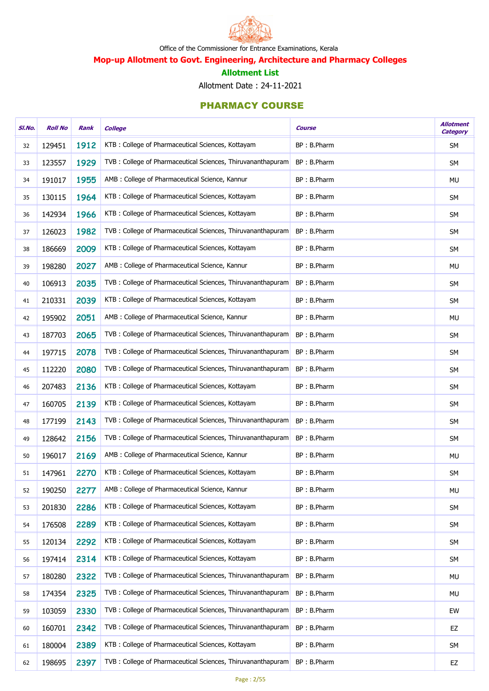

# Mop-up Allotment to Govt. Engineering, Architecture and Pharmacy Colleges

#### Allotment List

Allotment Date : 24-11-2021

| SI.No. | <b>Roll No</b> | Rank | <b>College</b>                                               | <b>Course</b> | <b>Allotment</b><br>Category |
|--------|----------------|------|--------------------------------------------------------------|---------------|------------------------------|
| 32     | 129451         | 1912 | KTB: College of Pharmaceutical Sciences, Kottayam            | BP: B.Pharm   | <b>SM</b>                    |
| 33     | 123557         | 1929 | TVB: College of Pharmaceutical Sciences, Thiruvananthapuram  | BP: B.Pharm   | SM                           |
| 34     | 191017         | 1955 | AMB : College of Pharmaceutical Science, Kannur              | BP: B.Pharm   | <b>MU</b>                    |
| 35     | 130115         | 1964 | KTB: College of Pharmaceutical Sciences, Kottayam            | BP: B.Pharm   | <b>SM</b>                    |
| 36     | 142934         | 1966 | KTB: College of Pharmaceutical Sciences, Kottayam            | BP: B.Pharm   | <b>SM</b>                    |
| 37     | 126023         | 1982 | TVB : College of Pharmaceutical Sciences, Thiruvananthapuram | BP: B.Pharm   | <b>SM</b>                    |
| 38     | 186669         | 2009 | KTB: College of Pharmaceutical Sciences, Kottayam            | BP: B.Pharm   | <b>SM</b>                    |
| 39     | 198280         | 2027 | AMB : College of Pharmaceutical Science, Kannur              | BP: B.Pharm   | MU                           |
| 40     | 106913         | 2035 | TVB : College of Pharmaceutical Sciences, Thiruvananthapuram | BP: B.Pharm   | <b>SM</b>                    |
| 41     | 210331         | 2039 | KTB: College of Pharmaceutical Sciences, Kottayam            | BP: B.Pharm   | <b>SM</b>                    |
| 42     | 195902         | 2051 | AMB : College of Pharmaceutical Science, Kannur              | BP: B.Pharm   | <b>MU</b>                    |
| 43     | 187703         | 2065 | TVB : College of Pharmaceutical Sciences, Thiruvananthapuram | BP: B.Pharm   | <b>SM</b>                    |
| 44     | 197715         | 2078 | TVB : College of Pharmaceutical Sciences, Thiruvananthapuram | BP: B.Pharm   | <b>SM</b>                    |
| 45     | 112220         | 2080 | TVB : College of Pharmaceutical Sciences, Thiruvananthapuram | BP: B.Pharm   | <b>SM</b>                    |
| 46     | 207483         | 2136 | KTB: College of Pharmaceutical Sciences, Kottayam            | BP: B.Pharm   | <b>SM</b>                    |
| 47     | 160705         | 2139 | KTB: College of Pharmaceutical Sciences, Kottayam            | BP: B.Pharm   | <b>SM</b>                    |
| 48     | 177199         | 2143 | TVB : College of Pharmaceutical Sciences, Thiruvananthapuram | BP: B.Pharm   | <b>SM</b>                    |
| 49     | 128642         | 2156 | TVB: College of Pharmaceutical Sciences, Thiruvananthapuram  | BP: B.Pharm   | <b>SM</b>                    |
| 50     | 196017         | 2169 | AMB : College of Pharmaceutical Science, Kannur              | BP: B.Pharm   | MU                           |
| 51     | 147961         | 2270 | KTB: College of Pharmaceutical Sciences, Kottayam            | BP: B.Pharm   | <b>SM</b>                    |
| 52     | 190250         | 2277 | AMB : College of Pharmaceutical Science, Kannur              | BP: B.Pharm   | <b>MU</b>                    |
| 53     | 201830         | 2286 | KTB: College of Pharmaceutical Sciences, Kottayam            | BP: B.Pharm   | <b>SM</b>                    |
| 54     | 176508         | 2289 | KTB: College of Pharmaceutical Sciences, Kottayam            | BP: B.Pharm   | <b>SM</b>                    |
| 55     | 120134         | 2292 | KTB: College of Pharmaceutical Sciences, Kottayam            | BP: B.Pharm   | SM                           |
| 56     | 197414         | 2314 | KTB: College of Pharmaceutical Sciences, Kottayam            | BP: B.Pharm   | <b>SM</b>                    |
| 57     | 180280         | 2322 | TVB: College of Pharmaceutical Sciences, Thiruvananthapuram  | BP: B.Pharm   | MU                           |
| 58     | 174354         | 2325 | TVB : College of Pharmaceutical Sciences, Thiruvananthapuram | BP: B.Pharm   | MU                           |
| 59     | 103059         | 2330 | TVB : College of Pharmaceutical Sciences, Thiruvananthapuram | BP: B.Pharm   | EW                           |
| 60     | 160701         | 2342 | TVB: College of Pharmaceutical Sciences, Thiruvananthapuram  | BP: B.Pharm   | EZ                           |
| 61     | 180004         | 2389 | KTB: College of Pharmaceutical Sciences, Kottayam            | BP: B.Pharm   | SM                           |
| 62     | 198695         | 2397 | TVB: College of Pharmaceutical Sciences, Thiruvananthapuram  | BP: B.Pharm   | EZ                           |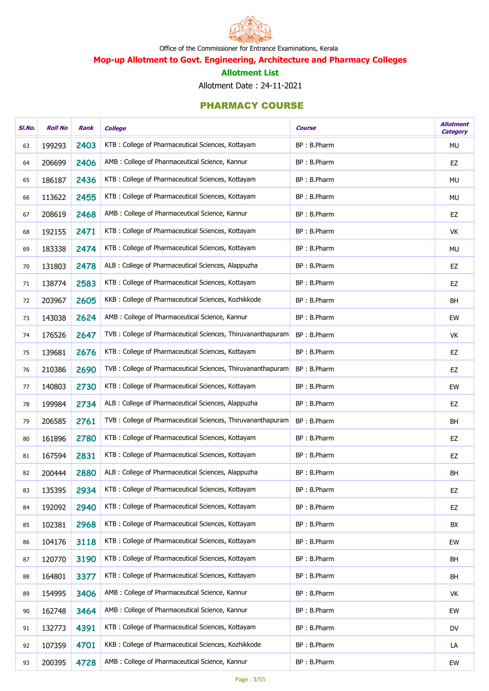

# Mop-up Allotment to Govt. Engineering, Architecture and Pharmacy Colleges

#### Allotment List

Allotment Date : 24-11-2021

| SI.No. | <b>Roll No</b> | Rank | <b>College</b>                                               | <b>Course</b> | <b>Allotment</b><br><b>Category</b> |
|--------|----------------|------|--------------------------------------------------------------|---------------|-------------------------------------|
| 63     | 199293         | 2403 | KTB: College of Pharmaceutical Sciences, Kottayam            | BP: B.Pharm   | MU                                  |
| 64     | 206699         | 2406 | AMB : College of Pharmaceutical Science, Kannur              | BP: B.Pharm   | EZ                                  |
| 65     | 186187         | 2436 | KTB: College of Pharmaceutical Sciences, Kottayam            | BP: B.Pharm   | MU                                  |
| 66     | 113622         | 2455 | KTB: College of Pharmaceutical Sciences, Kottayam            | BP: B.Pharm   | MU                                  |
| 67     | 208619         | 2468 | AMB : College of Pharmaceutical Science, Kannur              | BP: B.Pharm   | EZ                                  |
| 68     | 192155         | 2471 | KTB: College of Pharmaceutical Sciences, Kottayam            | BP: B.Pharm   | VK                                  |
| 69     | 183338         | 2474 | KTB: College of Pharmaceutical Sciences, Kottayam            | BP: B.Pharm   | MU                                  |
| 70     | 131803         | 2478 | ALB : College of Pharmaceutical Sciences, Alappuzha          | BP: B.Pharm   | EZ                                  |
| 71     | 138774         | 2583 | KTB: College of Pharmaceutical Sciences, Kottayam            | BP: B.Pharm   | EZ                                  |
| 72     | 203967         | 2605 | KKB: College of Pharmaceutical Sciences, Kozhikkode          | BP: B.Pharm   | BH                                  |
| 73     | 143038         | 2624 | AMB : College of Pharmaceutical Science, Kannur              | BP: B.Pharm   | EW                                  |
| 74     | 176526         | 2647 | TVB: College of Pharmaceutical Sciences, Thiruvananthapuram  | BP: B.Pharm   | VK                                  |
| 75     | 139681         | 2676 | KTB: College of Pharmaceutical Sciences, Kottayam            | BP: B.Pharm   | EZ                                  |
| 76     | 210386         | 2690 | TVB : College of Pharmaceutical Sciences, Thiruvananthapuram | BP: B.Pharm   | EZ                                  |
| 77     | 140803         | 2730 | KTB: College of Pharmaceutical Sciences, Kottayam            | BP: B.Pharm   | EW                                  |
| 78     | 199984         | 2734 | ALB : College of Pharmaceutical Sciences, Alappuzha          | BP: B.Pharm   | EZ                                  |
| 79     | 206585         | 2761 | TVB: College of Pharmaceutical Sciences, Thiruvananthapuram  | BP: B.Pharm   | <b>BH</b>                           |
| 80     | 161896         | 2780 | KTB: College of Pharmaceutical Sciences, Kottayam            | BP: B.Pharm   | EZ                                  |
| 81     | 167594         | 2831 | KTB: College of Pharmaceutical Sciences, Kottayam            | BP: B.Pharm   | EZ                                  |
| 82     | 200444         | 2880 | ALB : College of Pharmaceutical Sciences, Alappuzha          | BP: B.Pharm   | BH                                  |
| 83     | 135395         | 2934 | KTB: College of Pharmaceutical Sciences, Kottayam            | BP: B.Pharm   | EZ                                  |
| 84     | 192092         | 2940 | KTB: College of Pharmaceutical Sciences, Kottayam            | BP: B.Pharm   | EZ                                  |
| 85     | 102381         | 2968 | KTB: College of Pharmaceutical Sciences, Kottayam            | BP: B.Pharm   | BX                                  |
| 86     | 104176         | 3118 | KTB: College of Pharmaceutical Sciences, Kottayam            | BP: B.Pharm   | EW                                  |
| 87     | 120770         | 3190 | KTB: College of Pharmaceutical Sciences, Kottayam            | BP: B.Pharm   | BH                                  |
| 88     | 164801         | 3377 | KTB: College of Pharmaceutical Sciences, Kottayam            | BP: B.Pharm   | BH                                  |
| 89     | 154995         | 3406 | AMB : College of Pharmaceutical Science, Kannur              | BP: B.Pharm   | VK                                  |
| 90     | 162748         | 3464 | AMB : College of Pharmaceutical Science, Kannur              | BP: B.Pharm   | EW                                  |
| 91     | 132773         | 4391 | KTB: College of Pharmaceutical Sciences, Kottayam            | BP: B.Pharm   | <b>DV</b>                           |
| 92     | 107359         | 4701 | KKB: College of Pharmaceutical Sciences, Kozhikkode          | BP: B.Pharm   | LA                                  |
| 93     | 200395         | 4728 | AMB : College of Pharmaceutical Science, Kannur              | BP: B.Pharm   | EW                                  |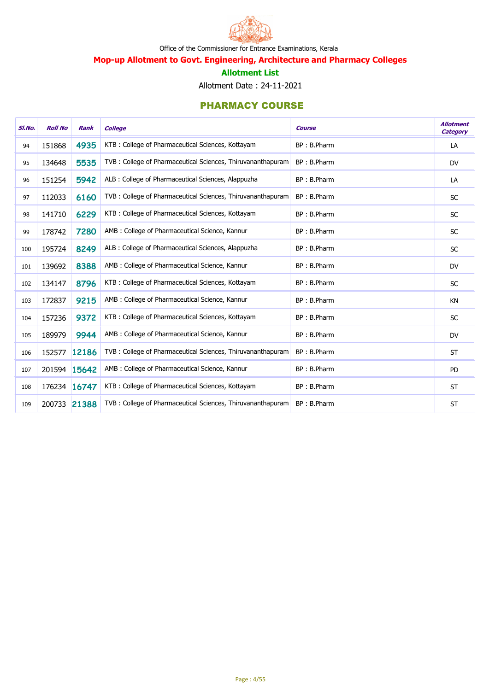

# Mop-up Allotment to Govt. Engineering, Architecture and Pharmacy Colleges

#### Allotment List

Allotment Date : 24-11-2021

| SI.No. | <b>Roll No</b> | <b>Rank</b>  | <b>College</b>                                              | <b>Course</b> | <b>Allotment</b><br><b>Category</b> |
|--------|----------------|--------------|-------------------------------------------------------------|---------------|-------------------------------------|
| 94     | 151868         | 4935         | KTB: College of Pharmaceutical Sciences, Kottayam           | BP: B.Pharm   | LA                                  |
| 95     | 134648         | 5535         | TVB: College of Pharmaceutical Sciences, Thiruvananthapuram | BP: B.Pharm   | <b>DV</b>                           |
| 96     | 151254         | 5942         | ALB : College of Pharmaceutical Sciences, Alappuzha         | BP: B.Pharm   | LA                                  |
| 97     | 112033         | 6160         | TVB: College of Pharmaceutical Sciences, Thiruvananthapuram | BP: B.Pharm   | <b>SC</b>                           |
| 98     | 141710         | 6229         | KTB: College of Pharmaceutical Sciences, Kottayam           | BP: B.Pharm   | <b>SC</b>                           |
| 99     | 178742         | 7280         | AMB : College of Pharmaceutical Science, Kannur             | BP: B.Pharm   | <b>SC</b>                           |
| 100    | 195724         | 8249         | ALB : College of Pharmaceutical Sciences, Alappuzha         | BP: B.Pharm   | <b>SC</b>                           |
| 101    | 139692         | 8388         | AMB : College of Pharmaceutical Science, Kannur             | BP: B.Pharm   | <b>DV</b>                           |
| 102    | 134147         | 8796         | KTB: College of Pharmaceutical Sciences, Kottayam           | BP: B.Pharm   | SC                                  |
| 103    | 172837         | 9215         | AMB : College of Pharmaceutical Science, Kannur             | BP: B.Pharm   | KN                                  |
| 104    | 157236         | 9372         | KTB: College of Pharmaceutical Sciences, Kottayam           | BP: B.Pharm   | <b>SC</b>                           |
| 105    | 189979         | 9944         | AMB : College of Pharmaceutical Science, Kannur             | BP: B.Pharm   | <b>DV</b>                           |
| 106    | 152577         | 12186        | TVB: College of Pharmaceutical Sciences, Thiruvananthapuram | BP: B.Pharm   | <b>ST</b>                           |
| 107    |                | 201594 15642 | AMB : College of Pharmaceutical Science, Kannur             | BP: B.Pharm   | PD                                  |
| 108    | 176234 16747   |              | KTB: College of Pharmaceutical Sciences, Kottayam           | BP: B.Pharm   | <b>ST</b>                           |
| 109    | 200733 21388   |              | TVB: College of Pharmaceutical Sciences, Thiruvananthapuram | BP: B.Pharm   | <b>ST</b>                           |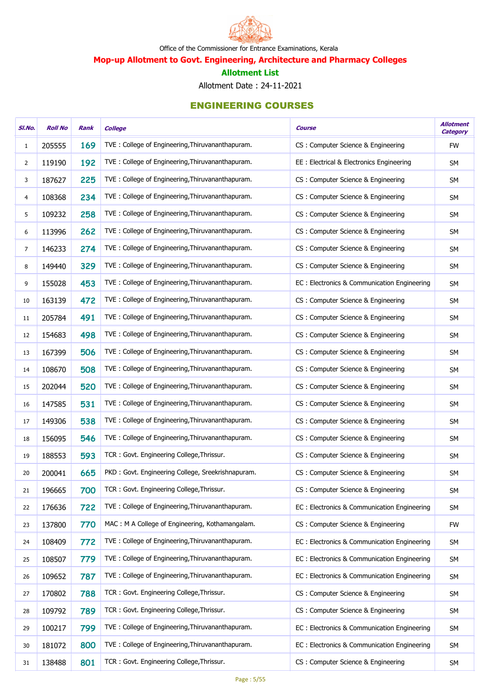

Mop-up Allotment to Govt. Engineering, Architecture and Pharmacy Colleges

#### Allotment List

Allotment Date : 24-11-2021

| SI.No.         | <b>Roll No</b> | Rank | <b>College</b>                                    | <b>Course</b>                               | <b>Allotment</b><br><b>Category</b> |
|----------------|----------------|------|---------------------------------------------------|---------------------------------------------|-------------------------------------|
| $\mathbf{1}$   | 205555         | 169  | TVE: College of Engineering, Thiruvananthapuram.  | CS: Computer Science & Engineering          | <b>FW</b>                           |
| $\overline{2}$ | 119190         | 192  | TVE: College of Engineering, Thiruvananthapuram.  | EE: Electrical & Electronics Engineering    | <b>SM</b>                           |
| 3              | 187627         | 225  | TVE: College of Engineering, Thiruvananthapuram.  | CS: Computer Science & Engineering          | SM                                  |
| 4              | 108368         | 234  | TVE: College of Engineering, Thiruvananthapuram.  | CS: Computer Science & Engineering          | <b>SM</b>                           |
| 5              | 109232         | 258  | TVE: College of Engineering, Thiruvananthapuram.  | CS: Computer Science & Engineering          | <b>SM</b>                           |
| 6              | 113996         | 262  | TVE: College of Engineering, Thiruvananthapuram.  | CS: Computer Science & Engineering          | <b>SM</b>                           |
| $\overline{7}$ | 146233         | 274  | TVE: College of Engineering, Thiruvananthapuram.  | CS: Computer Science & Engineering          | SM                                  |
| 8              | 149440         | 329  | TVE: College of Engineering, Thiruvananthapuram.  | CS: Computer Science & Engineering          | <b>SM</b>                           |
| 9              | 155028         | 453  | TVE: College of Engineering, Thiruvananthapuram.  | EC: Electronics & Communication Engineering | <b>SM</b>                           |
| 10             | 163139         | 472  | TVE: College of Engineering, Thiruvananthapuram.  | CS : Computer Science & Engineering         | <b>SM</b>                           |
| 11             | 205784         | 491  | TVE: College of Engineering, Thiruvananthapuram.  | CS: Computer Science & Engineering          | SM                                  |
| 12             | 154683         | 498  | TVE: College of Engineering, Thiruvananthapuram.  | CS: Computer Science & Engineering          | <b>SM</b>                           |
| 13             | 167399         | 506  | TVE: College of Engineering, Thiruvananthapuram.  | CS: Computer Science & Engineering          | <b>SM</b>                           |
| 14             | 108670         | 508  | TVE: College of Engineering, Thiruvananthapuram.  | CS : Computer Science & Engineering         | <b>SM</b>                           |
| 15             | 202044         | 520  | TVE: College of Engineering, Thiruvananthapuram.  | CS : Computer Science & Engineering         | SM                                  |
| 16             | 147585         | 531  | TVE: College of Engineering, Thiruvananthapuram.  | CS: Computer Science & Engineering          | <b>SM</b>                           |
| 17             | 149306         | 538  | TVE: College of Engineering, Thiruvananthapuram.  | CS: Computer Science & Engineering          | SM                                  |
| 18             | 156095         | 546  | TVE: College of Engineering, Thiruvananthapuram.  | CS: Computer Science & Engineering          | <b>SM</b>                           |
| 19             | 188553         | 593  | TCR: Govt. Engineering College, Thrissur.         | CS: Computer Science & Engineering          | SM                                  |
| 20             | 200041         | 665  | PKD: Govt. Engineering College, Sreekrishnapuram. | CS: Computer Science & Engineering          | <b>SM</b>                           |
| 21             | 196665         | 700  | TCR: Govt. Engineering College, Thrissur.         | CS: Computer Science & Engineering          | <b>SM</b>                           |
| 22             | 176636         | 722  | TVE: College of Engineering, Thiruvananthapuram.  | EC: Electronics & Communication Engineering | <b>SM</b>                           |
| 23             | 137800         | 770  | MAC: M A College of Engineering, Kothamangalam.   | CS: Computer Science & Engineering          | <b>FW</b>                           |
| 24             | 108409         | 772  | TVE: College of Engineering, Thiruvananthapuram.  | EC: Electronics & Communication Engineering | <b>SM</b>                           |
| 25             | 108507         | 779  | TVE: College of Engineering, Thiruvananthapuram.  | EC: Electronics & Communication Engineering | SM                                  |
| 26             | 109652         | 787  | TVE: College of Engineering, Thiruvananthapuram.  | EC: Electronics & Communication Engineering | <b>SM</b>                           |
| 27             | 170802         | 788  | TCR: Govt. Engineering College, Thrissur.         | CS: Computer Science & Engineering          | <b>SM</b>                           |
| 28             | 109792         | 789  | TCR: Govt. Engineering College, Thrissur.         | CS: Computer Science & Engineering          | <b>SM</b>                           |
| 29             | 100217         | 799  | TVE: College of Engineering, Thiruvananthapuram.  | EC: Electronics & Communication Engineering | SM                                  |
| 30             | 181072         | 800  | TVE: College of Engineering, Thiruvananthapuram.  | EC: Electronics & Communication Engineering | <b>SM</b>                           |
| 31             | 138488         | 801  | TCR: Govt. Engineering College, Thrissur.         | CS: Computer Science & Engineering          | SM                                  |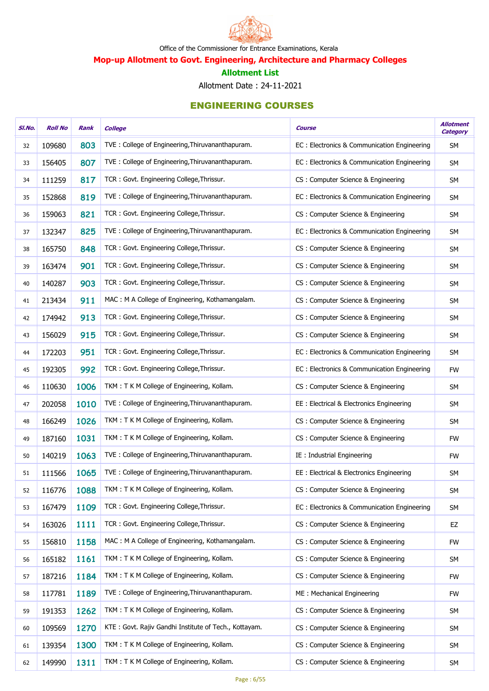

Mop-up Allotment to Govt. Engineering, Architecture and Pharmacy Colleges

#### Allotment List

Allotment Date : 24-11-2021

| SI.No. | <b>Roll No</b> | Rank | <b>College</b>                                        | <b>Course</b>                               | <b>Allotment</b><br><b>Category</b> |
|--------|----------------|------|-------------------------------------------------------|---------------------------------------------|-------------------------------------|
| 32     | 109680         | 803  | TVE: College of Engineering, Thiruvananthapuram.      | EC: Electronics & Communication Engineering | <b>SM</b>                           |
| 33     | 156405         | 807  | TVE: College of Engineering, Thiruvananthapuram.      | EC: Electronics & Communication Engineering | <b>SM</b>                           |
| 34     | 111259         | 817  | TCR: Govt. Engineering College, Thrissur.             | CS: Computer Science & Engineering          | SM                                  |
| 35     | 152868         | 819  | TVE: College of Engineering, Thiruvananthapuram.      | EC: Electronics & Communication Engineering | SM                                  |
| 36     | 159063         | 821  | TCR: Govt. Engineering College, Thrissur.             | CS: Computer Science & Engineering          | SM                                  |
| 37     | 132347         | 825  | TVE: College of Engineering, Thiruvananthapuram.      | EC: Electronics & Communication Engineering | <b>SM</b>                           |
| 38     | 165750         | 848  | TCR: Govt. Engineering College, Thrissur.             | CS: Computer Science & Engineering          | SM                                  |
| 39     | 163474         | 901  | TCR: Govt. Engineering College, Thrissur.             | CS: Computer Science & Engineering          | <b>SM</b>                           |
| 40     | 140287         | 903  | TCR: Govt. Engineering College, Thrissur.             | CS: Computer Science & Engineering          | <b>SM</b>                           |
| 41     | 213434         | 911  | MAC: M A College of Engineering, Kothamangalam.       | CS: Computer Science & Engineering          | <b>SM</b>                           |
| 42     | 174942         | 913  | TCR: Govt. Engineering College, Thrissur.             | CS: Computer Science & Engineering          | <b>SM</b>                           |
| 43     | 156029         | 915  | TCR: Govt. Engineering College, Thrissur.             | CS: Computer Science & Engineering          | SM                                  |
| 44     | 172203         | 951  | TCR: Govt. Engineering College, Thrissur.             | EC: Electronics & Communication Engineering | SM                                  |
| 45     | 192305         | 992  | TCR: Govt. Engineering College, Thrissur.             | EC: Electronics & Communication Engineering | <b>FW</b>                           |
| 46     | 110630         | 1006 | TKM: T K M College of Engineering, Kollam.            | CS: Computer Science & Engineering          | <b>SM</b>                           |
| 47     | 202058         | 1010 | TVE: College of Engineering, Thiruvananthapuram.      | EE : Electrical & Electronics Engineering   | SM                                  |
| 48     | 166249         | 1026 | TKM: T K M College of Engineering, Kollam.            | CS: Computer Science & Engineering          | <b>SM</b>                           |
| 49     | 187160         | 1031 | TKM: T K M College of Engineering, Kollam.            | CS: Computer Science & Engineering          | <b>FW</b>                           |
| 50     | 140219         | 1063 | TVE: College of Engineering, Thiruvananthapuram.      | IE : Industrial Engineering                 | <b>FW</b>                           |
| 51     | 111566         | 1065 | TVE: College of Engineering, Thiruvananthapuram.      | EE: Electrical & Electronics Engineering    | SM                                  |
| 52     | 116776         | 1088 | TKM: T K M College of Engineering, Kollam.            | CS: Computer Science & Engineering          | <b>SM</b>                           |
| 53     | 167479         | 1109 | TCR: Govt. Engineering College, Thrissur.             | EC: Electronics & Communication Engineering | SM                                  |
| 54     | 163026         | 1111 | TCR: Govt. Engineering College, Thrissur.             | CS: Computer Science & Engineering          | EZ                                  |
| 55     | 156810         | 1158 | MAC: M A College of Engineering, Kothamangalam.       | CS: Computer Science & Engineering          | <b>FW</b>                           |
| 56     | 165182         | 1161 | TKM: T K M College of Engineering, Kollam.            | CS: Computer Science & Engineering          | <b>SM</b>                           |
| 57     | 187216         | 1184 | TKM: T K M College of Engineering, Kollam.            | CS: Computer Science & Engineering          | <b>FW</b>                           |
| 58     | 117781         | 1189 | TVE: College of Engineering, Thiruvananthapuram.      | ME: Mechanical Engineering                  | <b>FW</b>                           |
| 59     | 191353         | 1262 | TKM: T K M College of Engineering, Kollam.            | CS: Computer Science & Engineering          | <b>SM</b>                           |
| 60     | 109569         | 1270 | KTE: Govt. Rajiv Gandhi Institute of Tech., Kottayam. | CS: Computer Science & Engineering          | <b>SM</b>                           |
| 61     | 139354         | 1300 | TKM: T K M College of Engineering, Kollam.            | CS: Computer Science & Engineering          | SM                                  |
| 62     | 149990         | 1311 | TKM: T K M College of Engineering, Kollam.            | CS: Computer Science & Engineering          | <b>SM</b>                           |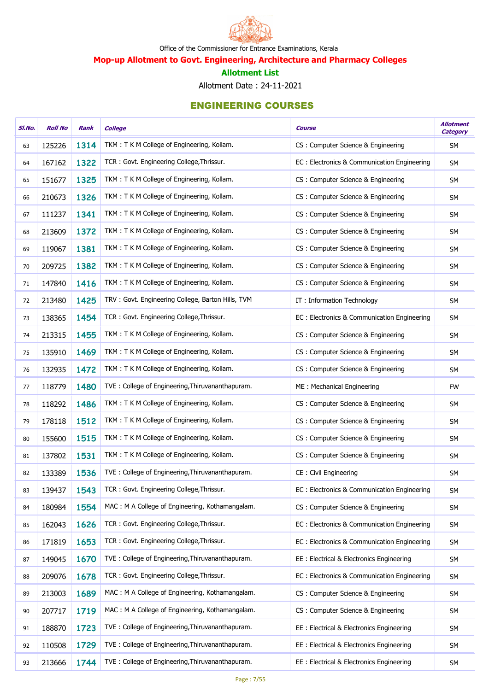

Mop-up Allotment to Govt. Engineering, Architecture and Pharmacy Colleges

#### Allotment List

Allotment Date : 24-11-2021

| SI.No. | <b>Roll No</b> | Rank | <b>College</b>                                    | <b>Course</b>                               | <b>Allotment</b><br>Category |
|--------|----------------|------|---------------------------------------------------|---------------------------------------------|------------------------------|
| 63     | 125226         | 1314 | TKM: T K M College of Engineering, Kollam.        | CS: Computer Science & Engineering          | <b>SM</b>                    |
| 64     | 167162         | 1322 | TCR: Govt. Engineering College, Thrissur.         | EC: Electronics & Communication Engineering | <b>SM</b>                    |
| 65     | 151677         | 1325 | TKM: T K M College of Engineering, Kollam.        | CS: Computer Science & Engineering          | SM                           |
| 66     | 210673         | 1326 | TKM: T K M College of Engineering, Kollam.        | CS: Computer Science & Engineering          | <b>SM</b>                    |
| 67     | 111237         | 1341 | TKM: T K M College of Engineering, Kollam.        | CS: Computer Science & Engineering          | <b>SM</b>                    |
| 68     | 213609         | 1372 | TKM: T K M College of Engineering, Kollam.        | CS: Computer Science & Engineering          | <b>SM</b>                    |
| 69     | 119067         | 1381 | TKM: T K M College of Engineering, Kollam.        | CS: Computer Science & Engineering          | SM                           |
| 70     | 209725         | 1382 | TKM: T K M College of Engineering, Kollam.        | CS: Computer Science & Engineering          | <b>SM</b>                    |
| 71     | 147840         | 1416 | TKM: T K M College of Engineering, Kollam.        | CS: Computer Science & Engineering          | <b>SM</b>                    |
| 72     | 213480         | 1425 | TRV: Govt. Engineering College, Barton Hills, TVM | IT: Information Technology                  | <b>SM</b>                    |
| 73     | 138365         | 1454 | TCR: Govt. Engineering College, Thrissur.         | EC: Electronics & Communication Engineering | <b>SM</b>                    |
| 74     | 213315         | 1455 | TKM: T K M College of Engineering, Kollam.        | CS: Computer Science & Engineering          | <b>SM</b>                    |
| 75     | 135910         | 1469 | TKM: T K M College of Engineering, Kollam.        | CS: Computer Science & Engineering          | <b>SM</b>                    |
| 76     | 132935         | 1472 | TKM: T K M College of Engineering, Kollam.        | CS: Computer Science & Engineering          | <b>SM</b>                    |
| 77     | 118779         | 1480 | TVE: College of Engineering, Thiruvananthapuram.  | ME: Mechanical Engineering                  | <b>FW</b>                    |
| 78     | 118292         | 1486 | TKM: T K M College of Engineering, Kollam.        | CS: Computer Science & Engineering          | <b>SM</b>                    |
| 79     | 178118         | 1512 | TKM: T K M College of Engineering, Kollam.        | CS: Computer Science & Engineering          | <b>SM</b>                    |
| 80     | 155600         | 1515 | TKM: T K M College of Engineering, Kollam.        | CS: Computer Science & Engineering          | <b>SM</b>                    |
| 81     | 137802         | 1531 | TKM: T K M College of Engineering, Kollam.        | CS: Computer Science & Engineering          | <b>SM</b>                    |
| 82     | 133389         | 1536 | TVE: College of Engineering, Thiruvananthapuram.  | CE: Civil Engineering                       | <b>SM</b>                    |
| 83     | 139437         | 1543 | TCR: Govt. Engineering College, Thrissur.         | EC: Electronics & Communication Engineering | <b>SM</b>                    |
| 84     | 180984         | 1554 | MAC: M A College of Engineering, Kothamangalam.   | CS: Computer Science & Engineering          | <b>SM</b>                    |
| 85     | 162043         | 1626 | TCR: Govt. Engineering College, Thrissur.         | EC: Electronics & Communication Engineering | <b>SM</b>                    |
| 86     | 171819         | 1653 | TCR: Govt. Engineering College, Thrissur.         | EC: Electronics & Communication Engineering | <b>SM</b>                    |
| 87     | 149045         | 1670 | TVE: College of Engineering, Thiruvananthapuram.  | EE: Electrical & Electronics Engineering    | SM                           |
| 88     | 209076         | 1678 | TCR: Govt. Engineering College, Thrissur.         | EC: Electronics & Communication Engineering | <b>SM</b>                    |
| 89     | 213003         | 1689 | MAC: M A College of Engineering, Kothamangalam.   | CS: Computer Science & Engineering          | SM                           |
| 90     | 207717         | 1719 | MAC: M A College of Engineering, Kothamangalam.   | CS: Computer Science & Engineering          | <b>SM</b>                    |
| 91     | 188870         | 1723 | TVE: College of Engineering, Thiruvananthapuram.  | EE: Electrical & Electronics Engineering    | <b>SM</b>                    |
| 92     | 110508         | 1729 | TVE: College of Engineering, Thiruvananthapuram.  | EE: Electrical & Electronics Engineering    | <b>SM</b>                    |
| 93     | 213666         | 1744 | TVE: College of Engineering, Thiruvananthapuram.  | EE: Electrical & Electronics Engineering    | SM                           |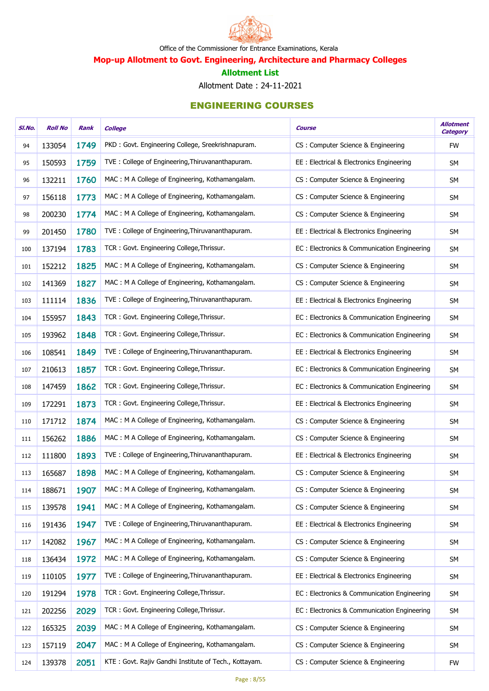

Mop-up Allotment to Govt. Engineering, Architecture and Pharmacy Colleges

#### Allotment List

Allotment Date : 24-11-2021

| SI.No. | <b>Roll No</b> | Rank | <b>College</b>                                        | <b>Course</b>                                | <b>Allotment</b><br><b>Category</b> |
|--------|----------------|------|-------------------------------------------------------|----------------------------------------------|-------------------------------------|
| 94     | 133054         | 1749 | PKD: Govt. Engineering College, Sreekrishnapuram.     | CS: Computer Science & Engineering           | <b>FW</b>                           |
| 95     | 150593         | 1759 | TVE: College of Engineering, Thiruvananthapuram.      | EE: Electrical & Electronics Engineering     | <b>SM</b>                           |
| 96     | 132211         | 1760 | MAC: M A College of Engineering, Kothamangalam.       | CS: Computer Science & Engineering           | SM                                  |
| 97     | 156118         | 1773 | MAC: M A College of Engineering, Kothamangalam.       | CS: Computer Science & Engineering           | SM                                  |
| 98     | 200230         | 1774 | MAC: M A College of Engineering, Kothamangalam.       | CS: Computer Science & Engineering           | SM                                  |
| 99     | 201450         | 1780 | TVE: College of Engineering, Thiruvananthapuram.      | EE : Electrical & Electronics Engineering    | <b>SM</b>                           |
| 100    | 137194         | 1783 | TCR: Govt. Engineering College, Thrissur.             | EC: Electronics & Communication Engineering  | SM                                  |
| 101    | 152212         | 1825 | MAC: M A College of Engineering, Kothamangalam.       | CS: Computer Science & Engineering           | SM                                  |
| 102    | 141369         | 1827 | MAC: M A College of Engineering, Kothamangalam.       | CS: Computer Science & Engineering           | SM                                  |
| 103    | 111114         | 1836 | TVE: College of Engineering, Thiruvananthapuram.      | EE : Electrical & Electronics Engineering    | SM                                  |
| 104    | 155957         | 1843 | TCR: Govt. Engineering College, Thrissur.             | EC: Electronics & Communication Engineering  | SM                                  |
| 105    | 193962         | 1848 | TCR: Govt. Engineering College, Thrissur.             | EC: Electronics & Communication Engineering  | SM                                  |
| 106    | 108541         | 1849 | TVE: College of Engineering, Thiruvananthapuram.      | EE : Electrical & Electronics Engineering    | SM                                  |
| 107    | 210613         | 1857 | TCR: Govt. Engineering College, Thrissur.             | EC : Electronics & Communication Engineering | SM                                  |
| 108    | 147459         | 1862 | TCR: Govt. Engineering College, Thrissur.             | EC: Electronics & Communication Engineering  | SM                                  |
| 109    | 172291         | 1873 | TCR: Govt. Engineering College, Thrissur.             | EE : Electrical & Electronics Engineering    | SM                                  |
| 110    | 171712         | 1874 | MAC: M A College of Engineering, Kothamangalam.       | CS: Computer Science & Engineering           | SM                                  |
| 111    | 156262         | 1886 | MAC: M A College of Engineering, Kothamangalam.       | CS: Computer Science & Engineering           | <b>SM</b>                           |
| 112    | 111800         | 1893 | TVE: College of Engineering, Thiruvananthapuram.      | EE : Electrical & Electronics Engineering    | SM                                  |
| 113    | 165687         | 1898 | MAC: M A College of Engineering, Kothamangalam.       | CS: Computer Science & Engineering           | SM                                  |
| 114    | 188671         | 1907 | MAC: M A College of Engineering, Kothamangalam.       | CS: Computer Science & Engineering           | SM                                  |
| 115    | 139578         | 1941 | MAC: M A College of Engineering, Kothamangalam.       | CS: Computer Science & Engineering           | SM                                  |
| 116    | 191436         | 1947 | TVE: College of Engineering, Thiruvananthapuram.      | EE: Electrical & Electronics Engineering     | SM                                  |
| 117    | 142082         | 1967 | MAC: M A College of Engineering, Kothamangalam.       | CS: Computer Science & Engineering           | SM                                  |
| 118    | 136434         | 1972 | MAC: M A College of Engineering, Kothamangalam.       | CS: Computer Science & Engineering           | SM                                  |
| 119    | 110105         | 1977 | TVE: College of Engineering, Thiruvananthapuram.      | EE: Electrical & Electronics Engineering     | SM                                  |
| 120    | 191294         | 1978 | TCR: Govt. Engineering College, Thrissur.             | EC: Electronics & Communication Engineering  | <b>SM</b>                           |
| 121    | 202256         | 2029 | TCR: Govt. Engineering College, Thrissur.             | EC: Electronics & Communication Engineering  | SM                                  |
| 122    | 165325         | 2039 | MAC: M A College of Engineering, Kothamangalam.       | CS: Computer Science & Engineering           | <b>SM</b>                           |
| 123    | 157119         | 2047 | MAC: M A College of Engineering, Kothamangalam.       | CS: Computer Science & Engineering           | <b>SM</b>                           |
| 124    | 139378         | 2051 | KTE: Govt. Rajiv Gandhi Institute of Tech., Kottayam. | CS: Computer Science & Engineering           | <b>FW</b>                           |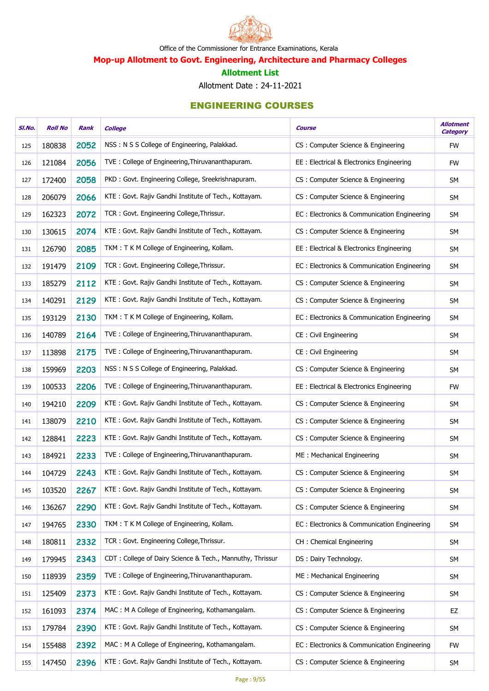

Mop-up Allotment to Govt. Engineering, Architecture and Pharmacy Colleges

#### Allotment List

Allotment Date : 24-11-2021

| SI.No. | <b>Roll No</b> | Rank | <b>College</b>                                            | <b>Course</b>                               | <b>Allotment</b><br><b>Category</b> |
|--------|----------------|------|-----------------------------------------------------------|---------------------------------------------|-------------------------------------|
| 125    | 180838         | 2052 | NSS: N S S College of Engineering, Palakkad.              | CS: Computer Science & Engineering          | <b>FW</b>                           |
| 126    | 121084         | 2056 | TVE: College of Engineering, Thiruvananthapuram.          | EE: Electrical & Electronics Engineering    | <b>FW</b>                           |
| 127    | 172400         | 2058 | PKD: Govt. Engineering College, Sreekrishnapuram.         | CS: Computer Science & Engineering          | <b>SM</b>                           |
| 128    | 206079         | 2066 | KTE: Govt. Rajiv Gandhi Institute of Tech., Kottayam.     | CS: Computer Science & Engineering          | SM                                  |
| 129    | 162323         | 2072 | TCR: Govt. Engineering College, Thrissur.                 | EC: Electronics & Communication Engineering | <b>SM</b>                           |
| 130    | 130615         | 2074 | KTE: Govt. Rajiv Gandhi Institute of Tech., Kottayam.     | CS: Computer Science & Engineering          | SM                                  |
| 131    | 126790         | 2085 | TKM: T K M College of Engineering, Kollam.                | EE: Electrical & Electronics Engineering    | SM                                  |
| 132    | 191479         | 2109 | TCR: Govt. Engineering College, Thrissur.                 | EC: Electronics & Communication Engineering | SM                                  |
| 133    | 185279         | 2112 | KTE: Govt. Rajiv Gandhi Institute of Tech., Kottayam.     | CS: Computer Science & Engineering          | SM                                  |
| 134    | 140291         | 2129 | KTE: Govt. Rajiv Gandhi Institute of Tech., Kottayam.     | CS: Computer Science & Engineering          | SM                                  |
| 135    | 193129         | 2130 | TKM: T K M College of Engineering, Kollam.                | EC: Electronics & Communication Engineering | SM                                  |
| 136    | 140789         | 2164 | TVE: College of Engineering, Thiruvananthapuram.          | CE: Civil Engineering                       | SM                                  |
| 137    | 113898         | 2175 | TVE: College of Engineering, Thiruvananthapuram.          | CE: Civil Engineering                       | SM                                  |
| 138    | 159969         | 2203 | NSS: N S S College of Engineering, Palakkad.              | CS: Computer Science & Engineering          | <b>SM</b>                           |
| 139    | 100533         | 2206 | TVE: College of Engineering, Thiruvananthapuram.          | EE : Electrical & Electronics Engineering   | <b>FW</b>                           |
| 140    | 194210         | 2209 | KTE: Govt. Rajiv Gandhi Institute of Tech., Kottayam.     | CS: Computer Science & Engineering          | SM                                  |
| 141    | 138079         | 2210 | KTE: Govt. Rajiv Gandhi Institute of Tech., Kottayam.     | CS: Computer Science & Engineering          | SM                                  |
| 142    | 128841         | 2223 | KTE: Govt. Rajiv Gandhi Institute of Tech., Kottayam.     | CS: Computer Science & Engineering          | <b>SM</b>                           |
| 143    | 184921         | 2233 | TVE: College of Engineering, Thiruvananthapuram.          | ME: Mechanical Engineering                  | SM                                  |
| 144    | 104729         | 2243 | KTE: Govt. Rajiv Gandhi Institute of Tech., Kottayam.     | CS: Computer Science & Engineering          | <b>SM</b>                           |
| 145    | 103520         | 2267 | KTE: Govt. Rajiv Gandhi Institute of Tech., Kottayam.     | CS: Computer Science & Engineering          | <b>SM</b>                           |
| 146    | 136267         | 2290 | KTE: Govt. Rajiv Gandhi Institute of Tech., Kottayam.     | CS: Computer Science & Engineering          | <b>SM</b>                           |
| 147    | 194765         | 2330 | TKM: T K M College of Engineering, Kollam.                | EC: Electronics & Communication Engineering | SM                                  |
| 148    | 180811         | 2332 | TCR: Govt. Engineering College, Thrissur.                 | CH: Chemical Engineering                    | SM                                  |
| 149    | 179945         | 2343 | CDT: College of Dairy Science & Tech., Mannuthy, Thrissur | DS: Dairy Technology.                       | SM                                  |
| 150    | 118939         | 2359 | TVE: College of Engineering, Thiruvananthapuram.          | ME: Mechanical Engineering                  | SM                                  |
| 151    | 125409         | 2373 | KTE: Govt. Rajiv Gandhi Institute of Tech., Kottayam.     | CS: Computer Science & Engineering          | SM                                  |
| 152    | 161093         | 2374 | MAC: M A College of Engineering, Kothamangalam.           | CS: Computer Science & Engineering          | EZ                                  |
| 153    | 179784         | 2390 | KTE: Govt. Rajiv Gandhi Institute of Tech., Kottayam.     | CS: Computer Science & Engineering          | SM                                  |
| 154    | 155488         | 2392 | MAC: M A College of Engineering, Kothamangalam.           | EC: Electronics & Communication Engineering | <b>FW</b>                           |
| 155    | 147450         | 2396 | KTE: Govt. Rajiv Gandhi Institute of Tech., Kottayam.     | CS: Computer Science & Engineering          | SM                                  |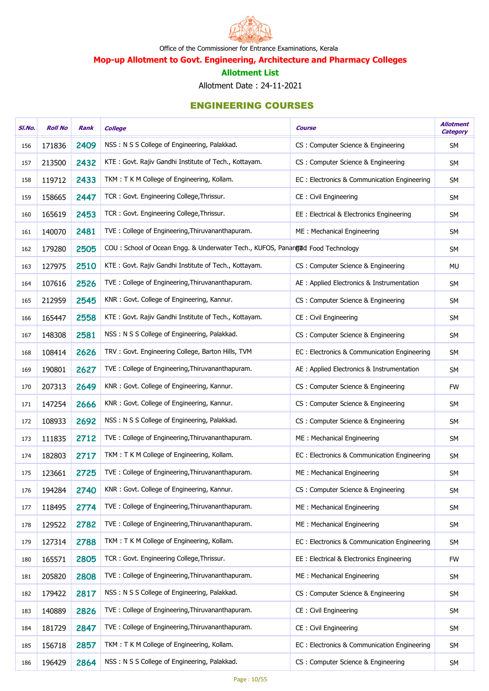

Mop-up Allotment to Govt. Engineering, Architecture and Pharmacy Colleges

#### Allotment List

Allotment Date : 24-11-2021

| SI.No. | <b>Roll No</b> | Rank | <b>College</b>                                                                 | <b>Course</b>                               | <b>Allotment</b><br><b>Category</b> |
|--------|----------------|------|--------------------------------------------------------------------------------|---------------------------------------------|-------------------------------------|
| 156    | 171836         | 2409 | NSS: N S S College of Engineering, Palakkad.                                   | CS: Computer Science & Engineering          | <b>SM</b>                           |
| 157    | 213500         | 2432 | KTE: Govt. Rajiv Gandhi Institute of Tech., Kottayam.                          | CS: Computer Science & Engineering          | <b>SM</b>                           |
| 158    | 119712         | 2433 | TKM: T K M College of Engineering, Kollam.                                     | EC: Electronics & Communication Engineering | SM                                  |
| 159    | 158665         | 2447 | TCR: Govt. Engineering College, Thrissur.                                      | CE: Civil Engineering                       | <b>SM</b>                           |
| 160    | 165619         | 2453 | TCR: Govt. Engineering College, Thrissur.                                      | EE : Electrical & Electronics Engineering   | <b>SM</b>                           |
| 161    | 140070         | 2481 | TVE: College of Engineering, Thiruvananthapuram.                               | ME: Mechanical Engineering                  | <b>SM</b>                           |
| 162    | 179280         | 2505 | COU: School of Ocean Engg. & Underwater Tech., KUFOS, Panangud Food Technology |                                             | <b>SM</b>                           |
| 163    | 127975         | 2510 | KTE: Govt. Rajiv Gandhi Institute of Tech., Kottayam.                          | CS: Computer Science & Engineering          | MU                                  |
| 164    | 107616         | 2526 | TVE: College of Engineering, Thiruvananthapuram.                               | AE : Applied Electronics & Instrumentation  | <b>SM</b>                           |
| 165    | 212959         | 2545 | KNR: Govt. College of Engineering, Kannur.                                     | CS: Computer Science & Engineering          | <b>SM</b>                           |
| 166    | 165447         | 2558 | KTE: Govt. Rajiv Gandhi Institute of Tech., Kottayam.                          | CE: Civil Engineering                       | <b>SM</b>                           |
| 167    | 148308         | 2581 | NSS: N S S College of Engineering, Palakkad.                                   | CS: Computer Science & Engineering          | <b>SM</b>                           |
| 168    | 108414         | 2626 | TRV: Govt. Engineering College, Barton Hills, TVM                              | EC: Electronics & Communication Engineering | <b>SM</b>                           |
| 169    | 190801         | 2627 | TVE: College of Engineering, Thiruvananthapuram.                               | AE : Applied Electronics & Instrumentation  | <b>SM</b>                           |
| 170    | 207313         | 2649 | KNR: Govt. College of Engineering, Kannur.                                     | CS: Computer Science & Engineering          | <b>FW</b>                           |
| 171    | 147254         | 2666 | KNR: Govt. College of Engineering, Kannur.                                     | CS: Computer Science & Engineering          | <b>SM</b>                           |
| 172    | 108933         | 2692 | NSS: N S S College of Engineering, Palakkad.                                   | CS: Computer Science & Engineering          | <b>SM</b>                           |
| 173    | 111835         | 2712 | TVE: College of Engineering, Thiruvananthapuram.                               | ME: Mechanical Engineering                  | <b>SM</b>                           |
| 174    | 182803         | 2717 | TKM: T K M College of Engineering, Kollam.                                     | EC: Electronics & Communication Engineering | <b>SM</b>                           |
| 175    | 123661         | 2725 | TVE: College of Engineering, Thiruvananthapuram.                               | ME: Mechanical Engineering                  | <b>SM</b>                           |
| 176    | 194284         | 2740 | KNR: Govt. College of Engineering, Kannur.                                     | CS: Computer Science & Engineering          | <b>SM</b>                           |
| 177    | 118495         | 2774 | TVE: College of Engineering, Thiruvananthapuram.                               | ME: Mechanical Engineering                  | <b>SM</b>                           |
| 178    | 129522         | 2782 | TVE: College of Engineering, Thiruvananthapuram.                               | ME: Mechanical Engineering                  | <b>SM</b>                           |
| 179    | 127314         | 2788 | TKM: T K M College of Engineering, Kollam.                                     | EC: Electronics & Communication Engineering | <b>SM</b>                           |
| 180    | 165571         | 2805 | TCR: Govt. Engineering College, Thrissur.                                      | EE : Electrical & Electronics Engineering   | <b>FW</b>                           |
| 181    | 205820         | 2808 | TVE: College of Engineering, Thiruvananthapuram.                               | ME: Mechanical Engineering                  | <b>SM</b>                           |
| 182    | 179422         | 2817 | NSS: N S S College of Engineering, Palakkad.                                   | CS: Computer Science & Engineering          | <b>SM</b>                           |
| 183    | 140889         | 2826 | TVE: College of Engineering, Thiruvananthapuram.                               | CE: Civil Engineering                       | <b>SM</b>                           |
| 184    | 181729         | 2847 | TVE: College of Engineering, Thiruvananthapuram.                               | CE: Civil Engineering                       | <b>SM</b>                           |
| 185    | 156718         | 2857 | TKM: T K M College of Engineering, Kollam.                                     | EC: Electronics & Communication Engineering | <b>SM</b>                           |
| 186    | 196429         | 2864 | NSS: N S S College of Engineering, Palakkad.                                   | CS: Computer Science & Engineering          | SM                                  |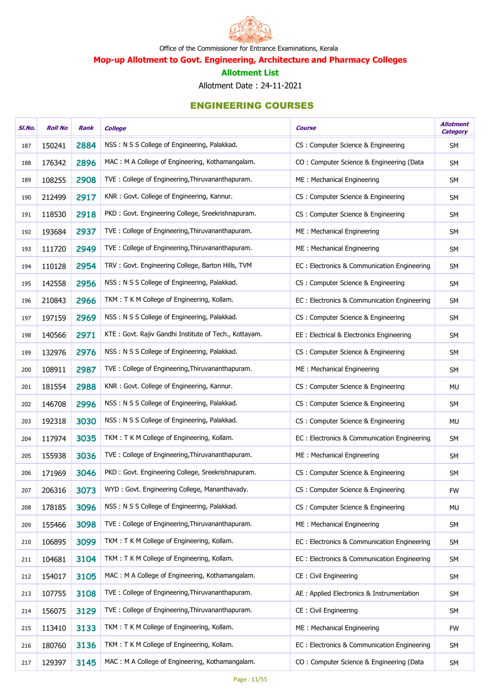

Mop-up Allotment to Govt. Engineering, Architecture and Pharmacy Colleges

#### Allotment List

Allotment Date : 24-11-2021

| SI.No. | <b>Roll No</b> | Rank | <b>College</b>                                        | Course                                      | <b>Allotment</b><br><b>Category</b> |
|--------|----------------|------|-------------------------------------------------------|---------------------------------------------|-------------------------------------|
| 187    | 150241         | 2884 | NSS: N S S College of Engineering, Palakkad.          | CS: Computer Science & Engineering          | <b>SM</b>                           |
| 188    | 176342         | 2896 | MAC: M A College of Engineering, Kothamangalam.       | CO: Computer Science & Engineering (Data    | <b>SM</b>                           |
| 189    | 108255         | 2908 | TVE: College of Engineering, Thiruvananthapuram.      | ME: Mechanical Engineering                  | <b>SM</b>                           |
| 190    | 212499         | 2917 | KNR: Govt. College of Engineering, Kannur.            | CS : Computer Science & Engineering         | SM                                  |
| 191    | 118530         | 2918 | PKD: Govt. Engineering College, Sreekrishnapuram.     | CS: Computer Science & Engineering          | <b>SM</b>                           |
| 192    | 193684         | 2937 | TVE: College of Engineering, Thiruvananthapuram.      | ME: Mechanical Engineering                  | SM                                  |
| 193    | 111720         | 2949 | TVE: College of Engineering, Thiruvananthapuram.      | ME: Mechanical Engineering                  | SM                                  |
| 194    | 110128         | 2954 | TRV: Govt. Engineering College, Barton Hills, TVM     | EC: Electronics & Communication Engineering | SM                                  |
| 195    | 142558         | 2956 | NSS: N S S College of Engineering, Palakkad.          | CS: Computer Science & Engineering          | SM                                  |
| 196    | 210843         | 2966 | TKM: T K M College of Engineering, Kollam.            | EC: Electronics & Communication Engineering | SM                                  |
| 197    | 197159         | 2969 | NSS: N S S College of Engineering, Palakkad.          | CS: Computer Science & Engineering          | SM                                  |
| 198    | 140566         | 2971 | KTE: Govt. Rajiv Gandhi Institute of Tech., Kottayam. | EE : Electrical & Electronics Engineering   | SM                                  |
| 199    | 132976         | 2976 | NSS: N S S College of Engineering, Palakkad.          | CS: Computer Science & Engineering          | SM                                  |
| 200    | 108911         | 2987 | TVE: College of Engineering, Thiruvananthapuram.      | ME: Mechanical Engineering                  | SM                                  |
| 201    | 181554         | 2988 | KNR: Govt. College of Engineering, Kannur.            | CS: Computer Science & Engineering          | MU                                  |
| 202    | 146708         | 2996 | NSS: N S S College of Engineering, Palakkad.          | CS: Computer Science & Engineering          | SM                                  |
| 203    | 192318         | 3030 | NSS: N S S College of Engineering, Palakkad.          | CS: Computer Science & Engineering          | <b>MU</b>                           |
| 204    | 117974         | 3035 | TKM: T K M College of Engineering, Kollam.            | EC: Electronics & Communication Engineering | SM                                  |
| 205    | 155938         | 3036 | TVE: College of Engineering, Thiruvananthapuram.      | ME: Mechanical Engineering                  | SM                                  |
| 206    | 171969         | 3046 | PKD: Govt. Engineering College, Sreekrishnapuram.     | CS: Computer Science & Engineering          | <b>SM</b>                           |
| 207    | 206316         | 3073 | WYD: Govt. Engineering College, Mananthavady.         | CS: Computer Science & Engineering          | <b>FW</b>                           |
| 208    | 178185         | 3096 | NSS: N S S College of Engineering, Palakkad.          | CS: Computer Science & Engineering          | MU                                  |
| 209    | 155466         | 3098 | TVE: College of Engineering, Thiruvananthapuram.      | ME: Mechanical Engineering                  | SM                                  |
| 210    | 106895         | 3099 | TKM: T K M College of Engineering, Kollam.            | EC: Electronics & Communication Engineering | <b>SM</b>                           |
| 211    | 104681         | 3104 | TKM: T K M College of Engineering, Kollam.            | EC: Electronics & Communication Engineering | SM                                  |
| 212    | 154017         | 3105 | MAC: M A College of Engineering, Kothamangalam.       | CE: Civil Engineering                       | SM                                  |
| 213    | 107755         | 3108 | TVE: College of Engineering, Thiruvananthapuram.      | AE : Applied Electronics & Instrumentation  | SM                                  |
| 214    | 156075         | 3129 | TVE: College of Engineering, Thiruvananthapuram.      | CE: Civil Engineering                       | <b>SM</b>                           |
| 215    | 113410         | 3133 | TKM: T K M College of Engineering, Kollam.            | ME: Mechanical Engineering                  | <b>FW</b>                           |
| 216    | 180760         | 3136 | TKM: T K M College of Engineering, Kollam.            | EC: Electronics & Communication Engineering | SM                                  |
| 217    | 129397         | 3145 | MAC: M A College of Engineering, Kothamangalam.       | CO: Computer Science & Engineering (Data    | SM                                  |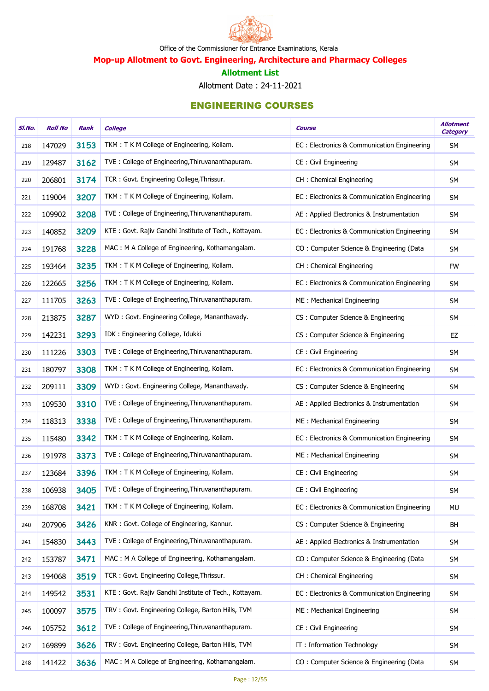

Mop-up Allotment to Govt. Engineering, Architecture and Pharmacy Colleges

#### Allotment List

Allotment Date : 24-11-2021

| SI.No. | <b>Roll No</b> | Rank | <b>College</b>                                        | <b>Course</b>                               | <b>Allotment</b><br><b>Category</b> |
|--------|----------------|------|-------------------------------------------------------|---------------------------------------------|-------------------------------------|
| 218    | 147029         | 3153 | TKM: T K M College of Engineering, Kollam.            | EC: Electronics & Communication Engineering | <b>SM</b>                           |
| 219    | 129487         | 3162 | TVE: College of Engineering, Thiruvananthapuram.      | CE: Civil Engineering                       | <b>SM</b>                           |
| 220    | 206801         | 3174 | TCR: Govt. Engineering College, Thrissur.             | CH: Chemical Engineering                    | <b>SM</b>                           |
| 221    | 119004         | 3207 | TKM: T K M College of Engineering, Kollam.            | EC: Electronics & Communication Engineering | SM                                  |
| 222    | 109902         | 3208 | TVE: College of Engineering, Thiruvananthapuram.      | AE : Applied Electronics & Instrumentation  | SM                                  |
| 223    | 140852         | 3209 | KTE: Govt. Rajiv Gandhi Institute of Tech., Kottayam. | EC: Electronics & Communication Engineering | SM                                  |
| 224    | 191768         | 3228 | MAC: M A College of Engineering, Kothamangalam.       | CO: Computer Science & Engineering (Data    | SM                                  |
| 225    | 193464         | 3235 | TKM: T K M College of Engineering, Kollam.            | CH : Chemical Engineering                   | <b>FW</b>                           |
| 226    | 122665         | 3256 | TKM: T K M College of Engineering, Kollam.            | EC: Electronics & Communication Engineering | SM                                  |
| 227    | 111705         | 3263 | TVE: College of Engineering, Thiruvananthapuram.      | ME: Mechanical Engineering                  | SM                                  |
| 228    | 213875         | 3287 | WYD: Govt. Engineering College, Mananthavady.         | CS: Computer Science & Engineering          | SM                                  |
| 229    | 142231         | 3293 | IDK: Engineering College, Idukki                      | CS: Computer Science & Engineering          | EZ                                  |
| 230    | 111226         | 3303 | TVE: College of Engineering, Thiruvananthapuram.      | CE: Civil Engineering                       | SM                                  |
| 231    | 180797         | 3308 | TKM: T K M College of Engineering, Kollam.            | EC: Electronics & Communication Engineering | SM                                  |
| 232    | 209111         | 3309 | WYD: Govt. Engineering College, Mananthavady.         | CS: Computer Science & Engineering          | SM                                  |
| 233    | 109530         | 3310 | TVE: College of Engineering, Thiruvananthapuram.      | AE : Applied Electronics & Instrumentation  | SM                                  |
| 234    | 118313         | 3338 | TVE: College of Engineering, Thiruvananthapuram.      | ME: Mechanical Engineering                  | SM                                  |
| 235    | 115480         | 3342 | TKM: T K M College of Engineering, Kollam.            | EC: Electronics & Communication Engineering | <b>SM</b>                           |
| 236    | 191978         | 3373 | TVE: College of Engineering, Thiruvananthapuram.      | ME: Mechanical Engineering                  | SM                                  |
| 237    | 123684         | 3396 | TKM: T K M College of Engineering, Kollam.            | CE: Civil Engineering                       | <b>SM</b>                           |
| 238    | 106938         | 3405 | TVE: College of Engineering, Thiruvananthapuram.      | CE: Civil Engineering                       | <b>SM</b>                           |
| 239    | 168708         | 3421 | TKM: T K M College of Engineering, Kollam.            | EC: Electronics & Communication Engineering | MU                                  |
| 240    | 207906         | 3426 | KNR: Govt. College of Engineering, Kannur.            | CS: Computer Science & Engineering          | <b>BH</b>                           |
| 241    | 154830         | 3443 | TVE: College of Engineering, Thiruvananthapuram.      | AE : Applied Electronics & Instrumentation  | <b>SM</b>                           |
| 242    | 153787         | 3471 | MAC: M A College of Engineering, Kothamangalam.       | CO: Computer Science & Engineering (Data    | SM                                  |
| 243    | 194068         | 3519 | TCR: Govt. Engineering College, Thrissur.             | CH: Chemical Engineering                    | SM                                  |
| 244    | 149542         | 3531 | KTE: Govt. Rajiv Gandhi Institute of Tech., Kottayam. | EC: Electronics & Communication Engineering | SM                                  |
| 245    | 100097         | 3575 | TRV: Govt. Engineering College, Barton Hills, TVM     | ME: Mechanical Engineering                  | SM                                  |
| 246    | 105752         | 3612 | TVE: College of Engineering, Thiruvananthapuram.      | CE: Civil Engineering                       | <b>SM</b>                           |
| 247    | 169899         | 3626 | TRV: Govt. Engineering College, Barton Hills, TVM     | IT: Information Technology                  | SM                                  |
| 248    | 141422         | 3636 | MAC: M A College of Engineering, Kothamangalam.       | CO: Computer Science & Engineering (Data    | SM                                  |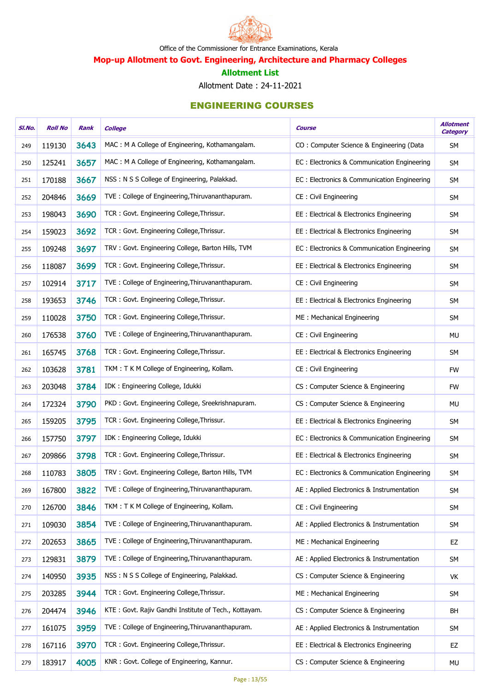

Mop-up Allotment to Govt. Engineering, Architecture and Pharmacy Colleges

#### Allotment List

Allotment Date : 24-11-2021

| SI.No. | <b>Roll No</b> | Rank | <b>College</b>                                        | <b>Course</b>                               | <b>Allotment</b><br><b>Category</b> |
|--------|----------------|------|-------------------------------------------------------|---------------------------------------------|-------------------------------------|
| 249    | 119130         | 3643 | MAC: M A College of Engineering, Kothamangalam.       | CO: Computer Science & Engineering (Data    | <b>SM</b>                           |
| 250    | 125241         | 3657 | MAC: M A College of Engineering, Kothamangalam.       | EC: Electronics & Communication Engineering | <b>SM</b>                           |
| 251    | 170188         | 3667 | NSS: N S S College of Engineering, Palakkad.          | EC: Electronics & Communication Engineering | SM                                  |
| 252    | 204846         | 3669 | TVE: College of Engineering, Thiruvananthapuram.      | CE: Civil Engineering                       | <b>SM</b>                           |
| 253    | 198043         | 3690 | TCR: Govt. Engineering College, Thrissur.             | EE : Electrical & Electronics Engineering   | <b>SM</b>                           |
| 254    | 159023         | 3692 | TCR: Govt. Engineering College, Thrissur.             | EE: Electrical & Electronics Engineering    | <b>SM</b>                           |
| 255    | 109248         | 3697 | TRV: Govt. Engineering College, Barton Hills, TVM     | EC: Electronics & Communication Engineering | <b>SM</b>                           |
| 256    | 118087         | 3699 | TCR: Govt. Engineering College, Thrissur.             | EE: Electrical & Electronics Engineering    | SM                                  |
| 257    | 102914         | 3717 | TVE: College of Engineering, Thiruvananthapuram.      | CE: Civil Engineering                       | <b>SM</b>                           |
| 258    | 193653         | 3746 | TCR: Govt. Engineering College, Thrissur.             | EE: Electrical & Electronics Engineering    | <b>SM</b>                           |
| 259    | 110028         | 3750 | TCR: Govt. Engineering College, Thrissur.             | ME: Mechanical Engineering                  | <b>SM</b>                           |
| 260    | 176538         | 3760 | TVE: College of Engineering, Thiruvananthapuram.      | CE: Civil Engineering                       | MU                                  |
| 261    | 165745         | 3768 | TCR: Govt. Engineering College, Thrissur.             | EE : Electrical & Electronics Engineering   | <b>SM</b>                           |
| 262    | 103628         | 3781 | TKM: T K M College of Engineering, Kollam.            | CE: Civil Engineering                       | <b>FW</b>                           |
| 263    | 203048         | 3784 | IDK: Engineering College, Idukki                      | CS : Computer Science & Engineering         | <b>FW</b>                           |
| 264    | 172324         | 3790 | PKD: Govt. Engineering College, Sreekrishnapuram.     | CS: Computer Science & Engineering          | <b>MU</b>                           |
| 265    | 159205         | 3795 | TCR: Govt. Engineering College, Thrissur.             | EE: Electrical & Electronics Engineering    | <b>SM</b>                           |
| 266    | 157750         | 3797 | IDK: Engineering College, Idukki                      | EC: Electronics & Communication Engineering | SM                                  |
| 267    | 209866         | 3798 | TCR: Govt. Engineering College, Thrissur.             | EE : Electrical & Electronics Engineering   | <b>SM</b>                           |
| 268    | 110783         | 3805 | TRV: Govt. Engineering College, Barton Hills, TVM     | EC: Electronics & Communication Engineering | SM                                  |
| 269    | 167800         | 3822 | TVE: College of Engineering, Thiruvananthapuram.      | AE : Applied Electronics & Instrumentation  | <b>SM</b>                           |
| 270    | 126700         | 3846 | TKM: T K M College of Engineering, Kollam.            | CE: Civil Engineering                       | <b>SM</b>                           |
| 271    | 109030         | 3854 | TVE: College of Engineering, Thiruvananthapuram.      | AE : Applied Electronics & Instrumentation  | <b>SM</b>                           |
| 272    | 202653         | 3865 | TVE: College of Engineering, Thiruvananthapuram.      | ME: Mechanical Engineering                  | EZ                                  |
| 273    | 129831         | 3879 | TVE: College of Engineering, Thiruvananthapuram.      | AE : Applied Electronics & Instrumentation  | <b>SM</b>                           |
| 274    | 140950         | 3935 | NSS: N S S College of Engineering, Palakkad.          | CS: Computer Science & Engineering          | VK                                  |
| 275    | 203285         | 3944 | TCR: Govt. Engineering College, Thrissur.             | ME: Mechanical Engineering                  | <b>SM</b>                           |
| 276    | 204474         | 3946 | KTE: Govt. Rajiv Gandhi Institute of Tech., Kottayam. | CS: Computer Science & Engineering          | <b>BH</b>                           |
| 277    | 161075         | 3959 | TVE: College of Engineering, Thiruvananthapuram.      | AE : Applied Electronics & Instrumentation  | <b>SM</b>                           |
| 278    | 167116         | 3970 | TCR: Govt. Engineering College, Thrissur.             | EE: Electrical & Electronics Engineering    | EZ                                  |
| 279    | 183917         | 4005 | KNR: Govt. College of Engineering, Kannur.            | CS: Computer Science & Engineering          | MU                                  |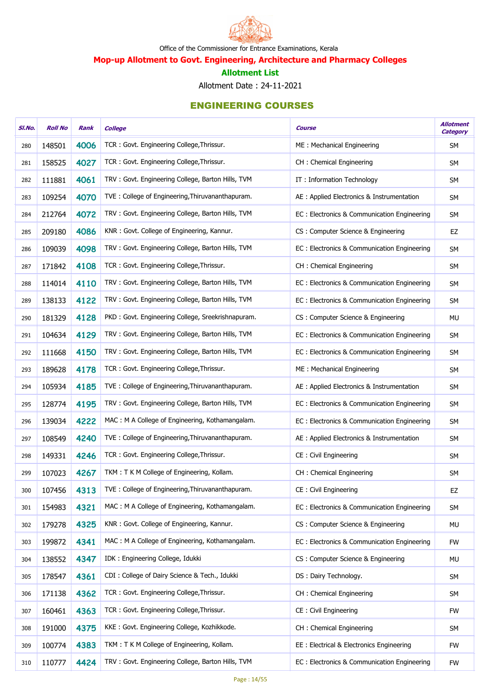

Mop-up Allotment to Govt. Engineering, Architecture and Pharmacy Colleges

#### Allotment List

Allotment Date : 24-11-2021

| SI.No. | <b>Roll No</b> | Rank | <b>College</b>                                    | <b>Course</b>                               | <b>Allotment</b><br><b>Category</b> |
|--------|----------------|------|---------------------------------------------------|---------------------------------------------|-------------------------------------|
| 280    | 148501         | 4006 | TCR: Govt. Engineering College, Thrissur.         | ME: Mechanical Engineering                  | <b>SM</b>                           |
| 281    | 158525         | 4027 | TCR: Govt. Engineering College, Thrissur.         | CH: Chemical Engineering                    | <b>SM</b>                           |
| 282    | 111881         | 4061 | TRV: Govt. Engineering College, Barton Hills, TVM | IT: Information Technology                  | SM                                  |
| 283    | 109254         | 4070 | TVE: College of Engineering, Thiruvananthapuram.  | AE : Applied Electronics & Instrumentation  | SM                                  |
| 284    | 212764         | 4072 | TRV: Govt. Engineering College, Barton Hills, TVM | EC: Electronics & Communication Engineering | SM                                  |
| 285    | 209180         | 4086 | KNR: Govt. College of Engineering, Kannur.        | CS: Computer Science & Engineering          | EZ                                  |
| 286    | 109039         | 4098 | TRV: Govt. Engineering College, Barton Hills, TVM | EC: Electronics & Communication Engineering | SM                                  |
| 287    | 171842         | 4108 | TCR: Govt. Engineering College, Thrissur.         | CH : Chemical Engineering                   | SM                                  |
| 288    | 114014         | 4110 | TRV: Govt. Engineering College, Barton Hills, TVM | EC: Electronics & Communication Engineering | SM                                  |
| 289    | 138133         | 4122 | TRV: Govt. Engineering College, Barton Hills, TVM | EC: Electronics & Communication Engineering | SM                                  |
| 290    | 181329         | 4128 | PKD: Govt. Engineering College, Sreekrishnapuram. | CS: Computer Science & Engineering          | <b>MU</b>                           |
| 291    | 104634         | 4129 | TRV: Govt. Engineering College, Barton Hills, TVM | EC: Electronics & Communication Engineering | SM                                  |
| 292    | 111668         | 4150 | TRV: Govt. Engineering College, Barton Hills, TVM | EC: Electronics & Communication Engineering | SM                                  |
| 293    | 189628         | 4178 | TCR: Govt. Engineering College, Thrissur.         | ME: Mechanical Engineering                  | SM                                  |
| 294    | 105934         | 4185 | TVE: College of Engineering, Thiruvananthapuram.  | AE : Applied Electronics & Instrumentation  | SM                                  |
| 295    | 128774         | 4195 | TRV: Govt. Engineering College, Barton Hills, TVM | EC: Electronics & Communication Engineering | SM                                  |
| 296    | 139034         | 4222 | MAC: M A College of Engineering, Kothamangalam.   | EC: Electronics & Communication Engineering | SM                                  |
| 297    | 108549         | 4240 | TVE: College of Engineering, Thiruvananthapuram.  | AE : Applied Electronics & Instrumentation  | SM                                  |
| 298    | 149331         | 4246 | TCR: Govt. Engineering College, Thrissur.         | CE : Civil Engineering                      | SM                                  |
| 299    | 107023         | 4267 | TKM: T K M College of Engineering, Kollam.        | CH: Chemical Engineering                    | <b>SM</b>                           |
| 300    | 107456         | 4313 | TVE: College of Engineering, Thiruvananthapuram.  | CE: Civil Engineering                       | EZ                                  |
| 301    | 154983         | 4321 | MAC: M A College of Engineering, Kothamangalam.   | EC: Electronics & Communication Engineering | SM                                  |
| 302    | 179278         | 4325 | KNR: Govt. College of Engineering, Kannur.        | CS: Computer Science & Engineering          | MU                                  |
| 303    | 199872         | 4341 | MAC: M A College of Engineering, Kothamangalam.   | EC: Electronics & Communication Engineering | <b>FW</b>                           |
| 304    | 138552         | 4347 | IDK: Engineering College, Idukki                  | CS: Computer Science & Engineering          | MU                                  |
| 305    | 178547         | 4361 | CDI: College of Dairy Science & Tech., Idukki     | DS: Dairy Technology.                       | <b>SM</b>                           |
| 306    | 171138         | 4362 | TCR: Govt. Engineering College, Thrissur.         | CH: Chemical Engineering                    | SM                                  |
| 307    | 160461         | 4363 | TCR: Govt. Engineering College, Thrissur.         | CE : Civil Engineering                      | <b>FW</b>                           |
| 308    | 191000         | 4375 | KKE: Govt. Engineering College, Kozhikkode.       | CH: Chemical Engineering                    | SM                                  |
| 309    | 100774         | 4383 | TKM: T K M College of Engineering, Kollam.        | EE : Electrical & Electronics Engineering   | <b>FW</b>                           |
| 310    | 110777         | 4424 | TRV: Govt. Engineering College, Barton Hills, TVM | EC: Electronics & Communication Engineering | <b>FW</b>                           |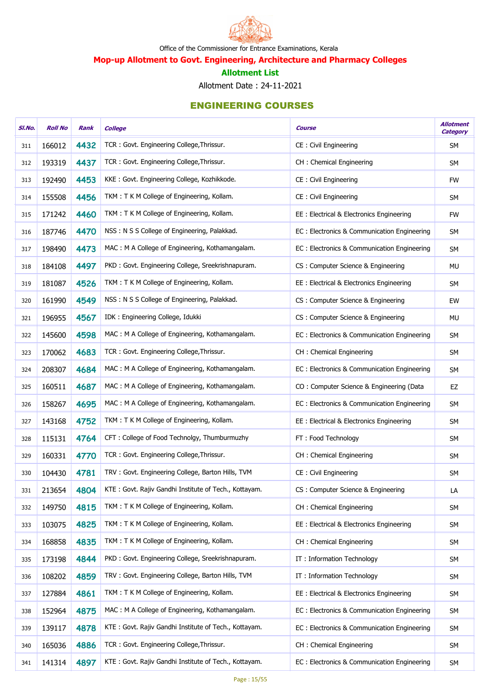

Mop-up Allotment to Govt. Engineering, Architecture and Pharmacy Colleges

#### Allotment List

Allotment Date : 24-11-2021

| SI.No. | <b>Roll No</b> | Rank | <b>College</b>                                        | <b>Course</b>                               | <b>Allotment</b><br><b>Category</b> |
|--------|----------------|------|-------------------------------------------------------|---------------------------------------------|-------------------------------------|
| 311    | 166012         | 4432 | TCR: Govt. Engineering College, Thrissur.             | CE: Civil Engineering                       | SM                                  |
| 312    | 193319         | 4437 | TCR: Govt. Engineering College, Thrissur.             | CH: Chemical Engineering                    | <b>SM</b>                           |
| 313    | 192490         | 4453 | KKE: Govt. Engineering College, Kozhikkode.           | CE: Civil Engineering                       | <b>FW</b>                           |
| 314    | 155508         | 4456 | TKM: TKM College of Engineering, Kollam.              | CE: Civil Engineering                       | <b>SM</b>                           |
| 315    | 171242         | 4460 | TKM: T K M College of Engineering, Kollam.            | EE : Electrical & Electronics Engineering   | <b>FW</b>                           |
| 316    | 187746         | 4470 | NSS: N S S College of Engineering, Palakkad.          | EC: Electronics & Communication Engineering | <b>SM</b>                           |
| 317    | 198490         | 4473 | MAC: M A College of Engineering, Kothamangalam.       | EC: Electronics & Communication Engineering | SM                                  |
| 318    | 184108         | 4497 | PKD: Govt. Engineering College, Sreekrishnapuram.     | CS: Computer Science & Engineering          | MU                                  |
| 319    | 181087         | 4526 | TKM: T K M College of Engineering, Kollam.            | EE: Electrical & Electronics Engineering    | SM                                  |
| 320    | 161990         | 4549 | NSS: N S S College of Engineering, Palakkad.          | CS: Computer Science & Engineering          | EW                                  |
| 321    | 196955         | 4567 | IDK: Engineering College, Idukki                      | CS: Computer Science & Engineering          | <b>MU</b>                           |
| 322    | 145600         | 4598 | MAC: M A College of Engineering, Kothamangalam.       | EC: Electronics & Communication Engineering | SM                                  |
| 323    | 170062         | 4683 | TCR: Govt. Engineering College, Thrissur.             | CH: Chemical Engineering                    | SM                                  |
| 324    | 208307         | 4684 | MAC: M A College of Engineering, Kothamangalam.       | EC: Electronics & Communication Engineering | <b>SM</b>                           |
| 325    | 160511         | 4687 | MAC: M A College of Engineering, Kothamangalam.       | CO: Computer Science & Engineering (Data    | EZ                                  |
| 326    | 158267         | 4695 | MAC: M A College of Engineering, Kothamangalam.       | EC: Electronics & Communication Engineering | SM                                  |
| 327    | 143168         | 4752 | TKM: T K M College of Engineering, Kollam.            | EE : Electrical & Electronics Engineering   | SM                                  |
| 328    | 115131         | 4764 | CFT: College of Food Technolgy, Thumburmuzhy          | FT: Food Technology                         | <b>SM</b>                           |
| 329    | 160331         | 4770 | TCR: Govt. Engineering College, Thrissur.             | CH: Chemical Engineering                    | <b>SM</b>                           |
| 330    | 104430         | 4781 | TRV: Govt. Engineering College, Barton Hills, TVM     | CE: Civil Engineering                       | <b>SM</b>                           |
| 331    | 213654         | 4804 | KTE: Govt. Rajiv Gandhi Institute of Tech., Kottayam. | CS: Computer Science & Engineering          | LA                                  |
| 332    | 149750         | 4815 | TKM: T K M College of Engineering, Kollam.            | CH: Chemical Engineering                    | SM                                  |
| 333    | 103075         | 4825 | TKM: T K M College of Engineering, Kollam.            | EE: Electrical & Electronics Engineering    | <b>SM</b>                           |
| 334    | 168858         | 4835 | TKM: T K M College of Engineering, Kollam.            | CH: Chemical Engineering                    | <b>SM</b>                           |
| 335    | 173198         | 4844 | PKD: Govt. Engineering College, Sreekrishnapuram.     | IT: Information Technology                  | <b>SM</b>                           |
| 336    | 108202         | 4859 | TRV: Govt. Engineering College, Barton Hills, TVM     | IT: Information Technology                  | <b>SM</b>                           |
| 337    | 127884         | 4861 | TKM: T K M College of Engineering, Kollam.            | EE: Electrical & Electronics Engineering    | SM                                  |
| 338    | 152964         | 4875 | MAC: M A College of Engineering, Kothamangalam.       | EC: Electronics & Communication Engineering | <b>SM</b>                           |
| 339    | 139117         | 4878 | KTE: Govt. Rajiv Gandhi Institute of Tech., Kottayam. | EC: Electronics & Communication Engineering | SM                                  |
| 340    | 165036         | 4886 | TCR: Govt. Engineering College, Thrissur.             | CH: Chemical Engineering                    | SM                                  |
| 341    | 141314         | 4897 | KTE: Govt. Rajiv Gandhi Institute of Tech., Kottayam. | EC: Electronics & Communication Engineering | <b>SM</b>                           |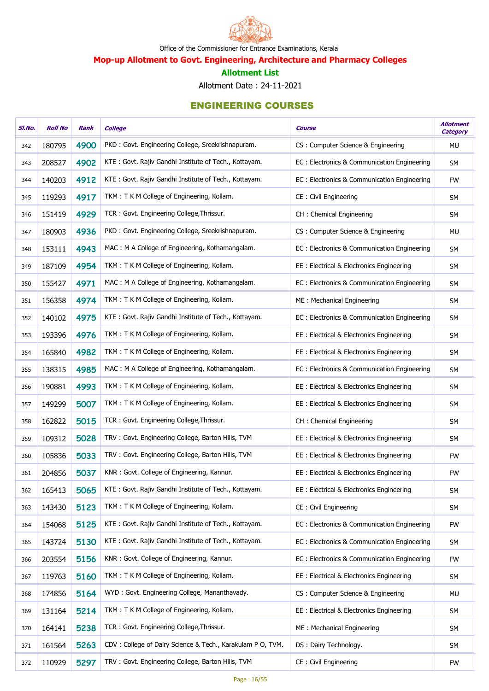

Mop-up Allotment to Govt. Engineering, Architecture and Pharmacy Colleges

#### Allotment List

Allotment Date : 24-11-2021

| SI.No. | <b>Roll No</b> | Rank | <b>College</b>                                             | <b>Course</b>                               | <b>Allotment</b><br><b>Category</b> |
|--------|----------------|------|------------------------------------------------------------|---------------------------------------------|-------------------------------------|
| 342    | 180795         | 4900 | PKD: Govt. Engineering College, Sreekrishnapuram.          | CS: Computer Science & Engineering          | <b>MU</b>                           |
| 343    | 208527         | 4902 | KTE: Govt. Rajiv Gandhi Institute of Tech., Kottayam.      | EC: Electronics & Communication Engineering | <b>SM</b>                           |
| 344    | 140203         | 4912 | KTE: Govt. Rajiv Gandhi Institute of Tech., Kottayam.      | EC: Electronics & Communication Engineering | <b>FW</b>                           |
| 345    | 119293         | 4917 | TKM: T K M College of Engineering, Kollam.                 | CE: Civil Engineering                       | SM                                  |
| 346    | 151419         | 4929 | TCR: Govt. Engineering College, Thrissur.                  | CH : Chemical Engineering                   | <b>SM</b>                           |
| 347    | 180903         | 4936 | PKD: Govt. Engineering College, Sreekrishnapuram.          | CS: Computer Science & Engineering          | <b>MU</b>                           |
| 348    | 153111         | 4943 | MAC: M A College of Engineering, Kothamangalam.            | EC: Electronics & Communication Engineering | SM                                  |
| 349    | 187109         | 4954 | TKM: T K M College of Engineering, Kollam.                 | EE : Electrical & Electronics Engineering   | SM                                  |
| 350    | 155427         | 4971 | MAC: M A College of Engineering, Kothamangalam.            | EC: Electronics & Communication Engineering | <b>SM</b>                           |
| 351    | 156358         | 4974 | TKM: T K M College of Engineering, Kollam.                 | ME: Mechanical Engineering                  | SM                                  |
| 352    | 140102         | 4975 | KTE: Govt. Rajiv Gandhi Institute of Tech., Kottayam.      | EC: Electronics & Communication Engineering | SM                                  |
| 353    | 193396         | 4976 | TKM: T K M College of Engineering, Kollam.                 | EE : Electrical & Electronics Engineering   | SM                                  |
| 354    | 165840         | 4982 | TKM: T K M College of Engineering, Kollam.                 | EE: Electrical & Electronics Engineering    | SM                                  |
| 355    | 138315         | 4985 | MAC: M A College of Engineering, Kothamangalam.            | EC: Electronics & Communication Engineering | SM                                  |
| 356    | 190881         | 4993 | TKM: T K M College of Engineering, Kollam.                 | EE : Electrical & Electronics Engineering   | <b>SM</b>                           |
| 357    | 149299         | 5007 | TKM: T K M College of Engineering, Kollam.                 | EE : Electrical & Electronics Engineering   | SM                                  |
| 358    | 162822         | 5015 | TCR: Govt. Engineering College, Thrissur.                  | CH: Chemical Engineering                    | <b>SM</b>                           |
| 359    | 109312         | 5028 | TRV: Govt. Engineering College, Barton Hills, TVM          | EE: Electrical & Electronics Engineering    | <b>SM</b>                           |
| 360    | 105836         | 5033 | TRV: Govt. Engineering College, Barton Hills, TVM          | EE : Electrical & Electronics Engineering   | <b>FW</b>                           |
| 361    | 204856         | 5037 | KNR: Govt. College of Engineering, Kannur.                 | EE: Electrical & Electronics Engineering    | <b>FW</b>                           |
| 362    | 165413         | 5065 | KTE: Govt. Rajiv Gandhi Institute of Tech., Kottayam.      | EE: Electrical & Electronics Engineering    | <b>SM</b>                           |
| 363    | 143430         | 5123 | TKM: T K M College of Engineering, Kollam.                 | <b>CE: Civil Engineering</b>                | SM                                  |
| 364    | 154068         | 5125 | KTE: Govt. Rajiv Gandhi Institute of Tech., Kottayam.      | EC: Electronics & Communication Engineering | <b>FW</b>                           |
| 365    | 143724         | 5130 | KTE: Govt. Rajiv Gandhi Institute of Tech., Kottayam.      | EC: Electronics & Communication Engineering | SM                                  |
| 366    | 203554         | 5156 | KNR: Govt. College of Engineering, Kannur.                 | EC: Electronics & Communication Engineering | <b>FW</b>                           |
| 367    | 119763         | 5160 | TKM: T K M College of Engineering, Kollam.                 | EE: Electrical & Electronics Engineering    | SM                                  |
| 368    | 174856         | 5164 | WYD: Govt. Engineering College, Mananthavady.              | CS: Computer Science & Engineering          | MU                                  |
| 369    | 131164         | 5214 | TKM: T K M College of Engineering, Kollam.                 | EE: Electrical & Electronics Engineering    | SM                                  |
| 370    | 164141         | 5238 | TCR: Govt. Engineering College, Thrissur.                  | ME: Mechanical Engineering                  | <b>SM</b>                           |
| 371    | 161564         | 5263 | CDV: College of Dairy Science & Tech., Karakulam P O, TVM. | DS: Dairy Technology.                       | SM                                  |
| 372    | 110929         | 5297 | TRV: Govt. Engineering College, Barton Hills, TVM          | CE: Civil Engineering                       | <b>FW</b>                           |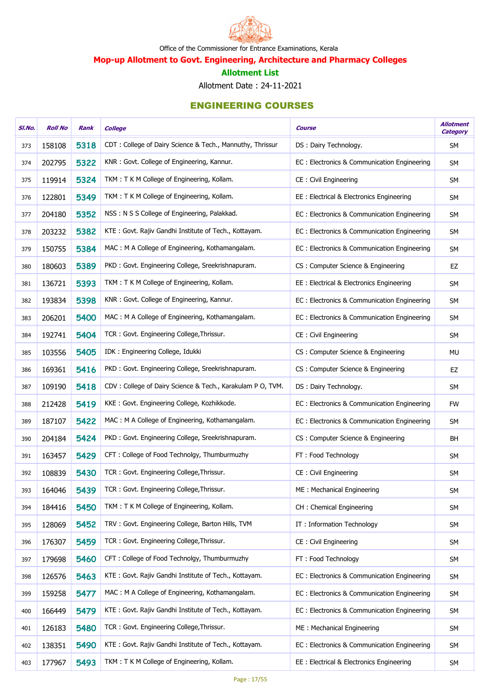

Mop-up Allotment to Govt. Engineering, Architecture and Pharmacy Colleges

#### Allotment List

Allotment Date : 24-11-2021

| SI.No. | <b>Roll No</b> | Rank | <b>College</b>                                             | <b>Course</b>                                | <b>Allotment</b><br><b>Category</b> |
|--------|----------------|------|------------------------------------------------------------|----------------------------------------------|-------------------------------------|
| 373    | 158108         | 5318 | CDT: College of Dairy Science & Tech., Mannuthy, Thrissur  | DS: Dairy Technology.                        | <b>SM</b>                           |
| 374    | 202795         | 5322 | KNR: Govt. College of Engineering, Kannur.                 | EC: Electronics & Communication Engineering  | <b>SM</b>                           |
| 375    | 119914         | 5324 | TKM: T K M College of Engineering, Kollam.                 | CE: Civil Engineering                        | SM                                  |
| 376    | 122801         | 5349 | TKM: T K M College of Engineering, Kollam.                 | EE : Electrical & Electronics Engineering    | SM                                  |
| 377    | 204180         | 5352 | NSS: N S S College of Engineering, Palakkad.               | EC : Electronics & Communication Engineering | SM                                  |
| 378    | 203232         | 5382 | KTE: Govt. Rajiv Gandhi Institute of Tech., Kottayam.      | EC: Electronics & Communication Engineering  | <b>SM</b>                           |
| 379    | 150755         | 5384 | MAC: M A College of Engineering, Kothamangalam.            | EC: Electronics & Communication Engineering  | SM                                  |
| 380    | 180603         | 5389 | PKD: Govt. Engineering College, Sreekrishnapuram.          | CS: Computer Science & Engineering           | EZ                                  |
| 381    | 136721         | 5393 | TKM: T K M College of Engineering, Kollam.                 | EE: Electrical & Electronics Engineering     | SM                                  |
| 382    | 193834         | 5398 | KNR: Govt. College of Engineering, Kannur.                 | EC: Electronics & Communication Engineering  | <b>SM</b>                           |
| 383    | 206201         | 5400 | MAC: M A College of Engineering, Kothamangalam.            | EC: Electronics & Communication Engineering  | SM                                  |
| 384    | 192741         | 5404 | TCR: Govt. Engineering College, Thrissur.                  | CE: Civil Engineering                        | SM                                  |
| 385    | 103556         | 5405 | IDK: Engineering College, Idukki                           | CS : Computer Science & Engineering          | MU                                  |
| 386    | 169361         | 5416 | PKD: Govt. Engineering College, Sreekrishnapuram.          | CS: Computer Science & Engineering           | EZ                                  |
| 387    | 109190         | 5418 | CDV: College of Dairy Science & Tech., Karakulam P O, TVM. | DS: Dairy Technology.                        | SM                                  |
| 388    | 212428         | 5419 | KKE: Govt. Engineering College, Kozhikkode.                | EC: Electronics & Communication Engineering  | <b>FW</b>                           |
| 389    | 187107         | 5422 | MAC: M A College of Engineering, Kothamangalam.            | EC: Electronics & Communication Engineering  | SM                                  |
| 390    | 204184         | 5424 | PKD: Govt. Engineering College, Sreekrishnapuram.          | CS: Computer Science & Engineering           | BH                                  |
| 391    | 163457         | 5429 | CFT: College of Food Technolgy, Thumburmuzhy               | FT: Food Technology                          | <b>SM</b>                           |
| 392    | 108839         | 5430 | TCR: Govt. Engineering College, Thrissur.                  | CE: Civil Engineering                        | <b>SM</b>                           |
| 393    | 164046         | 5439 | TCR: Govt. Engineering College, Thrissur.                  | ME: Mechanical Engineering                   | <b>SM</b>                           |
| 394    | 184416         | 5450 | TKM: T K M College of Engineering, Kollam.                 | CH: Chemical Engineering                     | <b>SM</b>                           |
| 395    | 128069         | 5452 | TRV: Govt. Engineering College, Barton Hills, TVM          | IT: Information Technology                   | <b>SM</b>                           |
| 396    | 176307         | 5459 | TCR: Govt. Engineering College, Thrissur.                  | CE: Civil Engineering                        | <b>SM</b>                           |
| 397    | 179698         | 5460 | CFT: College of Food Technolgy, Thumburmuzhy               | FT: Food Technology                          | <b>SM</b>                           |
| 398    | 126576         | 5463 | KTE: Govt. Rajiv Gandhi Institute of Tech., Kottayam.      | EC: Electronics & Communication Engineering  | <b>SM</b>                           |
| 399    | 159258         | 5477 | MAC: M A College of Engineering, Kothamangalam.            | EC: Electronics & Communication Engineering  | <b>SM</b>                           |
| 400    | 166449         | 5479 | KTE: Govt. Rajiv Gandhi Institute of Tech., Kottayam.      | EC: Electronics & Communication Engineering  | <b>SM</b>                           |
| 401    | 126183         | 5480 | TCR: Govt. Engineering College, Thrissur.                  | ME: Mechanical Engineering                   | SM                                  |
| 402    | 138351         | 5490 | KTE: Govt. Rajiv Gandhi Institute of Tech., Kottayam.      | EC: Electronics & Communication Engineering  | SM                                  |
| 403    | 177967         | 5493 | TKM: T K M College of Engineering, Kollam.                 | EE : Electrical & Electronics Engineering    | SM                                  |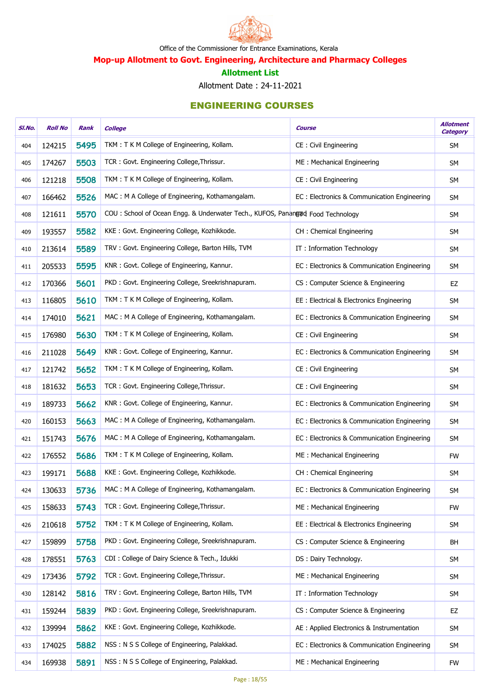

Mop-up Allotment to Govt. Engineering, Architecture and Pharmacy Colleges

#### Allotment List

Allotment Date : 24-11-2021

| SI.No. | <b>Roll No</b> | Rank | <b>College</b>                                                                 | <b>Course</b>                               | <b>Allotment</b><br><b>Category</b> |
|--------|----------------|------|--------------------------------------------------------------------------------|---------------------------------------------|-------------------------------------|
| 404    | 124215         | 5495 | TKM: T K M College of Engineering, Kollam.                                     | CE: Civil Engineering                       | SM                                  |
| 405    | 174267         | 5503 | TCR: Govt. Engineering College, Thrissur.                                      | ME: Mechanical Engineering                  | <b>SM</b>                           |
| 406    | 121218         | 5508 | TKM: TKM College of Engineering, Kollam.                                       | CE: Civil Engineering                       | <b>SM</b>                           |
| 407    | 166462         | 5526 | MAC: M A College of Engineering, Kothamangalam.                                | EC: Electronics & Communication Engineering | <b>SM</b>                           |
| 408    | 121611         | 5570 | COU: School of Ocean Engg. & Underwater Tech., KUFOS, Panangud Food Technology |                                             | <b>SM</b>                           |
| 409    | 193557         | 5582 | KKE: Govt. Engineering College, Kozhikkode.                                    | CH: Chemical Engineering                    | <b>SM</b>                           |
| 410    | 213614         | 5589 | TRV: Govt. Engineering College, Barton Hills, TVM                              | IT: Information Technology                  | <b>SM</b>                           |
| 411    | 205533         | 5595 | KNR: Govt. College of Engineering, Kannur.                                     | EC: Electronics & Communication Engineering | <b>SM</b>                           |
| 412    | 170366         | 5601 | PKD: Govt. Engineering College, Sreekrishnapuram.                              | CS: Computer Science & Engineering          | EZ                                  |
| 413    | 116805         | 5610 | TKM: T K M College of Engineering, Kollam.                                     | EE: Electrical & Electronics Engineering    | <b>SM</b>                           |
| 414    | 174010         | 5621 | MAC: M A College of Engineering, Kothamangalam.                                | EC: Electronics & Communication Engineering | <b>SM</b>                           |
| 415    | 176980         | 5630 | TKM: TKM College of Engineering, Kollam.                                       | CE: Civil Engineering                       | <b>SM</b>                           |
| 416    | 211028         | 5649 | KNR: Govt. College of Engineering, Kannur.                                     | EC: Electronics & Communication Engineering | <b>SM</b>                           |
| 417    | 121742         | 5652 | TKM: T K M College of Engineering, Kollam.                                     | CE: Civil Engineering                       | <b>SM</b>                           |
| 418    | 181632         | 5653 | TCR: Govt. Engineering College, Thrissur.                                      | CE: Civil Engineering                       | <b>SM</b>                           |
| 419    | 189733         | 5662 | KNR: Govt. College of Engineering, Kannur.                                     | EC: Electronics & Communication Engineering | <b>SM</b>                           |
| 420    | 160153         | 5663 | MAC: M A College of Engineering, Kothamangalam.                                | EC: Electronics & Communication Engineering | <b>SM</b>                           |
| 421    | 151743         | 5676 | MAC: M A College of Engineering, Kothamangalam.                                | EC: Electronics & Communication Engineering | <b>SM</b>                           |
| 422    | 176552         | 5686 | TKM: T K M College of Engineering, Kollam.                                     | ME: Mechanical Engineering                  | <b>FW</b>                           |
| 423    | 199171         | 5688 | KKE: Govt. Engineering College, Kozhikkode.                                    | CH : Chemical Engineering                   | <b>SM</b>                           |
| 424    | 130633         | 5736 | MAC: M A College of Engineering, Kothamangalam.                                | EC: Electronics & Communication Engineering | <b>SM</b>                           |
| 425    | 158633         | 5743 | TCR: Govt. Engineering College, Thrissur.                                      | ME: Mechanical Engineering                  | <b>FW</b>                           |
| 426    | 210618         | 5752 | TKM: T K M College of Engineering, Kollam.                                     | EE: Electrical & Electronics Engineering    | <b>SM</b>                           |
| 427    | 159899         | 5758 | PKD: Govt. Engineering College, Sreekrishnapuram.                              | CS: Computer Science & Engineering          | BH                                  |
| 428    | 178551         | 5763 | CDI: College of Dairy Science & Tech., Idukki                                  | DS: Dairy Technology.                       | <b>SM</b>                           |
| 429    | 173436         | 5792 | TCR: Govt. Engineering College, Thrissur.                                      | ME: Mechanical Engineering                  | <b>SM</b>                           |
| 430    | 128142         | 5816 | TRV: Govt. Engineering College, Barton Hills, TVM                              | IT: Information Technology                  | SM                                  |
| 431    | 159244         | 5839 | PKD: Govt. Engineering College, Sreekrishnapuram.                              | CS: Computer Science & Engineering          | EZ                                  |
| 432    | 139994         | 5862 | KKE: Govt. Engineering College, Kozhikkode.                                    | AE : Applied Electronics & Instrumentation  | SM                                  |
| 433    | 174025         | 5882 | NSS: N S S College of Engineering, Palakkad.                                   | EC: Electronics & Communication Engineering | <b>SM</b>                           |
| 434    | 169938         | 5891 | NSS: N S S College of Engineering, Palakkad.                                   | ME: Mechanical Engineering                  | <b>FW</b>                           |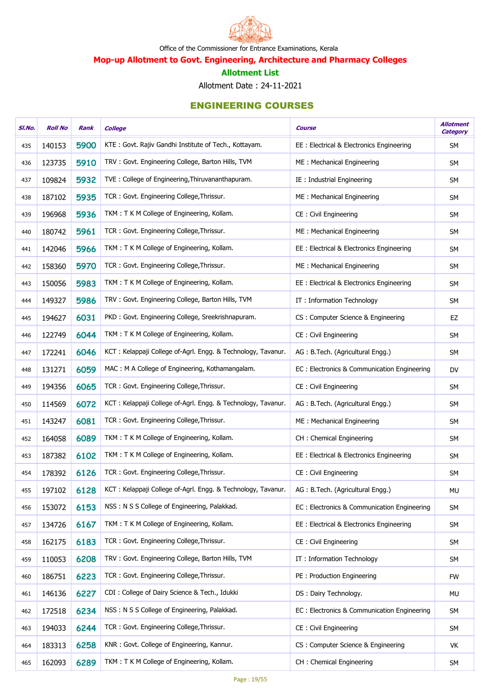

Mop-up Allotment to Govt. Engineering, Architecture and Pharmacy Colleges

#### Allotment List

Allotment Date : 24-11-2021

| SI.No. | <b>Roll No</b> | Rank | <b>College</b>                                               | <b>Course</b>                               | <b>Allotment</b><br><b>Category</b> |
|--------|----------------|------|--------------------------------------------------------------|---------------------------------------------|-------------------------------------|
| 435    | 140153         | 5900 | KTE: Govt. Rajiv Gandhi Institute of Tech., Kottayam.        | EE : Electrical & Electronics Engineering   | <b>SM</b>                           |
| 436    | 123735         | 5910 | TRV: Govt. Engineering College, Barton Hills, TVM            | ME: Mechanical Engineering                  | SM                                  |
| 437    | 109824         | 5932 | TVE: College of Engineering, Thiruvananthapuram.             | IE : Industrial Engineering                 | <b>SM</b>                           |
| 438    | 187102         | 5935 | TCR: Govt. Engineering College, Thrissur.                    | ME: Mechanical Engineering                  | SM                                  |
| 439    | 196968         | 5936 | TKM: T K M College of Engineering, Kollam.                   | CE: Civil Engineering                       | SM                                  |
| 440    | 180742         | 5961 | TCR: Govt. Engineering College, Thrissur.                    | ME: Mechanical Engineering                  | SM                                  |
| 441    | 142046         | 5966 | TKM: T K M College of Engineering, Kollam.                   | EE : Electrical & Electronics Engineering   | SM                                  |
| 442    | 158360         | 5970 | TCR: Govt. Engineering College, Thrissur.                    | ME: Mechanical Engineering                  | SM                                  |
| 443    | 150056         | 5983 | TKM: T K M College of Engineering, Kollam.                   | EE : Electrical & Electronics Engineering   | SM                                  |
| 444    | 149327         | 5986 | TRV: Govt. Engineering College, Barton Hills, TVM            | IT: Information Technology                  | SM                                  |
| 445    | 194627         | 6031 | PKD: Govt. Engineering College, Sreekrishnapuram.            | CS: Computer Science & Engineering          | EZ                                  |
| 446    | 122749         | 6044 | TKM: T K M College of Engineering, Kollam.                   | CE: Civil Engineering                       | SM                                  |
| 447    | 172241         | 6046 | KCT: Kelappaji College of-Agrl. Engg. & Technology, Tavanur. | AG: B.Tech. (Agricultural Engg.)            | SM                                  |
| 448    | 131271         | 6059 | MAC: M A College of Engineering, Kothamangalam.              | EC: Electronics & Communication Engineering | <b>DV</b>                           |
| 449    | 194356         | 6065 | TCR: Govt. Engineering College, Thrissur.                    | CE : Civil Engineering                      | <b>SM</b>                           |
| 450    | 114569         | 6072 | KCT: Kelappaji College of-Agrl. Engg. & Technology, Tavanur. | AG: B.Tech. (Agricultural Engg.)            | SM                                  |
| 451    | 143247         | 6081 | TCR: Govt. Engineering College, Thrissur.                    | ME: Mechanical Engineering                  | <b>SM</b>                           |
| 452    | 164058         | 6089 | TKM: T K M College of Engineering, Kollam.                   | CH : Chemical Engineering                   | SM                                  |
| 453    | 187382         | 6102 | TKM: T K M College of Engineering, Kollam.                   | EE : Electrical & Electronics Engineering   | <b>SM</b>                           |
| 454    | 178392         | 6126 | TCR: Govt. Engineering College, Thrissur.                    | CE: Civil Engineering                       | SM                                  |
| 455    | 197102         | 6128 | KCT: Kelappaji College of-Agrl. Engg. & Technology, Tavanur. | AG: B.Tech. (Agricultural Engg.)            | MU                                  |
| 456    | 153072         | 6153 | NSS: N S S College of Engineering, Palakkad.                 | EC: Electronics & Communication Engineering | SM                                  |
| 457    | 134726         | 6167 | TKM: T K M College of Engineering, Kollam.                   | EE : Electrical & Electronics Engineering   | SM                                  |
| 458    | 162175         | 6183 | TCR: Govt. Engineering College, Thrissur.                    | CE: Civil Engineering                       | SM                                  |
| 459    | 110053         | 6208 | TRV: Govt. Engineering College, Barton Hills, TVM            | IT: Information Technology                  | <b>SM</b>                           |
| 460    | 186751         | 6223 | TCR: Govt. Engineering College, Thrissur.                    | PE: Production Engineering                  | <b>FW</b>                           |
| 461    | 146136         | 6227 | CDI: College of Dairy Science & Tech., Idukki                | DS: Dairy Technology.                       | MU                                  |
| 462    | 172518         | 6234 | NSS: N S S College of Engineering, Palakkad.                 | EC: Electronics & Communication Engineering | SM                                  |
| 463    | 194033         | 6244 | TCR: Govt. Engineering College, Thrissur.                    | CE: Civil Engineering                       | <b>SM</b>                           |
| 464    | 183313         | 6258 | KNR: Govt. College of Engineering, Kannur.                   | CS: Computer Science & Engineering          | VK                                  |
| 465    | 162093         | 6289 | TKM: T K M College of Engineering, Kollam.                   | CH : Chemical Engineering                   | SM                                  |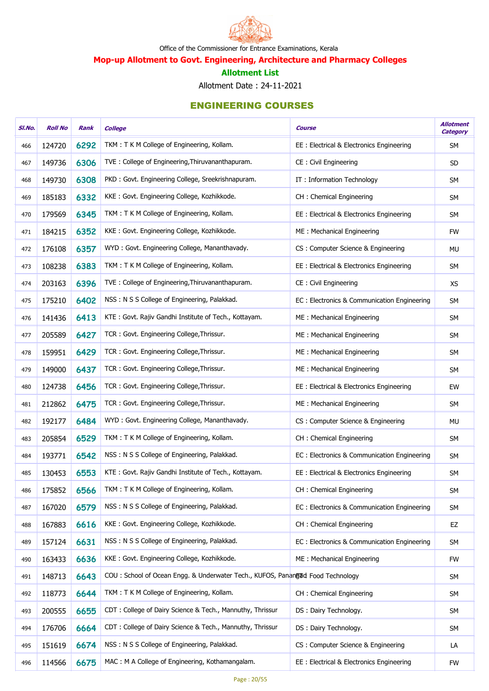

Mop-up Allotment to Govt. Engineering, Architecture and Pharmacy Colleges

#### Allotment List

Allotment Date : 24-11-2021

| SI.No. | <b>Roll No</b> | Rank | <b>College</b>                                                                 | <b>Course</b>                               | <b>Allotment</b><br><b>Category</b> |
|--------|----------------|------|--------------------------------------------------------------------------------|---------------------------------------------|-------------------------------------|
| 466    | 124720         | 6292 | TKM: T K M College of Engineering, Kollam.                                     | EE: Electrical & Electronics Engineering    | SM                                  |
| 467    | 149736         | 6306 | TVE: College of Engineering, Thiruvananthapuram.                               | CE : Civil Engineering                      | <b>SD</b>                           |
| 468    | 149730         | 6308 | PKD: Govt. Engineering College, Sreekrishnapuram.                              | IT: Information Technology                  | <b>SM</b>                           |
| 469    | 185183         | 6332 | KKE: Govt. Engineering College, Kozhikkode.                                    | CH: Chemical Engineering                    | <b>SM</b>                           |
| 470    | 179569         | 6345 | TKM: T K M College of Engineering, Kollam.                                     | EE: Electrical & Electronics Engineering    | <b>SM</b>                           |
| 471    | 184215         | 6352 | KKE: Govt. Engineering College, Kozhikkode.                                    | ME: Mechanical Engineering                  | <b>FW</b>                           |
| 472    | 176108         | 6357 | WYD: Govt. Engineering College, Mananthavady.                                  | CS: Computer Science & Engineering          | <b>MU</b>                           |
| 473    | 108238         | 6383 | TKM: TKM College of Engineering, Kollam.                                       | EE: Electrical & Electronics Engineering    | <b>SM</b>                           |
| 474    | 203163         | 6396 | TVE: College of Engineering, Thiruvananthapuram.                               | CE: Civil Engineering                       | <b>XS</b>                           |
| 475    | 175210         | 6402 | NSS: N S S College of Engineering, Palakkad.                                   | EC: Electronics & Communication Engineering | SM                                  |
| 476    | 141436         | 6413 | KTE: Govt. Rajiv Gandhi Institute of Tech., Kottayam.                          | ME: Mechanical Engineering                  | <b>SM</b>                           |
| 477    | 205589         | 6427 | TCR: Govt. Engineering College, Thrissur.                                      | ME: Mechanical Engineering                  | <b>SM</b>                           |
| 478    | 159951         | 6429 | TCR: Govt. Engineering College, Thrissur.                                      | ME: Mechanical Engineering                  | <b>SM</b>                           |
| 479    | 149000         | 6437 | TCR: Govt. Engineering College, Thrissur.                                      | ME: Mechanical Engineering                  | <b>SM</b>                           |
| 480    | 124738         | 6456 | TCR: Govt. Engineering College, Thrissur.                                      | EE: Electrical & Electronics Engineering    | EW                                  |
| 481    | 212862         | 6475 | TCR: Govt. Engineering College, Thrissur.                                      | ME: Mechanical Engineering                  | <b>SM</b>                           |
| 482    | 192177         | 6484 | WYD: Govt. Engineering College, Mananthavady.                                  | CS: Computer Science & Engineering          | <b>MU</b>                           |
| 483    | 205854         | 6529 | TKM: T K M College of Engineering, Kollam.                                     | CH : Chemical Engineering                   | <b>SM</b>                           |
| 484    | 193771         | 6542 | NSS: N S S College of Engineering, Palakkad.                                   | EC: Electronics & Communication Engineering | <b>SM</b>                           |
| 485    | 130453         | 6553 | KTE: Govt. Rajiv Gandhi Institute of Tech., Kottayam.                          | EE : Electrical & Electronics Engineering   | <b>SM</b>                           |
| 486    | 175852         | 6566 | TKM: T K M College of Engineering, Kollam.                                     | CH: Chemical Engineering                    | <b>SM</b>                           |
| 487    | 167020         | 6579 | NSS: N S S College of Engineering, Palakkad.                                   | EC: Electronics & Communication Engineering | <b>SM</b>                           |
| 488    | 167883         | 6616 | KKE: Govt. Engineering College, Kozhikkode.                                    | CH: Chemical Engineering                    | EZ                                  |
| 489    | 157124         | 6631 | NSS: N S S College of Engineering, Palakkad.                                   | EC: Electronics & Communication Engineering | <b>SM</b>                           |
| 490    | 163433         | 6636 | KKE: Govt. Engineering College, Kozhikkode.                                    | ME: Mechanical Engineering                  | <b>FW</b>                           |
| 491    | 148713         | 6643 | COU: School of Ocean Engg. & Underwater Tech., KUFOS, Panangad Food Technology |                                             | <b>SM</b>                           |
| 492    | 118773         | 6644 | TKM: T K M College of Engineering, Kollam.                                     | CH: Chemical Engineering                    | <b>SM</b>                           |
| 493    | 200555         | 6655 | CDT: College of Dairy Science & Tech., Mannuthy, Thrissur                      | DS: Dairy Technology.                       | <b>SM</b>                           |
| 494    | 176706         | 6664 | CDT: College of Dairy Science & Tech., Mannuthy, Thrissur                      | DS: Dairy Technology.                       | <b>SM</b>                           |
| 495    | 151619         | 6674 | NSS: N S S College of Engineering, Palakkad.                                   | CS: Computer Science & Engineering          | LA                                  |
| 496    | 114566         | 6675 | MAC: M A College of Engineering, Kothamangalam.                                | EE : Electrical & Electronics Engineering   | <b>FW</b>                           |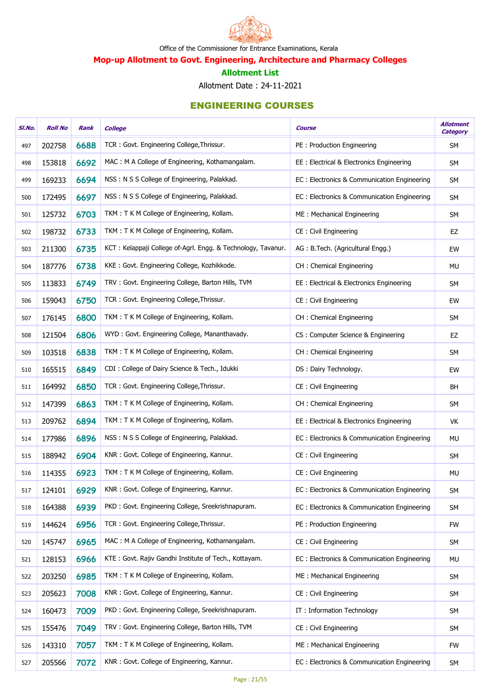

Mop-up Allotment to Govt. Engineering, Architecture and Pharmacy Colleges

#### Allotment List

Allotment Date : 24-11-2021

| SI.No. | <b>Roll No</b> | Rank | <b>College</b>                                               | <b>Course</b>                               | <b>Allotment</b><br><b>Category</b> |
|--------|----------------|------|--------------------------------------------------------------|---------------------------------------------|-------------------------------------|
| 497    | 202758         | 6688 | TCR: Govt. Engineering College, Thrissur.                    | PE: Production Engineering                  | SM                                  |
| 498    | 153818         | 6692 | MAC: M A College of Engineering, Kothamangalam.              | EE: Electrical & Electronics Engineering    | SM                                  |
| 499    | 169233         | 6694 | NSS: N S S College of Engineering, Palakkad.                 | EC: Electronics & Communication Engineering | SM                                  |
| 500    | 172495         | 6697 | NSS: N S S College of Engineering, Palakkad.                 | EC: Electronics & Communication Engineering | SM                                  |
| 501    | 125732         | 6703 | TKM: T K M College of Engineering, Kollam.                   | ME: Mechanical Engineering                  | SM                                  |
| 502    | 198732         | 6733 | TKM: T K M College of Engineering, Kollam.                   | CE: Civil Engineering                       | EZ                                  |
| 503    | 211300         | 6735 | KCT: Kelappaji College of-Agrl. Engg. & Technology, Tavanur. | AG: B.Tech. (Agricultural Engg.)            | EW                                  |
| 504    | 187776         | 6738 | KKE: Govt. Engineering College, Kozhikkode.                  | CH: Chemical Engineering                    | MU                                  |
| 505    | 113833         | 6749 | TRV: Govt. Engineering College, Barton Hills, TVM            | EE: Electrical & Electronics Engineering    | <b>SM</b>                           |
| 506    | 159043         | 6750 | TCR: Govt. Engineering College, Thrissur.                    | CE: Civil Engineering                       | EW                                  |
| 507    | 176145         | 6800 | TKM: T K M College of Engineering, Kollam.                   | CH: Chemical Engineering                    | SM                                  |
| 508    | 121504         | 6806 | WYD: Govt. Engineering College, Mananthavady.                | CS: Computer Science & Engineering          | EZ                                  |
| 509    | 103518         | 6838 | TKM: T K M College of Engineering, Kollam.                   | CH: Chemical Engineering                    | SM                                  |
| 510    | 165515         | 6849 | CDI: College of Dairy Science & Tech., Idukki                | DS: Dairy Technology.                       | EW                                  |
| 511    | 164992         | 6850 | TCR: Govt. Engineering College, Thrissur.                    | CE: Civil Engineering                       | <b>BH</b>                           |
| 512    | 147399         | 6863 | TKM: T K M College of Engineering, Kollam.                   | CH: Chemical Engineering                    | <b>SM</b>                           |
| 513    | 209762         | 6894 | TKM: T K M College of Engineering, Kollam.                   | EE : Electrical & Electronics Engineering   | VK                                  |
| 514    | 177986         | 6896 | NSS: N S S College of Engineering, Palakkad.                 | EC: Electronics & Communication Engineering | MU                                  |
| 515    | 188942         | 6904 | KNR: Govt. College of Engineering, Kannur.                   | CE: Civil Engineering                       | <b>SM</b>                           |
| 516    | 114355         | 6923 | TKM: T K M College of Engineering, Kollam.                   | CE: Civil Engineering                       | MU                                  |
| 517    | 124101         | 6929 | KNR: Govt. College of Engineering, Kannur.                   | EC: Electronics & Communication Engineering | SM                                  |
| 518    | 164388         | 6939 | PKD: Govt. Engineering College, Sreekrishnapuram.            | EC: Electronics & Communication Engineering | SM                                  |
| 519    | 144624         | 6956 | TCR: Govt. Engineering College, Thrissur.                    | PE: Production Engineering                  | <b>FW</b>                           |
| 520    | 145747         | 6965 | MAC: M A College of Engineering, Kothamangalam.              | CE: Civil Engineering                       | <b>SM</b>                           |
| 521    | 128153         | 6966 | KTE: Govt. Rajiv Gandhi Institute of Tech., Kottayam.        | EC: Electronics & Communication Engineering | <b>MU</b>                           |
| 522    | 203250         | 6985 | TKM: T K M College of Engineering, Kollam.                   | ME: Mechanical Engineering                  | <b>SM</b>                           |
| 523    | 205623         | 7008 | KNR: Govt. College of Engineering, Kannur.                   | CE: Civil Engineering                       | <b>SM</b>                           |
| 524    | 160473         | 7009 | PKD: Govt. Engineering College, Sreekrishnapuram.            | IT: Information Technology                  | <b>SM</b>                           |
| 525    | 155476         | 7049 | TRV: Govt. Engineering College, Barton Hills, TVM            | CE: Civil Engineering                       | <b>SM</b>                           |
| 526    | 143310         | 7057 | TKM: T K M College of Engineering, Kollam.                   | ME: Mechanical Engineering                  | <b>FW</b>                           |
| 527    | 205566         | 7072 | KNR: Govt. College of Engineering, Kannur.                   | EC: Electronics & Communication Engineering | <b>SM</b>                           |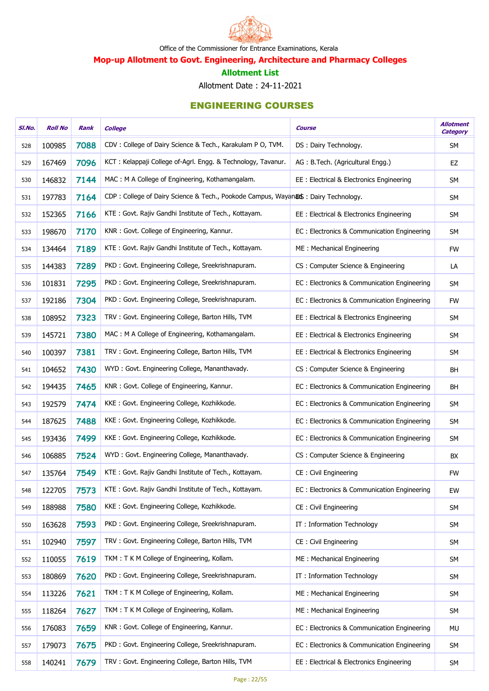

Mop-up Allotment to Govt. Engineering, Architecture and Pharmacy Colleges

#### Allotment List

Allotment Date : 24-11-2021

| SI.No. | <b>Roll No</b> | Rank | <b>College</b>                                                                    | Course                                      | <b>Allotment</b><br><b>Category</b> |
|--------|----------------|------|-----------------------------------------------------------------------------------|---------------------------------------------|-------------------------------------|
| 528    | 100985         | 7088 | CDV: College of Dairy Science & Tech., Karakulam P O, TVM.                        | DS: Dairy Technology.                       | <b>SM</b>                           |
| 529    | 167469         | 7096 | KCT: Kelappaji College of-Agrl. Engg. & Technology, Tavanur.                      | AG: B.Tech. (Agricultural Engg.)            | EZ                                  |
| 530    | 146832         | 7144 | MAC: M A College of Engineering, Kothamangalam.                                   | EE: Electrical & Electronics Engineering    | <b>SM</b>                           |
| 531    | 197783         | 7164 | CDP: College of Dairy Science & Tech., Pookode Campus, Wayanas: Dairy Technology. |                                             | SM                                  |
| 532    | 152365         | 7166 | KTE: Govt. Rajiv Gandhi Institute of Tech., Kottayam.                             | EE: Electrical & Electronics Engineering    | <b>SM</b>                           |
| 533    | 198670         | 7170 | KNR: Govt. College of Engineering, Kannur.                                        | EC: Electronics & Communication Engineering | <b>SM</b>                           |
| 534    | 134464         | 7189 | KTE: Govt. Rajiv Gandhi Institute of Tech., Kottayam.                             | ME: Mechanical Engineering                  | <b>FW</b>                           |
| 535    | 144383         | 7289 | PKD: Govt. Engineering College, Sreekrishnapuram.                                 | CS: Computer Science & Engineering          | LA                                  |
| 536    | 101831         | 7295 | PKD: Govt. Engineering College, Sreekrishnapuram.                                 | EC: Electronics & Communication Engineering | <b>SM</b>                           |
| 537    | 192186         | 7304 | PKD: Govt. Engineering College, Sreekrishnapuram.                                 | EC: Electronics & Communication Engineering | <b>FW</b>                           |
| 538    | 108952         | 7323 | TRV: Govt. Engineering College, Barton Hills, TVM                                 | EE: Electrical & Electronics Engineering    | <b>SM</b>                           |
| 539    | 145721         | 7380 | MAC: M A College of Engineering, Kothamangalam.                                   | EE: Electrical & Electronics Engineering    | <b>SM</b>                           |
| 540    | 100397         | 7381 | TRV: Govt. Engineering College, Barton Hills, TVM                                 | EE: Electrical & Electronics Engineering    | <b>SM</b>                           |
| 541    | 104652         | 7430 | WYD: Govt. Engineering College, Mananthavady.                                     | CS: Computer Science & Engineering          | <b>BH</b>                           |
| 542    | 194435         | 7465 | KNR: Govt. College of Engineering, Kannur.                                        | EC: Electronics & Communication Engineering | <b>BH</b>                           |
| 543    | 192579         | 7474 | KKE: Govt. Engineering College, Kozhikkode.                                       | EC: Electronics & Communication Engineering | <b>SM</b>                           |
| 544    | 187625         | 7488 | KKE: Govt. Engineering College, Kozhikkode.                                       | EC: Electronics & Communication Engineering | SM                                  |
| 545    | 193436         | 7499 | KKE: Govt. Engineering College, Kozhikkode.                                       | EC: Electronics & Communication Engineering | SM                                  |
| 546    | 106885         | 7524 | WYD: Govt. Engineering College, Mananthavady.                                     | CS: Computer Science & Engineering          | BX                                  |
| 547    | 135764         | 7549 | KTE: Govt. Rajiv Gandhi Institute of Tech., Kottayam.                             | CE: Civil Engineering                       | <b>FW</b>                           |
| 548    | 122705         | 7573 | KTE: Govt. Rajiv Gandhi Institute of Tech., Kottayam.                             | EC: Electronics & Communication Engineering | EW                                  |
| 549    | 188988         | 7580 | KKE: Govt. Engineering College, Kozhikkode.                                       | CE: Civil Engineering                       | SM                                  |
| 550    | 163628         | 7593 | PKD: Govt. Engineering College, Sreekrishnapuram.                                 | IT: Information Technology                  | <b>SM</b>                           |
| 551    | 102940         | 7597 | TRV: Govt. Engineering College, Barton Hills, TVM                                 | CE: Civil Engineering                       | <b>SM</b>                           |
| 552    | 110055         | 7619 | TKM: T K M College of Engineering, Kollam.                                        | ME: Mechanical Engineering                  | <b>SM</b>                           |
| 553    | 180869         | 7620 | PKD: Govt. Engineering College, Sreekrishnapuram.                                 | IT: Information Technology                  | <b>SM</b>                           |
| 554    | 113226         | 7621 | TKM: T K M College of Engineering, Kollam.                                        | ME: Mechanical Engineering                  | <b>SM</b>                           |
| 555    | 118264         | 7627 | TKM: T K M College of Engineering, Kollam.                                        | ME: Mechanical Engineering                  | SM                                  |
| 556    | 176083         | 7659 | KNR: Govt. College of Engineering, Kannur.                                        | EC: Electronics & Communication Engineering | MU                                  |
| 557    | 179073         | 7675 | PKD: Govt. Engineering College, Sreekrishnapuram.                                 | EC: Electronics & Communication Engineering | SM                                  |
| 558    | 140241         | 7679 | TRV: Govt. Engineering College, Barton Hills, TVM                                 | EE: Electrical & Electronics Engineering    | SM                                  |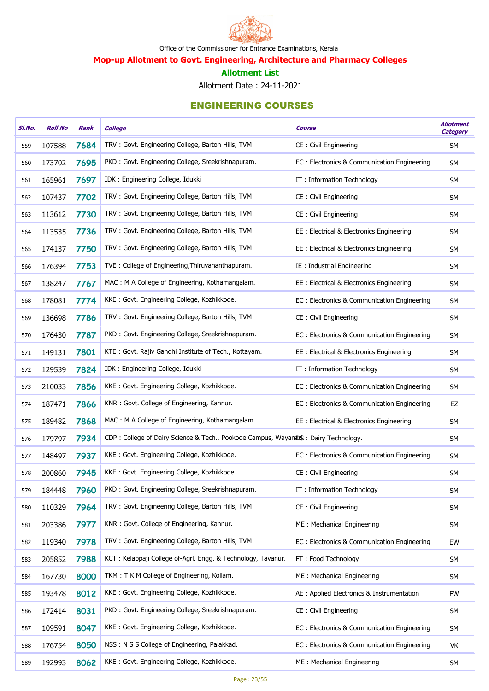

Mop-up Allotment to Govt. Engineering, Architecture and Pharmacy Colleges

#### Allotment List

Allotment Date : 24-11-2021

| SI.No. | <b>Roll No</b> | Rank | <b>College</b>                                                                    | <b>Course</b>                                | <b>Allotment</b><br><b>Category</b> |
|--------|----------------|------|-----------------------------------------------------------------------------------|----------------------------------------------|-------------------------------------|
| 559    | 107588         | 7684 | TRV: Govt. Engineering College, Barton Hills, TVM                                 | CE: Civil Engineering                        | SM                                  |
| 560    | 173702         | 7695 | PKD: Govt. Engineering College, Sreekrishnapuram.                                 | EC: Electronics & Communication Engineering  | <b>SM</b>                           |
| 561    | 165961         | 7697 | IDK: Engineering College, Idukki                                                  | IT: Information Technology                   | <b>SM</b>                           |
| 562    | 107437         | 7702 | TRV: Govt. Engineering College, Barton Hills, TVM                                 | CE: Civil Engineering                        | SM                                  |
| 563    | 113612         | 7730 | TRV: Govt. Engineering College, Barton Hills, TVM                                 | CE: Civil Engineering                        | <b>SM</b>                           |
| 564    | 113535         | 7736 | TRV: Govt. Engineering College, Barton Hills, TVM                                 | EE : Electrical & Electronics Engineering    | <b>SM</b>                           |
| 565    | 174137         | 7750 | TRV: Govt. Engineering College, Barton Hills, TVM                                 | EE : Electrical & Electronics Engineering    | <b>SM</b>                           |
| 566    | 176394         | 7753 | TVE: College of Engineering, Thiruvananthapuram.                                  | IE: Industrial Engineering                   | SM                                  |
| 567    | 138247         | 7767 | MAC: M A College of Engineering, Kothamangalam.                                   | EE : Electrical & Electronics Engineering    | SM                                  |
| 568    | 178081         | 7774 | KKE: Govt. Engineering College, Kozhikkode.                                       | EC: Electronics & Communication Engineering  | SM                                  |
| 569    | 136698         | 7786 | TRV: Govt. Engineering College, Barton Hills, TVM                                 | CE : Civil Engineering                       | <b>SM</b>                           |
| 570    | 176430         | 7787 | PKD: Govt. Engineering College, Sreekrishnapuram.                                 | EC: Electronics & Communication Engineering  | SM                                  |
| 571    | 149131         | 7801 | KTE: Govt. Rajiv Gandhi Institute of Tech., Kottayam.                             | EE : Electrical & Electronics Engineering    | SM                                  |
| 572    | 129539         | 7824 | IDK: Engineering College, Idukki                                                  | IT: Information Technology                   | SM                                  |
| 573    | 210033         | 7856 | KKE: Govt. Engineering College, Kozhikkode.                                       | EC: Electronics & Communication Engineering  | SM                                  |
| 574    | 187471         | 7866 | KNR: Govt. College of Engineering, Kannur.                                        | EC : Electronics & Communication Engineering | EZ                                  |
| 575    | 189482         | 7868 | MAC: M A College of Engineering, Kothamangalam.                                   | EE : Electrical & Electronics Engineering    | SM                                  |
| 576    | 179797         | 7934 | CDP: College of Dairy Science & Tech., Pookode Campus, Wayanas: Dairy Technology. |                                              | SM                                  |
| 577    | 148497         | 7937 | KKE: Govt. Engineering College, Kozhikkode.                                       | EC: Electronics & Communication Engineering  | SM                                  |
| 578    | 200860         | 7945 | KKE: Govt. Engineering College, Kozhikkode.                                       | CE: Civil Engineering                        | <b>SM</b>                           |
| 579    | 184448         | 7960 | PKD: Govt. Engineering College, Sreekrishnapuram.                                 | IT: Information Technology                   | <b>SM</b>                           |
| 580    | 110329         | 7964 | TRV: Govt. Engineering College, Barton Hills, TVM                                 | CE: Civil Engineering                        | <b>SM</b>                           |
| 581    | 203386         | 7977 | KNR: Govt. College of Engineering, Kannur.                                        | ME: Mechanical Engineering                   | <b>SM</b>                           |
| 582    | 119340         | 7978 | TRV: Govt. Engineering College, Barton Hills, TVM                                 | EC: Electronics & Communication Engineering  | EW                                  |
| 583    | 205852         | 7988 | KCT: Kelappaji College of-Agrl. Engg. & Technology, Tavanur.                      | FT: Food Technology                          | <b>SM</b>                           |
| 584    | 167730         | 8000 | TKM: T K M College of Engineering, Kollam.                                        | ME: Mechanical Engineering                   | <b>SM</b>                           |
| 585    | 193478         | 8012 | KKE: Govt. Engineering College, Kozhikkode.                                       | AE : Applied Electronics & Instrumentation   | <b>FW</b>                           |
| 586    | 172414         | 8031 | PKD: Govt. Engineering College, Sreekrishnapuram.                                 | CE: Civil Engineering                        | SM                                  |
| 587    | 109591         | 8047 | KKE: Govt. Engineering College, Kozhikkode.                                       | EC: Electronics & Communication Engineering  | SM                                  |
| 588    | 176754         | 8050 | NSS: N S S College of Engineering, Palakkad.                                      | EC: Electronics & Communication Engineering  | VK                                  |
| 589    | 192993         | 8062 | KKE: Govt. Engineering College, Kozhikkode.                                       | ME: Mechanical Engineering                   | SM                                  |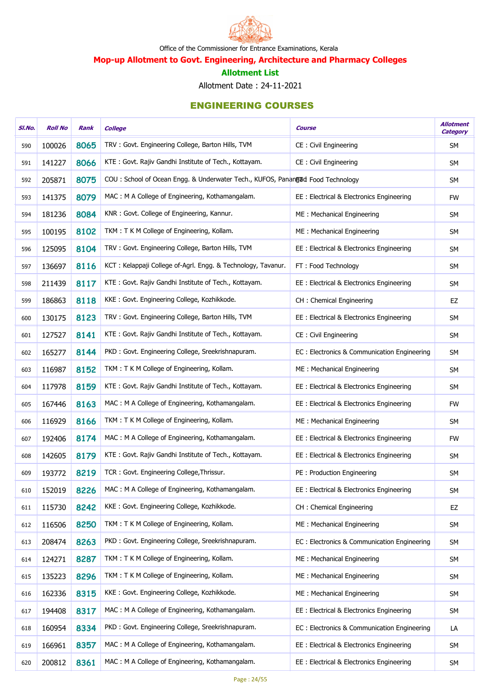

Mop-up Allotment to Govt. Engineering, Architecture and Pharmacy Colleges

#### Allotment List

Allotment Date : 24-11-2021

| SI.No. | <b>Roll No</b> | Rank | <b>College</b>                                                                 | <b>Course</b>                               | <b>Allotment</b><br><b>Category</b> |
|--------|----------------|------|--------------------------------------------------------------------------------|---------------------------------------------|-------------------------------------|
| 590    | 100026         | 8065 | TRV: Govt. Engineering College, Barton Hills, TVM                              | CE: Civil Engineering                       | <b>SM</b>                           |
| 591    | 141227         | 8066 | KTE: Govt. Rajiv Gandhi Institute of Tech., Kottayam.                          | CE: Civil Engineering                       | <b>SM</b>                           |
| 592    | 205871         | 8075 | COU: School of Ocean Engg. & Underwater Tech., KUFOS, Panangud Food Technology |                                             | <b>SM</b>                           |
| 593    | 141375         | 8079 | MAC: M A College of Engineering, Kothamangalam.                                | EE : Electrical & Electronics Engineering   | <b>FW</b>                           |
| 594    | 181236         | 8084 | KNR: Govt. College of Engineering, Kannur.                                     | ME: Mechanical Engineering                  | <b>SM</b>                           |
| 595    | 100195         | 8102 | TKM: T K M College of Engineering, Kollam.                                     | ME: Mechanical Engineering                  | <b>SM</b>                           |
| 596    | 125095         | 8104 | TRV: Govt. Engineering College, Barton Hills, TVM                              | EE : Electrical & Electronics Engineering   | SM                                  |
| 597    | 136697         | 8116 | KCT: Kelappaji College of-Agrl. Engg. & Technology, Tavanur.                   | FT: Food Technology                         | <b>SM</b>                           |
| 598    | 211439         | 8117 | KTE: Govt. Rajiv Gandhi Institute of Tech., Kottayam.                          | EE : Electrical & Electronics Engineering   | SM                                  |
| 599    | 186863         | 8118 | KKE: Govt. Engineering College, Kozhikkode.                                    | CH : Chemical Engineering                   | EZ                                  |
| 600    | 130175         | 8123 | TRV: Govt. Engineering College, Barton Hills, TVM                              | EE : Electrical & Electronics Engineering   | SM                                  |
| 601    | 127527         | 8141 | KTE: Govt. Rajiv Gandhi Institute of Tech., Kottayam.                          | CE: Civil Engineering                       | SM                                  |
| 602    | 165277         | 8144 | PKD: Govt. Engineering College, Sreekrishnapuram.                              | EC: Electronics & Communication Engineering | SM                                  |
| 603    | 116987         | 8152 | TKM: T K M College of Engineering, Kollam.                                     | ME: Mechanical Engineering                  | SM                                  |
| 604    | 117978         | 8159 | KTE: Govt. Rajiv Gandhi Institute of Tech., Kottayam.                          | EE : Electrical & Electronics Engineering   | <b>SM</b>                           |
| 605    | 167446         | 8163 | MAC: M A College of Engineering, Kothamangalam.                                | EE : Electrical & Electronics Engineering   | <b>FW</b>                           |
| 606    | 116929         | 8166 | TKM: T K M College of Engineering, Kollam.                                     | ME: Mechanical Engineering                  | <b>SM</b>                           |
| 607    | 192406         | 8174 | MAC: M A College of Engineering, Kothamangalam.                                | EE : Electrical & Electronics Engineering   | <b>FW</b>                           |
| 608    | 142605         | 8179 | KTE: Govt. Rajiv Gandhi Institute of Tech., Kottayam.                          | EE : Electrical & Electronics Engineering   | <b>SM</b>                           |
| 609    | 193772         | 8219 | TCR: Govt. Engineering College, Thrissur.                                      | PE: Production Engineering                  | <b>SM</b>                           |
| 610    | 152019         | 8226 | MAC: M A College of Engineering, Kothamangalam.                                | EE : Electrical & Electronics Engineering   | <b>SM</b>                           |
| 611    | 115730         | 8242 | KKE: Govt. Engineering College, Kozhikkode.                                    | CH: Chemical Engineering                    | EZ                                  |
| 612    | 116506         | 8250 | TKM: T K M College of Engineering, Kollam.                                     | ME: Mechanical Engineering                  | SM                                  |
| 613    | 208474         | 8263 | PKD: Govt. Engineering College, Sreekrishnapuram.                              | EC: Electronics & Communication Engineering | <b>SM</b>                           |
| 614    | 124271         | 8287 | TKM: T K M College of Engineering, Kollam.                                     | ME: Mechanical Engineering                  | SM                                  |
| 615    | 135223         | 8296 | TKM: T K M College of Engineering, Kollam.                                     | ME: Mechanical Engineering                  | <b>SM</b>                           |
| 616    | 162336         | 8315 | KKE: Govt. Engineering College, Kozhikkode.                                    | ME: Mechanical Engineering                  | <b>SM</b>                           |
| 617    | 194408         | 8317 | MAC: M A College of Engineering, Kothamangalam.                                | EE: Electrical & Electronics Engineering    | SM                                  |
| 618    | 160954         | 8334 | PKD: Govt. Engineering College, Sreekrishnapuram.                              | EC: Electronics & Communication Engineering | LA                                  |
| 619    | 166961         | 8357 | MAC: M A College of Engineering, Kothamangalam.                                | EE: Electrical & Electronics Engineering    | SM                                  |
| 620    | 200812         | 8361 | MAC: M A College of Engineering, Kothamangalam.                                | EE : Electrical & Electronics Engineering   | SM                                  |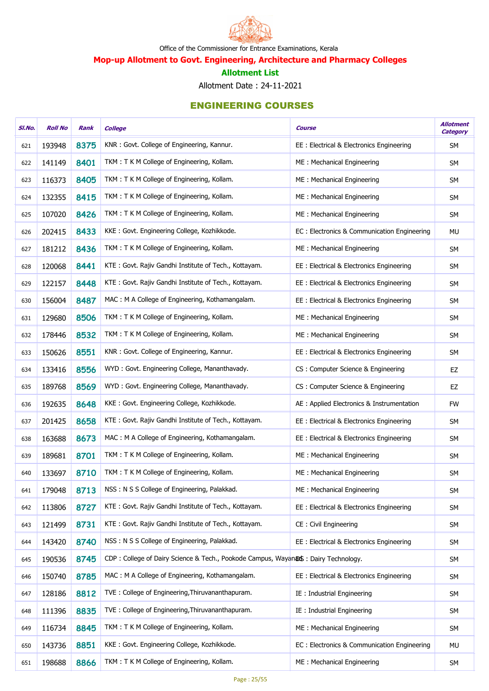

Mop-up Allotment to Govt. Engineering, Architecture and Pharmacy Colleges

#### Allotment List

Allotment Date : 24-11-2021

| SI.No. | <b>Roll No</b> | Rank | <b>College</b>                                                                    | <b>Course</b>                               | <b>Allotment</b><br><b>Category</b> |
|--------|----------------|------|-----------------------------------------------------------------------------------|---------------------------------------------|-------------------------------------|
| 621    | 193948         | 8375 | KNR: Govt. College of Engineering, Kannur.                                        | EE: Electrical & Electronics Engineering    | <b>SM</b>                           |
| 622    | 141149         | 8401 | TKM: T K M College of Engineering, Kollam.                                        | ME: Mechanical Engineering                  | <b>SM</b>                           |
| 623    | 116373         | 8405 | TKM: T K M College of Engineering, Kollam.                                        | ME: Mechanical Engineering                  | <b>SM</b>                           |
| 624    | 132355         | 8415 | TKM: T K M College of Engineering, Kollam.                                        | ME: Mechanical Engineering                  | <b>SM</b>                           |
| 625    | 107020         | 8426 | TKM: T K M College of Engineering, Kollam.                                        | ME: Mechanical Engineering                  | <b>SM</b>                           |
| 626    | 202415         | 8433 | KKE: Govt. Engineering College, Kozhikkode.                                       | EC: Electronics & Communication Engineering | <b>MU</b>                           |
| 627    | 181212         | 8436 | TKM: T K M College of Engineering, Kollam.                                        | ME: Mechanical Engineering                  | <b>SM</b>                           |
| 628    | 120068         | 8441 | KTE: Govt. Rajiv Gandhi Institute of Tech., Kottayam.                             | EE: Electrical & Electronics Engineering    | <b>SM</b>                           |
| 629    | 122157         | 8448 | KTE: Govt. Rajiv Gandhi Institute of Tech., Kottayam.                             | EE: Electrical & Electronics Engineering    | <b>SM</b>                           |
| 630    | 156004         | 8487 | MAC: M A College of Engineering, Kothamangalam.                                   | EE: Electrical & Electronics Engineering    | <b>SM</b>                           |
| 631    | 129680         | 8506 | TKM: T K M College of Engineering, Kollam.                                        | ME: Mechanical Engineering                  | <b>SM</b>                           |
| 632    | 178446         | 8532 | TKM: T K M College of Engineering, Kollam.                                        | ME: Mechanical Engineering                  | <b>SM</b>                           |
| 633    | 150626         | 8551 | KNR: Govt. College of Engineering, Kannur.                                        | EE: Electrical & Electronics Engineering    | <b>SM</b>                           |
| 634    | 133416         | 8556 | WYD: Govt. Engineering College, Mananthavady.                                     | CS: Computer Science & Engineering          | EZ                                  |
| 635    | 189768         | 8569 | WYD: Govt. Engineering College, Mananthavady.                                     | CS: Computer Science & Engineering          | EZ                                  |
| 636    | 192635         | 8648 | KKE: Govt. Engineering College, Kozhikkode.                                       | AE : Applied Electronics & Instrumentation  | <b>FW</b>                           |
| 637    | 201425         | 8658 | KTE: Govt. Rajiv Gandhi Institute of Tech., Kottayam.                             | EE: Electrical & Electronics Engineering    | <b>SM</b>                           |
| 638    | 163688         | 8673 | MAC: M A College of Engineering, Kothamangalam.                                   | EE: Electrical & Electronics Engineering    | <b>SM</b>                           |
| 639    | 189681         | 8701 | TKM: T K M College of Engineering, Kollam.                                        | ME: Mechanical Engineering                  | <b>SM</b>                           |
| 640    | 133697         | 8710 | TKM: T K M College of Engineering, Kollam.                                        | ME: Mechanical Engineering                  | <b>SM</b>                           |
| 641    | 179048         | 8713 | NSS: N S S College of Engineering, Palakkad.                                      | ME: Mechanical Engineering                  | <b>SM</b>                           |
| 642    | 113806         | 8727 | KTE: Govt. Rajiv Gandhi Institute of Tech., Kottayam.                             | EE: Electrical & Electronics Engineering    | <b>SM</b>                           |
| 643    | 121499         | 8731 | KTE: Govt. Rajiv Gandhi Institute of Tech., Kottayam.                             | CE: Civil Engineering                       | <b>SM</b>                           |
| 644    | 143420         | 8740 | NSS: N S S College of Engineering, Palakkad.                                      | EE: Electrical & Electronics Engineering    | <b>SM</b>                           |
| 645    | 190536         | 8745 | CDP: College of Dairy Science & Tech., Pookode Campus, Wayanas: Dairy Technology. |                                             | <b>SM</b>                           |
| 646    | 150740         | 8785 | MAC: M A College of Engineering, Kothamangalam.                                   | EE: Electrical & Electronics Engineering    | <b>SM</b>                           |
| 647    | 128186         | 8812 | TVE: College of Engineering, Thiruvananthapuram.                                  | IE : Industrial Engineering                 | <b>SM</b>                           |
| 648    | 111396         | 8835 | TVE: College of Engineering, Thiruvananthapuram.                                  | IE : Industrial Engineering                 | <b>SM</b>                           |
| 649    | 116734         | 8845 | TKM: T K M College of Engineering, Kollam.                                        | ME: Mechanical Engineering                  | <b>SM</b>                           |
| 650    | 143736         | 8851 | KKE: Govt. Engineering College, Kozhikkode.                                       | EC: Electronics & Communication Engineering | MU                                  |
| 651    | 198688         | 8866 | TKM: T K M College of Engineering, Kollam.                                        | ME: Mechanical Engineering                  | SM                                  |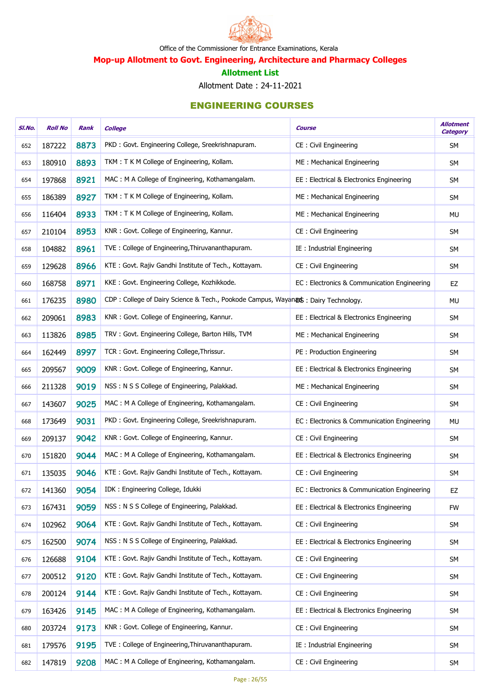

Mop-up Allotment to Govt. Engineering, Architecture and Pharmacy Colleges

#### Allotment List

Allotment Date : 24-11-2021

| SI.No. | <b>Roll No</b> | Rank | <b>College</b>                                                                     | <b>Course</b>                               | <b>Allotment</b><br><b>Category</b> |
|--------|----------------|------|------------------------------------------------------------------------------------|---------------------------------------------|-------------------------------------|
| 652    | 187222         | 8873 | PKD: Govt. Engineering College, Sreekrishnapuram.                                  | CE: Civil Engineering                       | <b>SM</b>                           |
| 653    | 180910         | 8893 | TKM: T K M College of Engineering, Kollam.                                         | ME: Mechanical Engineering                  | <b>SM</b>                           |
| 654    | 197868         | 8921 | MAC: M A College of Engineering, Kothamangalam.                                    | EE: Electrical & Electronics Engineering    | <b>SM</b>                           |
| 655    | 186389         | 8927 | TKM: T K M College of Engineering, Kollam.                                         | ME: Mechanical Engineering                  | SM                                  |
| 656    | 116404         | 8933 | TKM: T K M College of Engineering, Kollam.                                         | ME: Mechanical Engineering                  | MU                                  |
| 657    | 210104         | 8953 | KNR: Govt. College of Engineering, Kannur.                                         | CE: Civil Engineering                       | <b>SM</b>                           |
| 658    | 104882         | 8961 | TVE: College of Engineering, Thiruvananthapuram.                                   | IE: Industrial Engineering                  | <b>SM</b>                           |
| 659    | 129628         | 8966 | KTE: Govt. Rajiv Gandhi Institute of Tech., Kottayam.                              | CE: Civil Engineering                       | SM                                  |
| 660    | 168758         | 8971 | KKE: Govt. Engineering College, Kozhikkode.                                        | EC: Electronics & Communication Engineering | EZ                                  |
| 661    | 176235         | 8980 | CDP: College of Dairy Science & Tech., Pookode Campus, Wayanads: Dairy Technology. |                                             | <b>MU</b>                           |
| 662    | 209061         | 8983 | KNR: Govt. College of Engineering, Kannur.                                         | EE: Electrical & Electronics Engineering    | SM                                  |
| 663    | 113826         | 8985 | TRV: Govt. Engineering College, Barton Hills, TVM                                  | ME: Mechanical Engineering                  | SM                                  |
| 664    | 162449         | 8997 | TCR: Govt. Engineering College, Thrissur.                                          | PE: Production Engineering                  | SM                                  |
| 665    | 209567         | 9009 | KNR: Govt. College of Engineering, Kannur.                                         | EE: Electrical & Electronics Engineering    | <b>SM</b>                           |
| 666    | 211328         | 9019 | NSS: N S S College of Engineering, Palakkad.                                       | ME: Mechanical Engineering                  | <b>SM</b>                           |
| 667    | 143607         | 9025 | MAC: M A College of Engineering, Kothamangalam.                                    | CE: Civil Engineering                       | SM                                  |
| 668    | 173649         | 9031 | PKD: Govt. Engineering College, Sreekrishnapuram.                                  | EC: Electronics & Communication Engineering | MU                                  |
| 669    | 209137         | 9042 | KNR: Govt. College of Engineering, Kannur.                                         | CE: Civil Engineering                       | SM                                  |
| 670    | 151820         | 9044 | MAC: M A College of Engineering, Kothamangalam.                                    | EE : Electrical & Electronics Engineering   | <b>SM</b>                           |
| 671    | 135035         | 9046 | KTE: Govt. Rajiv Gandhi Institute of Tech., Kottayam.                              | <b>CE: Civil Engineering</b>                | SM                                  |
| 672    | 141360         | 9054 | IDK: Engineering College, Idukki                                                   | EC: Electronics & Communication Engineering | EZ                                  |
| 673    | 167431         | 9059 | NSS: N S S College of Engineering, Palakkad.                                       | EE: Electrical & Electronics Engineering    | <b>FW</b>                           |
| 674    | 102962         | 9064 | KTE: Govt. Rajiv Gandhi Institute of Tech., Kottayam.                              | CE: Civil Engineering                       | <b>SM</b>                           |
| 675    | 162500         | 9074 | NSS: N S S College of Engineering, Palakkad.                                       | EE: Electrical & Electronics Engineering    | SM                                  |
| 676    | 126688         | 9104 | KTE: Govt. Rajiv Gandhi Institute of Tech., Kottayam.                              | CE: Civil Engineering                       | <b>SM</b>                           |
| 677    | 200512         | 9120 | KTE: Govt. Rajiv Gandhi Institute of Tech., Kottayam.                              | CE: Civil Engineering                       | SM                                  |
| 678    | 200124         | 9144 | KTE: Govt. Rajiv Gandhi Institute of Tech., Kottayam.                              | CE: Civil Engineering                       | <b>SM</b>                           |
| 679    | 163426         | 9145 | MAC: M A College of Engineering, Kothamangalam.                                    | EE: Electrical & Electronics Engineering    | SM                                  |
| 680    | 203724         | 9173 | KNR: Govt. College of Engineering, Kannur.                                         | CE: Civil Engineering                       | <b>SM</b>                           |
| 681    | 179576         | 9195 | TVE: College of Engineering, Thiruvananthapuram.                                   | IE: Industrial Engineering                  | <b>SM</b>                           |
| 682    | 147819         | 9208 | MAC: M A College of Engineering, Kothamangalam.                                    | CE: Civil Engineering                       | <b>SM</b>                           |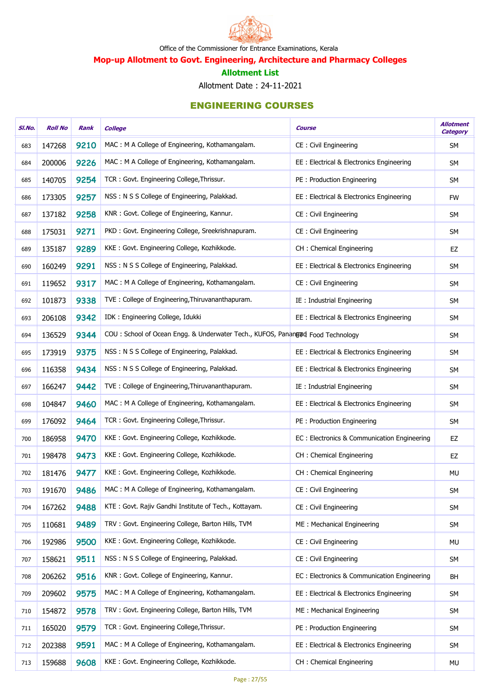

Mop-up Allotment to Govt. Engineering, Architecture and Pharmacy Colleges

#### Allotment List

Allotment Date : 24-11-2021

| SI.No. | <b>Roll No</b> | Rank | <b>College</b>                                                                 | <b>Course</b>                               | <b>Allotment</b><br><b>Category</b> |
|--------|----------------|------|--------------------------------------------------------------------------------|---------------------------------------------|-------------------------------------|
| 683    | 147268         | 9210 | MAC: M A College of Engineering, Kothamangalam.                                | CE: Civil Engineering                       | <b>SM</b>                           |
| 684    | 200006         | 9226 | MAC: M A College of Engineering, Kothamangalam.                                | EE : Electrical & Electronics Engineering   | <b>SM</b>                           |
| 685    | 140705         | 9254 | TCR: Govt. Engineering College, Thrissur.                                      | PE : Production Engineering                 | <b>SM</b>                           |
| 686    | 173305         | 9257 | NSS: N S S College of Engineering, Palakkad.                                   | EE : Electrical & Electronics Engineering   | <b>FW</b>                           |
| 687    | 137182         | 9258 | KNR: Govt. College of Engineering, Kannur.                                     | CE: Civil Engineering                       | <b>SM</b>                           |
| 688    | 175031         | 9271 | PKD: Govt. Engineering College, Sreekrishnapuram.                              | CE: Civil Engineering                       | SM                                  |
| 689    | 135187         | 9289 | KKE: Govt. Engineering College, Kozhikkode.                                    | CH : Chemical Engineering                   | EZ                                  |
| 690    | 160249         | 9291 | NSS: N S S College of Engineering, Palakkad.                                   | EE : Electrical & Electronics Engineering   | SM                                  |
| 691    | 119652         | 9317 | MAC: M A College of Engineering, Kothamangalam.                                | CE: Civil Engineering                       | <b>SM</b>                           |
| 692    | 101873         | 9338 | TVE: College of Engineering, Thiruvananthapuram.                               | IE: Industrial Engineering                  | SM                                  |
| 693    | 206108         | 9342 | IDK: Engineering College, Idukki                                               | EE : Electrical & Electronics Engineering   | <b>SM</b>                           |
| 694    | 136529         | 9344 | COU: School of Ocean Engg. & Underwater Tech., KUFOS, Panangad Food Technology |                                             | SM                                  |
| 695    | 173919         | 9375 | NSS: N S S College of Engineering, Palakkad.                                   | EE : Electrical & Electronics Engineering   | SM                                  |
| 696    | 116358         | 9434 | NSS: N S S College of Engineering, Palakkad.                                   | EE : Electrical & Electronics Engineering   | SM                                  |
| 697    | 166247         | 9442 | TVE: College of Engineering, Thiruvananthapuram.                               | IE: Industrial Engineering                  | <b>SM</b>                           |
| 698    | 104847         | 9460 | MAC: M A College of Engineering, Kothamangalam.                                | EE : Electrical & Electronics Engineering   | SM                                  |
| 699    | 176092         | 9464 | TCR: Govt. Engineering College, Thrissur.                                      | PE: Production Engineering                  | SM                                  |
| 700    | 186958         | 9470 | KKE: Govt. Engineering College, Kozhikkode.                                    | EC: Electronics & Communication Engineering | EZ                                  |
| 701    | 198478         | 9473 | KKE: Govt. Engineering College, Kozhikkode.                                    | CH : Chemical Engineering                   | EZ                                  |
| 702    | 181476         | 9477 | KKE: Govt. Engineering College, Kozhikkode.                                    | CH : Chemical Engineering                   | MU                                  |
| 703    | 191670         | 9486 | MAC: M A College of Engineering, Kothamangalam.                                | CE: Civil Engineering                       | <b>SM</b>                           |
| 704    | 167262         | 9488 | KTE: Govt. Rajiv Gandhi Institute of Tech., Kottayam.                          | CE: Civil Engineering                       | <b>SM</b>                           |
| 705    | 110681         | 9489 | TRV: Govt. Engineering College, Barton Hills, TVM                              | ME: Mechanical Engineering                  | <b>SM</b>                           |
| 706    | 192986         | 9500 | KKE: Govt. Engineering College, Kozhikkode.                                    | CE: Civil Engineering                       | MU                                  |
| 707    | 158621         | 9511 | NSS: N S S College of Engineering, Palakkad.                                   | CE: Civil Engineering                       | <b>SM</b>                           |
| 708    | 206262         | 9516 | KNR: Govt. College of Engineering, Kannur.                                     | EC: Electronics & Communication Engineering | <b>BH</b>                           |
| 709    | 209602         | 9575 | MAC: M A College of Engineering, Kothamangalam.                                | EE : Electrical & Electronics Engineering   | SM                                  |
| 710    | 154872         | 9578 | TRV: Govt. Engineering College, Barton Hills, TVM                              | ME: Mechanical Engineering                  | <b>SM</b>                           |
| 711    | 165020         | 9579 | TCR: Govt. Engineering College, Thrissur.                                      | PE: Production Engineering                  | <b>SM</b>                           |
| 712    | 202388         | 9591 | MAC: M A College of Engineering, Kothamangalam.                                | EE: Electrical & Electronics Engineering    | <b>SM</b>                           |
| 713    | 159688         | 9608 | KKE: Govt. Engineering College, Kozhikkode.                                    | CH: Chemical Engineering                    | MU                                  |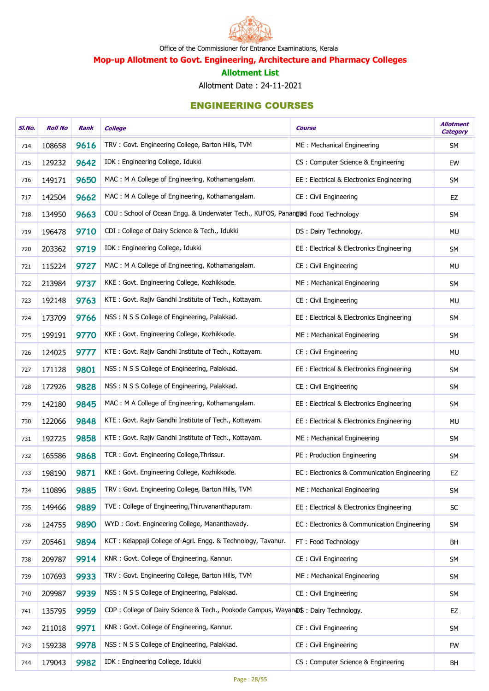

Mop-up Allotment to Govt. Engineering, Architecture and Pharmacy Colleges

#### Allotment List

Allotment Date : 24-11-2021

| SI.No. | <b>Roll No</b> | Rank | <b>College</b>                                                                     | <b>Course</b>                               | <b>Allotment</b><br><b>Category</b> |
|--------|----------------|------|------------------------------------------------------------------------------------|---------------------------------------------|-------------------------------------|
| 714    | 108658         | 9616 | TRV: Govt. Engineering College, Barton Hills, TVM                                  | ME: Mechanical Engineering                  | SM                                  |
| 715    | 129232         | 9642 | IDK: Engineering College, Idukki                                                   | CS: Computer Science & Engineering          | EW                                  |
| 716    | 149171         | 9650 | MAC: M A College of Engineering, Kothamangalam.                                    | EE: Electrical & Electronics Engineering    | <b>SM</b>                           |
| 717    | 142504         | 9662 | MAC: M A College of Engineering, Kothamangalam.                                    | CE: Civil Engineering                       | EZ                                  |
| 718    | 134950         | 9663 | COU: School of Ocean Engg. & Underwater Tech., KUFOS, Panangud Food Technology     |                                             | <b>SM</b>                           |
| 719    | 196478         | 9710 | CDI: College of Dairy Science & Tech., Idukki                                      | DS: Dairy Technology.                       | <b>MU</b>                           |
| 720    | 203362         | 9719 | IDK: Engineering College, Idukki                                                   | EE: Electrical & Electronics Engineering    | <b>SM</b>                           |
| 721    | 115224         | 9727 | MAC: M A College of Engineering, Kothamangalam.                                    | CE: Civil Engineering                       | MU                                  |
| 722    | 213984         | 9737 | KKE: Govt. Engineering College, Kozhikkode.                                        | ME: Mechanical Engineering                  | <b>SM</b>                           |
| 723    | 192148         | 9763 | KTE: Govt. Rajiv Gandhi Institute of Tech., Kottayam.                              | CE: Civil Engineering                       | MU                                  |
| 724    | 173709         | 9766 | NSS: N S S College of Engineering, Palakkad.                                       | EE : Electrical & Electronics Engineering   | <b>SM</b>                           |
| 725    | 199191         | 9770 | KKE: Govt. Engineering College, Kozhikkode.                                        | ME: Mechanical Engineering                  | <b>SM</b>                           |
| 726    | 124025         | 9777 | KTE: Govt. Rajiv Gandhi Institute of Tech., Kottayam.                              | CE: Civil Engineering                       | MU                                  |
| 727    | 171128         | 9801 | NSS: N S S College of Engineering, Palakkad.                                       | EE: Electrical & Electronics Engineering    | <b>SM</b>                           |
| 728    | 172926         | 9828 | NSS: N S S College of Engineering, Palakkad.                                       | CE: Civil Engineering                       | <b>SM</b>                           |
| 729    | 142180         | 9845 | MAC: M A College of Engineering, Kothamangalam.                                    | EE: Electrical & Electronics Engineering    | <b>SM</b>                           |
| 730    | 122066         | 9848 | KTE: Govt. Rajiv Gandhi Institute of Tech., Kottayam.                              | EE : Electrical & Electronics Engineering   | <b>MU</b>                           |
| 731    | 192725         | 9858 | KTE: Govt. Rajiv Gandhi Institute of Tech., Kottayam.                              | ME: Mechanical Engineering                  | SM                                  |
| 732    | 165586         | 9868 | TCR: Govt. Engineering College, Thrissur.                                          | PE: Production Engineering                  | <b>SM</b>                           |
| 733    | 198190         | 9871 | KKE: Govt. Engineering College, Kozhikkode.                                        | EC: Electronics & Communication Engineering | EZ                                  |
| 734    | 110896         | 9885 | TRV: Govt. Engineering College, Barton Hills, TVM                                  | ME: Mechanical Engineering                  | <b>SM</b>                           |
| 735    | 149466         | 9889 | TVE: College of Engineering, Thiruvananthapuram.                                   | EE: Electrical & Electronics Engineering    | SC                                  |
| 736    | 124755         | 9890 | WYD: Govt. Engineering College, Mananthavady.                                      | EC: Electronics & Communication Engineering | <b>SM</b>                           |
| 737    | 205461         | 9894 | KCT: Kelappaji College of-Agrl. Engg. & Technology, Tavanur.                       | FT: Food Technology                         | BH                                  |
| 738    | 209787         | 9914 | KNR: Govt. College of Engineering, Kannur.                                         | CE: Civil Engineering                       | SM                                  |
| 739    | 107693         | 9933 | TRV: Govt. Engineering College, Barton Hills, TVM                                  | ME: Mechanical Engineering                  | SM                                  |
| 740    | 209987         | 9939 | NSS: N S S College of Engineering, Palakkad.                                       | CE: Civil Engineering                       | SM                                  |
| 741    | 135795         | 9959 | CDP: College of Dairy Science & Tech., Pookode Campus, Wayan DS: Dairy Technology. |                                             | EZ                                  |
| 742    | 211018         | 9971 | KNR: Govt. College of Engineering, Kannur.                                         | CE: Civil Engineering                       | SM                                  |
| 743    | 159238         | 9978 | NSS: N S S College of Engineering, Palakkad.                                       | CE: Civil Engineering                       | <b>FW</b>                           |
| 744    | 179043         | 9982 | IDK: Engineering College, Idukki                                                   | CS: Computer Science & Engineering          | BH                                  |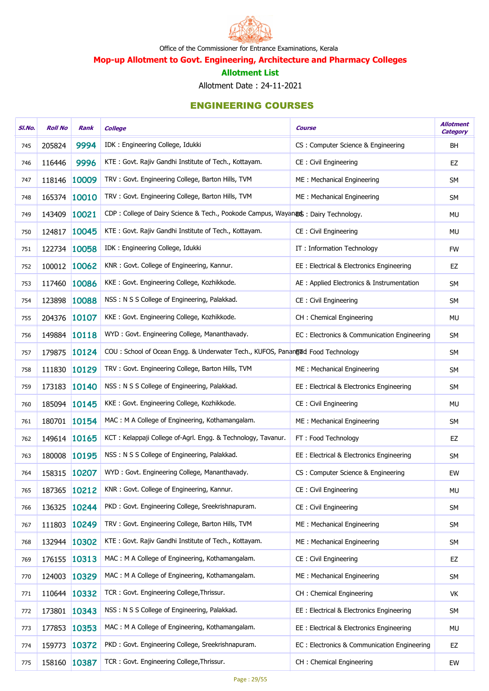

Mop-up Allotment to Govt. Engineering, Architecture and Pharmacy Colleges

#### Allotment List

Allotment Date : 24-11-2021

| SI.No. | <b>Roll No</b> | Rank  | <b>College</b>                                                                    | <b>Course</b>                               | <b>Allotment</b><br><b>Category</b> |
|--------|----------------|-------|-----------------------------------------------------------------------------------|---------------------------------------------|-------------------------------------|
| 745    | 205824         | 9994  | IDK: Engineering College, Idukki                                                  | CS: Computer Science & Engineering          | <b>BH</b>                           |
| 746    | 116446         | 9996  | KTE: Govt. Rajiv Gandhi Institute of Tech., Kottayam.                             | CE: Civil Engineering                       | EZ                                  |
| 747    | 118146 10009   |       | TRV: Govt. Engineering College, Barton Hills, TVM                                 | ME: Mechanical Engineering                  | <b>SM</b>                           |
| 748    | 165374 10010   |       | TRV: Govt. Engineering College, Barton Hills, TVM                                 | ME: Mechanical Engineering                  | SM                                  |
| 749    | 143409         | 10021 | CDP: College of Dairy Science & Tech., Pookode Campus, Wayanas: Dairy Technology. |                                             | MU                                  |
| 750    | 124817 10045   |       | KTE: Govt. Rajiv Gandhi Institute of Tech., Kottayam.                             | CE: Civil Engineering                       | MU                                  |
| 751    | 122734 10058   |       | IDK: Engineering College, Idukki                                                  | IT: Information Technology                  | <b>FW</b>                           |
| 752    | 100012 10062   |       | KNR: Govt. College of Engineering, Kannur.                                        | EE : Electrical & Electronics Engineering   | EZ                                  |
| 753    | 117460 10086   |       | KKE: Govt. Engineering College, Kozhikkode.                                       | AE : Applied Electronics & Instrumentation  | <b>SM</b>                           |
| 754    | 123898 10088   |       | NSS: N S S College of Engineering, Palakkad.                                      | CE: Civil Engineering                       | SM                                  |
| 755    | 204376 10107   |       | KKE: Govt. Engineering College, Kozhikkode.                                       | CH : Chemical Engineering                   | <b>MU</b>                           |
| 756    | 149884 10118   |       | WYD: Govt. Engineering College, Mananthavady.                                     | EC: Electronics & Communication Engineering | SM                                  |
| 757    | 179875         | 10124 | COU: School of Ocean Engg. & Underwater Tech., KUFOS, Panangud Food Technology    |                                             | SM                                  |
| 758    | 111830 10129   |       | TRV: Govt. Engineering College, Barton Hills, TVM                                 | ME: Mechanical Engineering                  | SM                                  |
| 759    | 173183 10140   |       | NSS: N S S College of Engineering, Palakkad.                                      | EE : Electrical & Electronics Engineering   | <b>SM</b>                           |
| 760    | 185094 10145   |       | KKE: Govt. Engineering College, Kozhikkode.                                       | CE: Civil Engineering                       | MU                                  |
| 761    | 180701 10154   |       | MAC: M A College of Engineering, Kothamangalam.                                   | ME: Mechanical Engineering                  | SM                                  |
| 762    | 149614 10165   |       | KCT: Kelappaji College of-Agrl. Engg. & Technology, Tavanur.                      | FT: Food Technology                         | EZ                                  |
| 763    | 180008         | 10195 | NSS: N S S College of Engineering, Palakkad.                                      | EE: Electrical & Electronics Engineering    | <b>SM</b>                           |
| 764    | 158315 10207   |       | WYD: Govt. Engineering College, Mananthavady.                                     | CS: Computer Science & Engineering          | EW                                  |
| 765    | 187365 10212   |       | KNR: Govt. College of Engineering, Kannur.                                        | CE: Civil Engineering                       | MU                                  |
| 766    | 136325         | 10244 | PKD: Govt. Engineering College, Sreekrishnapuram.                                 | CE: Civil Engineering                       | SM                                  |
| 767    | 111803         | 10249 | TRV: Govt. Engineering College, Barton Hills, TVM                                 | ME: Mechanical Engineering                  | SM                                  |
| 768    | 132944 10302   |       | KTE: Govt. Rajiv Gandhi Institute of Tech., Kottayam.                             | ME: Mechanical Engineering                  | SM                                  |
| 769    | 176155         | 10313 | MAC: M A College of Engineering, Kothamangalam.                                   | CE: Civil Engineering                       | EZ                                  |
| 770    | 124003 10329   |       | MAC: M A College of Engineering, Kothamangalam.                                   | ME: Mechanical Engineering                  | SM                                  |
| 771    | 110644 10332   |       | TCR: Govt. Engineering College, Thrissur.                                         | CH: Chemical Engineering                    | VK                                  |
| 772    | 173801 10343   |       | NSS: N S S College of Engineering, Palakkad.                                      | EE: Electrical & Electronics Engineering    | SM                                  |
| 773    | 177853         | 10353 | MAC: M A College of Engineering, Kothamangalam.                                   | EE: Electrical & Electronics Engineering    | <b>MU</b>                           |
| 774    | 159773         | 10372 | PKD: Govt. Engineering College, Sreekrishnapuram.                                 | EC: Electronics & Communication Engineering | EZ                                  |
| 775    | 158160 10387   |       | TCR: Govt. Engineering College, Thrissur.                                         | CH : Chemical Engineering                   | EW                                  |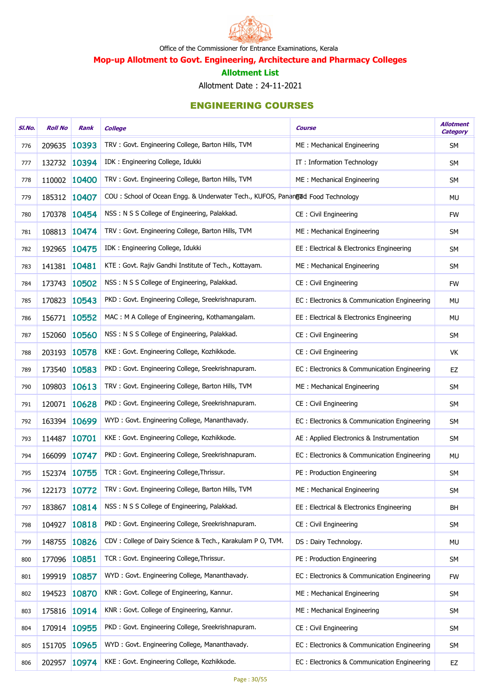

Mop-up Allotment to Govt. Engineering, Architecture and Pharmacy Colleges

#### Allotment List

Allotment Date : 24-11-2021

| SI.No. | <b>Roll No</b> | Rank         | <b>College</b>                                                                 | Course                                      | <b>Allotment</b><br><b>Category</b> |
|--------|----------------|--------------|--------------------------------------------------------------------------------|---------------------------------------------|-------------------------------------|
| 776    | 209635         | 10393        | TRV: Govt. Engineering College, Barton Hills, TVM                              | ME: Mechanical Engineering                  | <b>SM</b>                           |
| 777    |                | 132732 10394 | IDK: Engineering College, Idukki                                               | IT: Information Technology                  | <b>SM</b>                           |
| 778    |                | 110002 10400 | TRV: Govt. Engineering College, Barton Hills, TVM                              | ME: Mechanical Engineering                  | <b>SM</b>                           |
| 779    | 185312         | 10407        | COU: School of Ocean Engg. & Underwater Tech., KUFOS, Panangad Food Technology |                                             | <b>MU</b>                           |
| 780    | 170378         | 10454        | NSS: N S S College of Engineering, Palakkad.                                   | CE : Civil Engineering                      | <b>FW</b>                           |
| 781    | 108813         | 10474        | TRV: Govt. Engineering College, Barton Hills, TVM                              | ME: Mechanical Engineering                  | SM                                  |
| 782    |                | 192965 10475 | IDK: Engineering College, Idukki                                               | EE : Electrical & Electronics Engineering   | <b>SM</b>                           |
| 783    | 141381 10481   |              | KTE: Govt. Rajiv Gandhi Institute of Tech., Kottayam.                          | ME: Mechanical Engineering                  | SM                                  |
| 784    |                | 173743 10502 | NSS: N S S College of Engineering, Palakkad.                                   | CE : Civil Engineering                      | <b>FW</b>                           |
| 785    | 170823         | 10543        | PKD: Govt. Engineering College, Sreekrishnapuram.                              | EC: Electronics & Communication Engineering | <b>MU</b>                           |
| 786    |                | 156771 10552 | MAC: M A College of Engineering, Kothamangalam.                                | EE : Electrical & Electronics Engineering   | <b>MU</b>                           |
| 787    | 152060         | 10560        | NSS: N S S College of Engineering, Palakkad.                                   | CE : Civil Engineering                      | SM                                  |
| 788    | 203193 10578   |              | KKE: Govt. Engineering College, Kozhikkode.                                    | CE: Civil Engineering                       | VK                                  |
| 789    | 173540         | 10583        | PKD: Govt. Engineering College, Sreekrishnapuram.                              | EC: Electronics & Communication Engineering | EZ                                  |
| 790    | 109803         | 10613        | TRV: Govt. Engineering College, Barton Hills, TVM                              | ME: Mechanical Engineering                  | <b>SM</b>                           |
| 791    | 120071         | 10628        | PKD: Govt. Engineering College, Sreekrishnapuram.                              | CE : Civil Engineering                      | SM                                  |
| 792    |                | 163394 10699 | WYD: Govt. Engineering College, Mananthavady.                                  | EC: Electronics & Communication Engineering | SM                                  |
| 793    | 114487         | 10701        | KKE: Govt. Engineering College, Kozhikkode.                                    | AE : Applied Electronics & Instrumentation  | SM                                  |
| 794    | 166099         | 10747        | PKD: Govt. Engineering College, Sreekrishnapuram.                              | EC: Electronics & Communication Engineering | MU                                  |
| 795    |                | 152374 10755 | TCR: Govt. Engineering College, Thrissur.                                      | PE: Production Engineering                  | SM                                  |
| 796    |                | 122173 10772 | TRV: Govt. Engineering College, Barton Hills, TVM                              | ME: Mechanical Engineering                  | <b>SM</b>                           |
| 797    | 183867         | 10814        | NSS: N S S College of Engineering, Palakkad.                                   | EE: Electrical & Electronics Engineering    | <b>BH</b>                           |
| 798    | 104927         | 10818        | PKD: Govt. Engineering College, Sreekrishnapuram.                              | CE : Civil Engineering                      | <b>SM</b>                           |
| 799    | 148755         | 10826        | CDV: College of Dairy Science & Tech., Karakulam P O, TVM.                     | DS: Dairy Technology.                       | <b>MU</b>                           |
| 800    | 177096 10851   |              | TCR: Govt. Engineering College, Thrissur.                                      | PE: Production Engineering                  | <b>SM</b>                           |
| 801    | 199919         | 10857        | WYD: Govt. Engineering College, Mananthavady.                                  | EC: Electronics & Communication Engineering | <b>FW</b>                           |
| 802    | 194523         | 10870        | KNR: Govt. College of Engineering, Kannur.                                     | ME: Mechanical Engineering                  | <b>SM</b>                           |
| 803    | 175816         | 10914        | KNR: Govt. College of Engineering, Kannur.                                     | ME: Mechanical Engineering                  | SM                                  |
| 804    |                | 170914 10955 | PKD: Govt. Engineering College, Sreekrishnapuram.                              | CE : Civil Engineering                      | <b>SM</b>                           |
| 805    | 151705         | 10965        | WYD: Govt. Engineering College, Mananthavady.                                  | EC: Electronics & Communication Engineering | SM                                  |
| 806    |                | 202957 10974 | KKE: Govt. Engineering College, Kozhikkode.                                    | EC: Electronics & Communication Engineering | EZ                                  |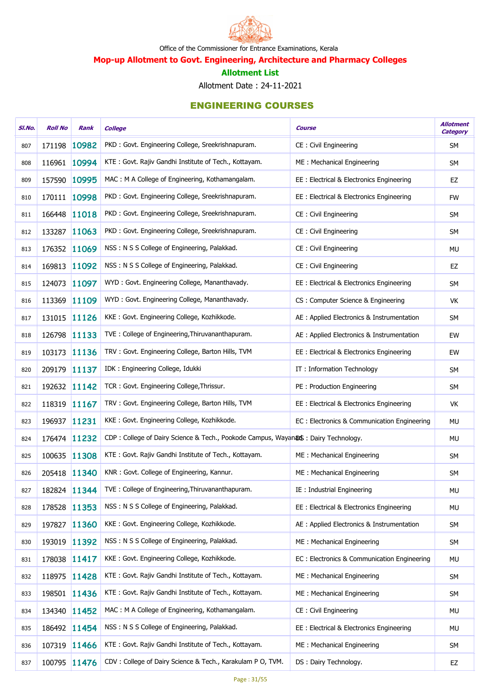

Mop-up Allotment to Govt. Engineering, Architecture and Pharmacy Colleges

#### Allotment List

Allotment Date : 24-11-2021

| SI.No. | <b>Roll No</b> | Rank         | <b>College</b>                                                                    | <b>Course</b>                               | <b>Allotment</b><br><b>Category</b> |
|--------|----------------|--------------|-----------------------------------------------------------------------------------|---------------------------------------------|-------------------------------------|
| 807    | 171198         | 10982        | PKD: Govt. Engineering College, Sreekrishnapuram.                                 | CE: Civil Engineering                       | <b>SM</b>                           |
| 808    | 116961 10994   |              | KTE: Govt. Rajiv Gandhi Institute of Tech., Kottayam.                             | ME: Mechanical Engineering                  | <b>SM</b>                           |
| 809    | 157590 10995   |              | MAC: M A College of Engineering, Kothamangalam.                                   | EE : Electrical & Electronics Engineering   | EZ                                  |
| 810    | 170111 10998   |              | PKD: Govt. Engineering College, Sreekrishnapuram.                                 | EE : Electrical & Electronics Engineering   | <b>FW</b>                           |
| 811    | 166448 11018   |              | PKD: Govt. Engineering College, Sreekrishnapuram.                                 | CE: Civil Engineering                       | <b>SM</b>                           |
| 812    | 133287 11063   |              | PKD: Govt. Engineering College, Sreekrishnapuram.                                 | CE: Civil Engineering                       | <b>SM</b>                           |
| 813    | 176352 11069   |              | NSS: N S S College of Engineering, Palakkad.                                      | CE : Civil Engineering                      | <b>MU</b>                           |
| 814    | 169813 11092   |              | NSS: N S S College of Engineering, Palakkad.                                      | CE: Civil Engineering                       | EZ                                  |
| 815    | 124073         | 11097        | WYD: Govt. Engineering College, Mananthavady.                                     | EE : Electrical & Electronics Engineering   | SM                                  |
| 816    | 113369 11109   |              | WYD: Govt. Engineering College, Mananthavady.                                     | CS: Computer Science & Engineering          | VK                                  |
| 817    | 131015 11126   |              | KKE: Govt. Engineering College, Kozhikkode.                                       | AE : Applied Electronics & Instrumentation  | SM                                  |
| 818    | 126798 11133   |              | TVE: College of Engineering, Thiruvananthapuram.                                  | AE : Applied Electronics & Instrumentation  | EW                                  |
| 819    | 103173         | 11136        | TRV: Govt. Engineering College, Barton Hills, TVM                                 | EE: Electrical & Electronics Engineering    | EW                                  |
| 820    | 209179 11137   |              | IDK: Engineering College, Idukki                                                  | IT: Information Technology                  | SM                                  |
| 821    | 192632 11142   |              | TCR: Govt. Engineering College, Thrissur.                                         | PE: Production Engineering                  | <b>SM</b>                           |
| 822    | 118319 11167   |              | TRV: Govt. Engineering College, Barton Hills, TVM                                 | EE : Electrical & Electronics Engineering   | VK                                  |
| 823    | 196937 11231   |              | KKE: Govt. Engineering College, Kozhikkode.                                       | EC: Electronics & Communication Engineering | <b>MU</b>                           |
| 824    | 176474 11232   |              | CDP: College of Dairy Science & Tech., Pookode Campus, Wayanas: Dairy Technology. |                                             | <b>MU</b>                           |
| 825    | 100635 11308   |              | KTE: Govt. Rajiv Gandhi Institute of Tech., Kottayam.                             | ME: Mechanical Engineering                  | <b>SM</b>                           |
| 826    | 205418 11340   |              | KNR: Govt. College of Engineering, Kannur.                                        | ME: Mechanical Engineering                  | <b>SM</b>                           |
| 827    |                | 182824 11344 | TVE: College of Engineering, Thiruvananthapuram.                                  | IE : Industrial Engineering                 | MU                                  |
| 828    | 178528 11353   |              | NSS: N S S College of Engineering, Palakkad.                                      | EE: Electrical & Electronics Engineering    | MU                                  |
| 829    | 197827 11360   |              | KKE: Govt. Engineering College, Kozhikkode.                                       | AE : Applied Electronics & Instrumentation  | <b>SM</b>                           |
| 830    | 193019 11392   |              | NSS: N S S College of Engineering, Palakkad.                                      | ME: Mechanical Engineering                  | SM                                  |
| 831    | 178038 11417   |              | KKE: Govt. Engineering College, Kozhikkode.                                       | EC: Electronics & Communication Engineering | MU                                  |
| 832    | 118975 11428   |              | KTE: Govt. Rajiv Gandhi Institute of Tech., Kottayam.                             | ME: Mechanical Engineering                  | SM                                  |
| 833    | 198501 11436   |              | KTE: Govt. Rajiv Gandhi Institute of Tech., Kottayam.                             | ME: Mechanical Engineering                  | <b>SM</b>                           |
| 834    | 134340 11452   |              | MAC: M A College of Engineering, Kothamangalam.                                   | CE: Civil Engineering                       | MU                                  |
| 835    |                | 186492 11454 | NSS: N S S College of Engineering, Palakkad.                                      | EE : Electrical & Electronics Engineering   | MU                                  |
| 836    | 107319 11466   |              | KTE: Govt. Rajiv Gandhi Institute of Tech., Kottayam.                             | ME: Mechanical Engineering                  | SM                                  |
| 837    |                | 100795 11476 | CDV: College of Dairy Science & Tech., Karakulam P O, TVM.                        | DS: Dairy Technology.                       | EZ                                  |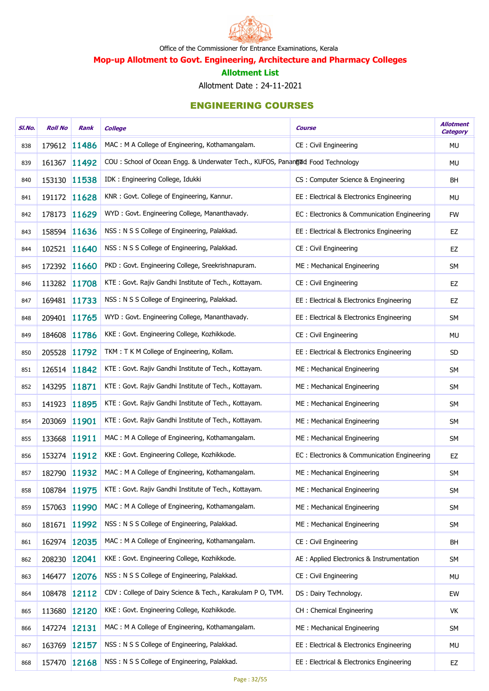

Mop-up Allotment to Govt. Engineering, Architecture and Pharmacy Colleges

#### Allotment List

Allotment Date : 24-11-2021

| SI.No. | <b>Roll No</b> | Rank         | <b>College</b>                                                                 | <b>Course</b>                               | <b>Allotment</b><br><b>Category</b> |
|--------|----------------|--------------|--------------------------------------------------------------------------------|---------------------------------------------|-------------------------------------|
| 838    | 179612 11486   |              | MAC: M A College of Engineering, Kothamangalam.                                | CE : Civil Engineering                      | MU                                  |
| 839    | 161367         | 11492        | COU: School of Ocean Engg. & Underwater Tech., KUFOS, Panangad Food Technology |                                             | <b>MU</b>                           |
| 840    | 153130 11538   |              | IDK: Engineering College, Idukki                                               | CS: Computer Science & Engineering          | BH                                  |
| 841    |                | 191172 11628 | KNR: Govt. College of Engineering, Kannur.                                     | EE : Electrical & Electronics Engineering   | <b>MU</b>                           |
| 842    |                | 178173 11629 | WYD: Govt. Engineering College, Mananthavady.                                  | EC: Electronics & Communication Engineering | <b>FW</b>                           |
| 843    |                | 158594 11636 | NSS: N S S College of Engineering, Palakkad.                                   | EE: Electrical & Electronics Engineering    | EZ                                  |
| 844    |                | 102521 11640 | NSS: N S S College of Engineering, Palakkad.                                   | CE: Civil Engineering                       | <b>EZ</b>                           |
| 845    |                | 172392 11660 | PKD: Govt. Engineering College, Sreekrishnapuram.                              | ME: Mechanical Engineering                  | SM                                  |
| 846    |                | 113282 11708 | KTE: Govt. Rajiv Gandhi Institute of Tech., Kottayam.                          | CE: Civil Engineering                       | EZ                                  |
| 847    |                | 169481 11733 | NSS: N S S College of Engineering, Palakkad.                                   | EE : Electrical & Electronics Engineering   | EZ                                  |
| 848    |                | 209401 11765 | WYD: Govt. Engineering College, Mananthavady.                                  | EE : Electrical & Electronics Engineering   | <b>SM</b>                           |
| 849    | 184608         | 11786        | KKE: Govt. Engineering College, Kozhikkode.                                    | CE: Civil Engineering                       | <b>MU</b>                           |
| 850    | 205528         | 11792        | TKM: T K M College of Engineering, Kollam.                                     | EE : Electrical & Electronics Engineering   | SD                                  |
| 851    |                | 126514 11842 | KTE: Govt. Rajiv Gandhi Institute of Tech., Kottayam.                          | ME: Mechanical Engineering                  | SM                                  |
| 852    | 143295 11871   |              | KTE: Govt. Rajiv Gandhi Institute of Tech., Kottayam.                          | ME: Mechanical Engineering                  | <b>SM</b>                           |
| 853    | 141923         | 11895        | KTE: Govt. Rajiv Gandhi Institute of Tech., Kottayam.                          | ME: Mechanical Engineering                  | SM                                  |
| 854    | 203069         | 11901        | KTE: Govt. Rajiv Gandhi Institute of Tech., Kottayam.                          | ME: Mechanical Engineering                  | <b>SM</b>                           |
| 855    | 133668         | 11911        | MAC: M A College of Engineering, Kothamangalam.                                | ME: Mechanical Engineering                  | SM                                  |
| 856    |                | 153274 11912 | KKE: Govt. Engineering College, Kozhikkode.                                    | EC: Electronics & Communication Engineering | EZ                                  |
| 857    |                | 182790 11932 | MAC: M A College of Engineering, Kothamangalam.                                | ME: Mechanical Engineering                  | SM                                  |
| 858    | 108784 11975   |              | KTE: Govt. Rajiv Gandhi Institute of Tech., Kottayam.                          | ME: Mechanical Engineering                  | <b>SM</b>                           |
| 859    | 157063         | 11990        | MAC: M A College of Engineering, Kothamangalam.                                | ME: Mechanical Engineering                  | SM                                  |
| 860    |                | 181671 11992 | NSS: N S S College of Engineering, Palakkad.                                   | ME: Mechanical Engineering                  | <b>SM</b>                           |
| 861    |                | 162974 12035 | MAC: M A College of Engineering, Kothamangalam.                                | CE: Civil Engineering                       | BH                                  |
| 862    | 208230 12041   |              | KKE: Govt. Engineering College, Kozhikkode.                                    | AE : Applied Electronics & Instrumentation  | <b>SM</b>                           |
| 863    | 146477         | 12076        | NSS: N S S College of Engineering, Palakkad.                                   | CE: Civil Engineering                       | <b>MU</b>                           |
| 864    | 108478         | 12112        | CDV: College of Dairy Science & Tech., Karakulam P O, TVM.                     | DS: Dairy Technology.                       | EW                                  |
| 865    | 113680         | 12120        | KKE: Govt. Engineering College, Kozhikkode.                                    | CH: Chemical Engineering                    | VK                                  |
| 866    | 147274 12131   |              | MAC: M A College of Engineering, Kothamangalam.                                | ME: Mechanical Engineering                  | <b>SM</b>                           |
| 867    | 163769         | 12157        | NSS: N S S College of Engineering, Palakkad.                                   | EE: Electrical & Electronics Engineering    | <b>MU</b>                           |
| 868    |                | 157470 12168 | NSS: N S S College of Engineering, Palakkad.                                   | EE : Electrical & Electronics Engineering   | EZ                                  |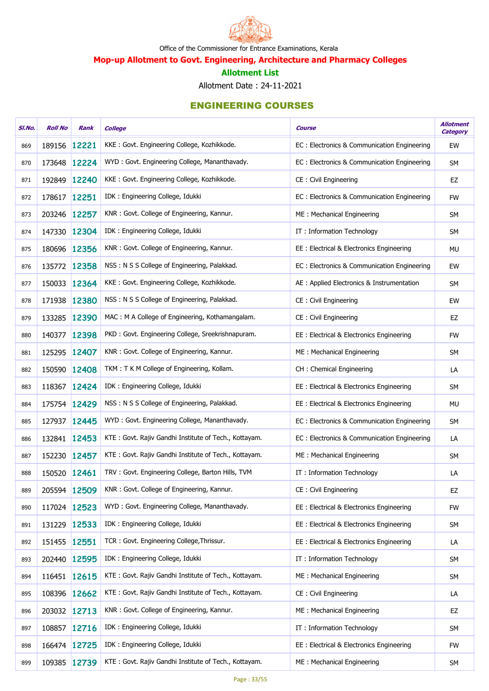

Mop-up Allotment to Govt. Engineering, Architecture and Pharmacy Colleges

#### Allotment List

Allotment Date : 24-11-2021

| SI.No. | <b>Roll No</b> | Rank         | <b>College</b>                                        | <b>Course</b>                               | <b>Allotment</b><br><b>Category</b> |
|--------|----------------|--------------|-------------------------------------------------------|---------------------------------------------|-------------------------------------|
| 869    |                | 189156 12221 | KKE: Govt. Engineering College, Kozhikkode.           | EC: Electronics & Communication Engineering | EW                                  |
| 870    |                | 173648 12224 | WYD: Govt. Engineering College, Mananthavady.         | EC: Electronics & Communication Engineering | <b>SM</b>                           |
| 871    | 192849         | 12240        | KKE: Govt. Engineering College, Kozhikkode.           | CE : Civil Engineering                      | EZ                                  |
| 872    | 178617 12251   |              | IDK : Engineering College, Idukki                     | EC: Electronics & Communication Engineering | <b>FW</b>                           |
| 873    |                | 203246 12257 | KNR: Govt. College of Engineering, Kannur.            | ME: Mechanical Engineering                  | <b>SM</b>                           |
| 874    |                | 147330 12304 | IDK : Engineering College, Idukki                     | IT: Information Technology                  | <b>SM</b>                           |
| 875    |                | 180696 12356 | KNR: Govt. College of Engineering, Kannur.            | EE: Electrical & Electronics Engineering    | <b>MU</b>                           |
| 876    |                | 135772 12358 | NSS: N S S College of Engineering, Palakkad.          | EC: Electronics & Communication Engineering | EW                                  |
| 877    |                | 150033 12364 | KKE: Govt. Engineering College, Kozhikkode.           | AE : Applied Electronics & Instrumentation  | <b>SM</b>                           |
| 878    |                | 171938 12380 | NSS: N S S College of Engineering, Palakkad.          | CE: Civil Engineering                       | EW                                  |
| 879    | 133285         | 12390        | MAC: M A College of Engineering, Kothamangalam.       | CE: Civil Engineering                       | EZ                                  |
| 880    |                | 140377 12398 | PKD: Govt. Engineering College, Sreekrishnapuram.     | EE: Electrical & Electronics Engineering    | <b>FW</b>                           |
| 881    | 125295         | 12407        | KNR: Govt. College of Engineering, Kannur.            | ME: Mechanical Engineering                  | <b>SM</b>                           |
| 882    |                | 150590 12408 | TKM: T K M College of Engineering, Kollam.            | CH: Chemical Engineering                    | LA                                  |
| 883    |                | 118367 12424 | IDK: Engineering College, Idukki                      | EE: Electrical & Electronics Engineering    | <b>SM</b>                           |
| 884    |                | 175754 12429 | NSS: N S S College of Engineering, Palakkad.          | EE: Electrical & Electronics Engineering    | <b>MU</b>                           |
| 885    | 127937         | 12445        | WYD: Govt. Engineering College, Mananthavady.         | EC: Electronics & Communication Engineering | SM                                  |
| 886    | 132841 12453   |              | KTE: Govt. Rajiv Gandhi Institute of Tech., Kottayam. | EC: Electronics & Communication Engineering | LA                                  |
| 887    |                | 152230 12457 | KTE: Govt. Rajiv Gandhi Institute of Tech., Kottayam. | ME: Mechanical Engineering                  | SM                                  |
| 888    | 150520 12461   |              | TRV: Govt. Engineering College, Barton Hills, TVM     | IT: Information Technology                  | LA                                  |
| 889    |                | 205594 12509 | KNR: Govt. College of Engineering, Kannur.            | CE : Civil Engineering                      | EZ                                  |
| 890    |                | 117024 12523 | WYD: Govt. Engineering College, Mananthavady.         | EE: Electrical & Electronics Engineering    | <b>FW</b>                           |
| 891    | 131229         | 12533        | IDK : Engineering College, Idukki                     | EE: Electrical & Electronics Engineering    | SM                                  |
| 892    |                | 151455 12551 | TCR: Govt. Engineering College, Thrissur.             | EE: Electrical & Electronics Engineering    | LA                                  |
| 893    |                | 202440 12595 | IDK: Engineering College, Idukki                      | IT: Information Technology                  | <b>SM</b>                           |
| 894    |                | 116451 12615 | KTE: Govt. Rajiv Gandhi Institute of Tech., Kottayam. | ME: Mechanical Engineering                  | <b>SM</b>                           |
| 895    |                | 108396 12662 | KTE: Govt. Rajiv Gandhi Institute of Tech., Kottayam. | CE: Civil Engineering                       | LA                                  |
| 896    |                | 203032 12713 | KNR: Govt. College of Engineering, Kannur.            | ME: Mechanical Engineering                  | EZ                                  |
| 897    |                | 108857 12716 | IDK: Engineering College, Idukki                      | IT: Information Technology                  | <b>SM</b>                           |
| 898    |                | 166474 12725 | IDK: Engineering College, Idukki                      | EE: Electrical & Electronics Engineering    | <b>FW</b>                           |
| 899    |                | 109385 12739 | KTE: Govt. Rajiv Gandhi Institute of Tech., Kottayam. | ME: Mechanical Engineering                  | <b>SM</b>                           |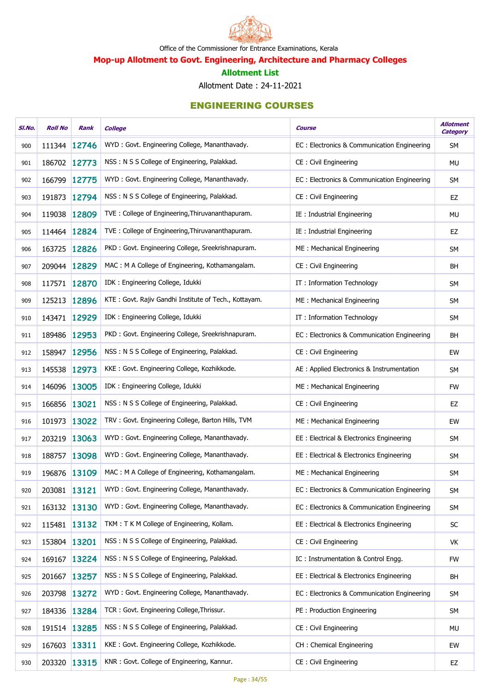

Mop-up Allotment to Govt. Engineering, Architecture and Pharmacy Colleges

#### Allotment List

Allotment Date : 24-11-2021

| SI.No. | <b>Roll No</b> | Rank         | <b>College</b>                                        | <b>Course</b>                               | <b>Allotment</b><br><b>Category</b> |
|--------|----------------|--------------|-------------------------------------------------------|---------------------------------------------|-------------------------------------|
| 900    | 111344 12746   |              | WYD: Govt. Engineering College, Mananthavady.         | EC: Electronics & Communication Engineering | <b>SM</b>                           |
| 901    | 186702 12773   |              | NSS: N S S College of Engineering, Palakkad.          | CE: Civil Engineering                       | MU                                  |
| 902    | 166799 12775   |              | WYD: Govt. Engineering College, Mananthavady.         | EC: Electronics & Communication Engineering | SM                                  |
| 903    | 191873 12794   |              | NSS: N S S College of Engineering, Palakkad.          | CE: Civil Engineering                       | EZ                                  |
| 904    | 119038 12809   |              | TVE: College of Engineering, Thiruvananthapuram.      | IE: Industrial Engineering                  | MU                                  |
| 905    | 114464 12824   |              | TVE: College of Engineering, Thiruvananthapuram.      | IE : Industrial Engineering                 | EZ                                  |
| 906    | 163725 12826   |              | PKD: Govt. Engineering College, Sreekrishnapuram.     | ME: Mechanical Engineering                  | <b>SM</b>                           |
| 907    | 209044 12829   |              | MAC: M A College of Engineering, Kothamangalam.       | CE: Civil Engineering                       | <b>BH</b>                           |
| 908    | 117571 12870   |              | IDK: Engineering College, Idukki                      | IT: Information Technology                  | <b>SM</b>                           |
| 909    | 125213 12896   |              | KTE: Govt. Rajiv Gandhi Institute of Tech., Kottayam. | ME: Mechanical Engineering                  | <b>SM</b>                           |
| 910    | 143471 12929   |              | IDK: Engineering College, Idukki                      | IT: Information Technology                  | <b>SM</b>                           |
| 911    | 189486 12953   |              | PKD: Govt. Engineering College, Sreekrishnapuram.     | EC: Electronics & Communication Engineering | <b>BH</b>                           |
| 912    | 158947 12956   |              | NSS: N S S College of Engineering, Palakkad.          | CE: Civil Engineering                       | EW                                  |
| 913    | 145538 12973   |              | KKE: Govt. Engineering College, Kozhikkode.           | AE : Applied Electronics & Instrumentation  | <b>SM</b>                           |
| 914    | 146096 13005   |              | IDK: Engineering College, Idukki                      | ME: Mechanical Engineering                  | <b>FW</b>                           |
| 915    | 166856 13021   |              | NSS: N S S College of Engineering, Palakkad.          | CE: Civil Engineering                       | EZ                                  |
| 916    | 101973         | 13022        | TRV: Govt. Engineering College, Barton Hills, TVM     | ME: Mechanical Engineering                  | EW                                  |
| 917    | 203219 13063   |              | WYD: Govt. Engineering College, Mananthavady.         | EE: Electrical & Electronics Engineering    | <b>SM</b>                           |
| 918    | 188757 13098   |              | WYD: Govt. Engineering College, Mananthavady.         | EE : Electrical & Electronics Engineering   | <b>SM</b>                           |
| 919    | 196876 13109   |              | MAC: M A College of Engineering, Kothamangalam.       | ME: Mechanical Engineering                  | <b>SM</b>                           |
| 920    | 203081 13121   |              | WYD: Govt. Engineering College, Mananthavady.         | EC: Electronics & Communication Engineering | <b>SM</b>                           |
| 921    | 163132 13130   |              | WYD: Govt. Engineering College, Mananthavady.         | EC: Electronics & Communication Engineering | SM                                  |
| 922    | 115481 13132   |              | TKM: T K M College of Engineering, Kollam.            | EE : Electrical & Electronics Engineering   | SC                                  |
| 923    | 153804 13201   |              | NSS: N S S College of Engineering, Palakkad.          | CE: Civil Engineering                       | VK                                  |
| 924    |                | 169167 13224 | NSS: N S S College of Engineering, Palakkad.          | IC: Instrumentation & Control Engg.         | <b>FW</b>                           |
| 925    | 201667         | 13257        | NSS: N S S College of Engineering, Palakkad.          | EE: Electrical & Electronics Engineering    | <b>BH</b>                           |
| 926    | 203798 13272   |              | WYD: Govt. Engineering College, Mananthavady.         | EC: Electronics & Communication Engineering | <b>SM</b>                           |
| 927    |                | 184336 13284 | TCR: Govt. Engineering College, Thrissur.             | PE: Production Engineering                  | SM                                  |
| 928    | 191514 13285   |              | NSS: N S S College of Engineering, Palakkad.          | CE: Civil Engineering                       | MU                                  |
| 929    | 167603 13311   |              | KKE: Govt. Engineering College, Kozhikkode.           | CH: Chemical Engineering                    | EW                                  |
| 930    |                | 203320 13315 | KNR: Govt. College of Engineering, Kannur.            | CE: Civil Engineering                       | EZ                                  |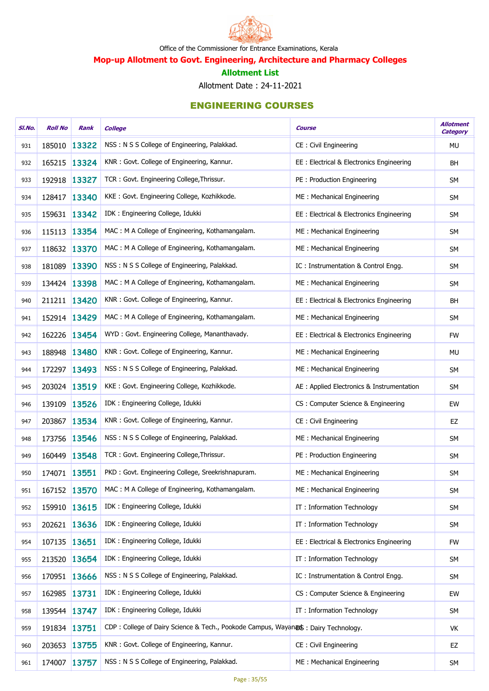

Mop-up Allotment to Govt. Engineering, Architecture and Pharmacy Colleges

#### Allotment List

Allotment Date : 24-11-2021

| SI.No. | <b>Roll No</b> | Rank         | <b>College</b>                                                                     | <b>Course</b>                              | <b>Allotment</b><br><b>Category</b> |
|--------|----------------|--------------|------------------------------------------------------------------------------------|--------------------------------------------|-------------------------------------|
| 931    | 185010         | 13322        | NSS: N S S College of Engineering, Palakkad.                                       | CE: Civil Engineering                      | <b>MU</b>                           |
| 932    | 165215 13324   |              | KNR: Govt. College of Engineering, Kannur.                                         | EE : Electrical & Electronics Engineering  | <b>BH</b>                           |
| 933    | 192918 13327   |              | TCR: Govt. Engineering College, Thrissur.                                          | PE: Production Engineering                 | <b>SM</b>                           |
| 934    | 128417 13340   |              | KKE: Govt. Engineering College, Kozhikkode.                                        | ME: Mechanical Engineering                 | SM                                  |
| 935    | 159631 13342   |              | IDK : Engineering College, Idukki                                                  | EE: Electrical & Electronics Engineering   | SM                                  |
| 936    | 115113 13354   |              | MAC: M A College of Engineering, Kothamangalam.                                    | ME: Mechanical Engineering                 | <b>SM</b>                           |
| 937    | 118632 13370   |              | MAC: M A College of Engineering, Kothamangalam.                                    | ME: Mechanical Engineering                 | SM                                  |
| 938    | 181089 13390   |              | NSS: N S S College of Engineering, Palakkad.                                       | IC: Instrumentation & Control Engg.        | SM                                  |
| 939    | 134424 13398   |              | MAC: M A College of Engineering, Kothamangalam.                                    | ME: Mechanical Engineering                 | SM                                  |
| 940    | 211211 13420   |              | KNR: Govt. College of Engineering, Kannur.                                         | EE : Electrical & Electronics Engineering  | <b>BH</b>                           |
| 941    | 152914 13429   |              | MAC: M A College of Engineering, Kothamangalam.                                    | ME: Mechanical Engineering                 | SM                                  |
| 942    | 162226 13454   |              | WYD: Govt. Engineering College, Mananthavady.                                      | EE : Electrical & Electronics Engineering  | <b>FW</b>                           |
| 943    | 188948 13480   |              | KNR: Govt. College of Engineering, Kannur.                                         | ME: Mechanical Engineering                 | <b>MU</b>                           |
| 944    | 172297 13493   |              | NSS: N S S College of Engineering, Palakkad.                                       | ME : Mechanical Engineering                | SM                                  |
| 945    | 203024 13519   |              | KKE: Govt. Engineering College, Kozhikkode.                                        | AE : Applied Electronics & Instrumentation | SM                                  |
| 946    | 139109 13526   |              | IDK: Engineering College, Idukki                                                   | CS : Computer Science & Engineering        | EW                                  |
| 947    | 203867         | 13534        | KNR: Govt. College of Engineering, Kannur.                                         | CE: Civil Engineering                      | EZ                                  |
| 948    | 173756 13546   |              | NSS: N S S College of Engineering, Palakkad.                                       | ME: Mechanical Engineering                 | SM                                  |
| 949    | 160449         | 13548        | TCR: Govt. Engineering College, Thrissur.                                          | PE: Production Engineering                 | <b>SM</b>                           |
| 950    | 174071 13551   |              | PKD: Govt. Engineering College, Sreekrishnapuram.                                  | ME: Mechanical Engineering                 | <b>SM</b>                           |
| 951    | 167152 13570   |              | MAC: M A College of Engineering, Kothamangalam.                                    | ME: Mechanical Engineering                 | <b>SM</b>                           |
| 952    | 159910 13615   |              | IDK: Engineering College, Idukki                                                   | IT: Information Technology                 | <b>SM</b>                           |
| 953    | 202621 13636   |              | IDK : Engineering College, Idukki                                                  | IT: Information Technology                 | SM                                  |
| 954    | 107135 13651   |              | IDK: Engineering College, Idukki                                                   | EE : Electrical & Electronics Engineering  | <b>FW</b>                           |
| 955    | 213520 13654   |              | IDK : Engineering College, Idukki                                                  | IT: Information Technology                 | <b>SM</b>                           |
| 956    | 170951 13666   |              | NSS: N S S College of Engineering, Palakkad.                                       | IC: Instrumentation & Control Engg.        | <b>SM</b>                           |
| 957    | 162985 13731   |              | IDK: Engineering College, Idukki                                                   | CS: Computer Science & Engineering         | EW                                  |
| 958    | 139544 13747   |              | IDK: Engineering College, Idukki                                                   | IT: Information Technology                 | <b>SM</b>                           |
| 959    | 191834 13751   |              | CDP: College of Dairy Science & Tech., Pookode Campus, Wayanars: Dairy Technology. |                                            | VK                                  |
| 960    | 203653 13755   |              | KNR: Govt. College of Engineering, Kannur.                                         | CE: Civil Engineering                      | EZ                                  |
| 961    |                | 174007 13757 | NSS: N S S College of Engineering, Palakkad.                                       | ME: Mechanical Engineering                 | SM                                  |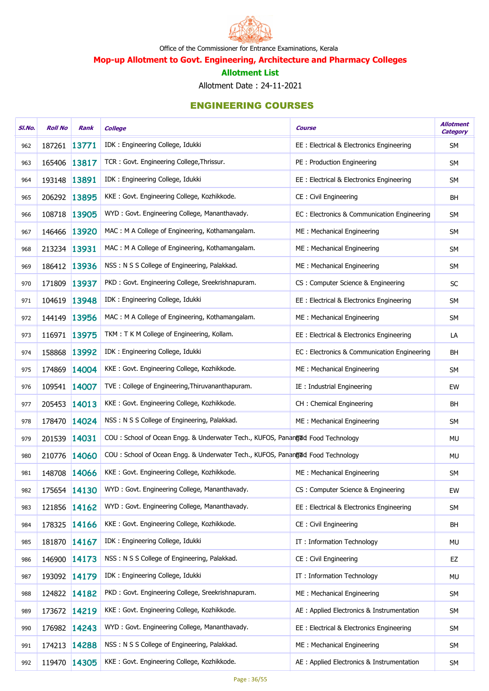

Mop-up Allotment to Govt. Engineering, Architecture and Pharmacy Colleges

#### Allotment List

Allotment Date : 24-11-2021

| SI.No. | <b>Roll No</b> | Rank         | <b>College</b>                                                                 | <b>Course</b>                               | <b>Allotment</b><br><b>Category</b> |
|--------|----------------|--------------|--------------------------------------------------------------------------------|---------------------------------------------|-------------------------------------|
| 962    | 187261 13771   |              | IDK: Engineering College, Idukki                                               | EE : Electrical & Electronics Engineering   | <b>SM</b>                           |
| 963    | 165406 13817   |              | TCR: Govt. Engineering College, Thrissur.                                      | PE: Production Engineering                  | <b>SM</b>                           |
| 964    | 193148 13891   |              | IDK: Engineering College, Idukki                                               | EE : Electrical & Electronics Engineering   | SM                                  |
| 965    | 206292 13895   |              | KKE: Govt. Engineering College, Kozhikkode.                                    | CE: Civil Engineering                       | <b>BH</b>                           |
| 966    | 108718 13905   |              | WYD: Govt. Engineering College, Mananthavady.                                  | EC: Electronics & Communication Engineering | SM                                  |
| 967    | 146466 13920   |              | MAC: M A College of Engineering, Kothamangalam.                                | ME: Mechanical Engineering                  | <b>SM</b>                           |
| 968    | 213234 13931   |              | MAC: M A College of Engineering, Kothamangalam.                                | ME: Mechanical Engineering                  | SM                                  |
| 969    | 186412 13936   |              | NSS: N S S College of Engineering, Palakkad.                                   | ME: Mechanical Engineering                  | SM                                  |
| 970    | 171809 13937   |              | PKD: Govt. Engineering College, Sreekrishnapuram.                              | CS: Computer Science & Engineering          | SC                                  |
| 971    | 104619 13948   |              | IDK: Engineering College, Idukki                                               | EE: Electrical & Electronics Engineering    | SM                                  |
| 972    | 144149 13956   |              | MAC: M A College of Engineering, Kothamangalam.                                | ME: Mechanical Engineering                  | SM                                  |
| 973    | 116971 13975   |              | TKM: T K M College of Engineering, Kollam.                                     | EE : Electrical & Electronics Engineering   | LA                                  |
| 974    | 158868 13992   |              | IDK : Engineering College, Idukki                                              | EC: Electronics & Communication Engineering | <b>BH</b>                           |
| 975    | 174869 14004   |              | KKE: Govt. Engineering College, Kozhikkode.                                    | ME: Mechanical Engineering                  | SM                                  |
| 976    | 109541 14007   |              | TVE: College of Engineering, Thiruvananthapuram.                               | IE: Industrial Engineering                  | EW                                  |
| 977    | 205453 14013   |              | KKE: Govt. Engineering College, Kozhikkode.                                    | CH: Chemical Engineering                    | BH                                  |
| 978    | 178470 14024   |              | NSS: N S S College of Engineering, Palakkad.                                   | ME: Mechanical Engineering                  | <b>SM</b>                           |
| 979    | 201539 14031   |              | COU: School of Ocean Engg. & Underwater Tech., KUFOS, Panangad Food Technology |                                             | MU                                  |
| 980    | 210776 14060   |              | COU: School of Ocean Engg. & Underwater Tech., KUFOS, Panangud Food Technology |                                             | MU                                  |
| 981    | 148708 14066   |              | KKE: Govt. Engineering College, Kozhikkode.                                    | ME: Mechanical Engineering                  | <b>SM</b>                           |
| 982    | 175654 14130   |              | WYD: Govt. Engineering College, Mananthavady.                                  | CS: Computer Science & Engineering          | EW                                  |
| 983    | 121856 14162   |              | WYD: Govt. Engineering College, Mananthavady.                                  | EE: Electrical & Electronics Engineering    | <b>SM</b>                           |
| 984    | 178325 14166   |              | KKE: Govt. Engineering College, Kozhikkode.                                    | CE: Civil Engineering                       | <b>BH</b>                           |
| 985    | 181870 14167   |              | IDK: Engineering College, Idukki                                               | IT: Information Technology                  | MU                                  |
| 986    | 146900 14173   |              | NSS: N S S College of Engineering, Palakkad.                                   | CE: Civil Engineering                       | EZ                                  |
| 987    | 193092 14179   |              | IDK: Engineering College, Idukki                                               | IT: Information Technology                  | MU                                  |
| 988    | 124822 14182   |              | PKD: Govt. Engineering College, Sreekrishnapuram.                              | ME: Mechanical Engineering                  | <b>SM</b>                           |
| 989    | 173672 14219   |              | KKE: Govt. Engineering College, Kozhikkode.                                    | AE : Applied Electronics & Instrumentation  | SM                                  |
| 990    | 176982 14243   |              | WYD: Govt. Engineering College, Mananthavady.                                  | EE: Electrical & Electronics Engineering    | <b>SM</b>                           |
| 991    | 174213 14288   |              | NSS: N S S College of Engineering, Palakkad.                                   | ME: Mechanical Engineering                  | SM                                  |
| 992    |                | 119470 14305 | KKE: Govt. Engineering College, Kozhikkode.                                    | AE : Applied Electronics & Instrumentation  | SM                                  |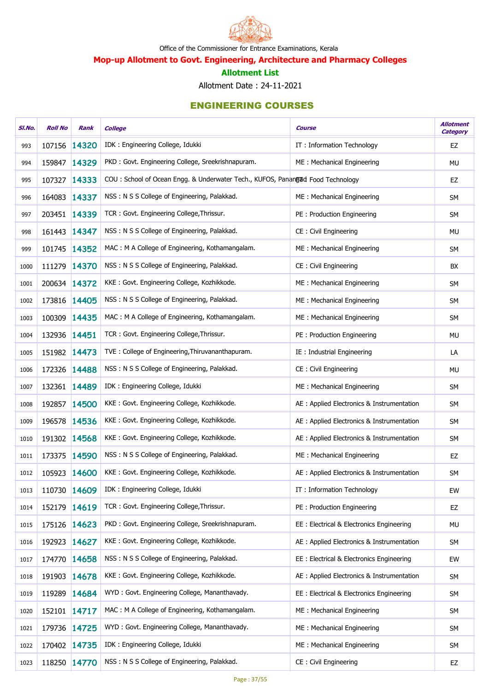

Mop-up Allotment to Govt. Engineering, Architecture and Pharmacy Colleges

#### Allotment List

Allotment Date : 24-11-2021

| SI.No. | <b>Roll No</b> | Rank         | <b>College</b>                                                                 | Course                                     | <b>Allotment</b><br><b>Category</b> |
|--------|----------------|--------------|--------------------------------------------------------------------------------|--------------------------------------------|-------------------------------------|
| 993    | 107156         | 14320        | IDK : Engineering College, Idukki                                              | IT: Information Technology                 | EZ                                  |
| 994    | 159847         | 14329        | PKD: Govt. Engineering College, Sreekrishnapuram.                              | ME: Mechanical Engineering                 | MU                                  |
| 995    | 107327         | 14333        | COU: School of Ocean Engg. & Underwater Tech., KUFOS, Panangud Food Technology |                                            | EZ                                  |
| 996    | 164083         | 14337        | NSS: N S S College of Engineering, Palakkad.                                   | ME: Mechanical Engineering                 | <b>SM</b>                           |
| 997    |                | 203451 14339 | TCR: Govt. Engineering College, Thrissur.                                      | PE: Production Engineering                 | <b>SM</b>                           |
| 998    |                | 161443 14347 | NSS: N S S College of Engineering, Palakkad.                                   | CE: Civil Engineering                      | MU                                  |
| 999    |                | 101745 14352 | MAC: M A College of Engineering, Kothamangalam.                                | ME: Mechanical Engineering                 | <b>SM</b>                           |
| 1000   | 111279         | 14370        | NSS: N S S College of Engineering, Palakkad.                                   | CE: Civil Engineering                      | BX                                  |
| 1001   | 200634 14372   |              | KKE: Govt. Engineering College, Kozhikkode.                                    | ME : Mechanical Engineering                | <b>SM</b>                           |
| 1002   | 173816         | 14405        | NSS: N S S College of Engineering, Palakkad.                                   | ME: Mechanical Engineering                 | <b>SM</b>                           |
| 1003   | 100309         | 14435        | MAC: M A College of Engineering, Kothamangalam.                                | ME: Mechanical Engineering                 | <b>SM</b>                           |
| 1004   | 132936         | 14451        | TCR: Govt. Engineering College, Thrissur.                                      | PE: Production Engineering                 | <b>MU</b>                           |
| 1005   | 151982 14473   |              | TVE: College of Engineering, Thiruvananthapuram.                               | IE : Industrial Engineering                | LA                                  |
| 1006   | 172326         | 14488        | NSS: N S S College of Engineering, Palakkad.                                   | CE: Civil Engineering                      | <b>MU</b>                           |
| 1007   | 132361 14489   |              | IDK: Engineering College, Idukki                                               | ME: Mechanical Engineering                 | <b>SM</b>                           |
| 1008   | 192857         | 14500        | KKE: Govt. Engineering College, Kozhikkode.                                    | AE : Applied Electronics & Instrumentation | SM                                  |
| 1009   | 196578         | 14536        | KKE: Govt. Engineering College, Kozhikkode.                                    | AE : Applied Electronics & Instrumentation | SM                                  |
| 1010   | 191302 14568   |              | KKE: Govt. Engineering College, Kozhikkode.                                    | AE : Applied Electronics & Instrumentation | <b>SM</b>                           |
| 1011   | 173375 14590   |              | NSS: N S S College of Engineering, Palakkad.                                   | ME: Mechanical Engineering                 | EZ                                  |
| 1012   |                | 105923 14600 | KKE: Govt. Engineering College, Kozhikkode.                                    | AE : Applied Electronics & Instrumentation | SM                                  |
| 1013   | 110730 14609   |              | IDK: Engineering College, Idukki                                               | IT: Information Technology                 | EW                                  |
| 1014   | 152179         | 14619        | TCR: Govt. Engineering College, Thrissur.                                      | PE: Production Engineering                 | EZ                                  |
| 1015   |                | 175126 14623 | PKD : Govt. Engineering College, Sreekrishnapuram.                             | EE: Electrical & Electronics Engineering   | MU                                  |
| 1016   |                | 192923 14627 | KKE: Govt. Engineering College, Kozhikkode.                                    | AE : Applied Electronics & Instrumentation | <b>SM</b>                           |
| 1017   |                | 174770 14658 | NSS: N S S College of Engineering, Palakkad.                                   | EE: Electrical & Electronics Engineering   | EW                                  |
| 1018   | 191903         | 14678        | KKE: Govt. Engineering College, Kozhikkode.                                    | AE : Applied Electronics & Instrumentation | SM                                  |
| 1019   | 119289         | 14684        | WYD: Govt. Engineering College, Mananthavady.                                  | EE: Electrical & Electronics Engineering   | <b>SM</b>                           |
| 1020   | 152101         | 14717        | MAC: M A College of Engineering, Kothamangalam.                                | ME: Mechanical Engineering                 | SM                                  |
| 1021   |                | 179736 14725 | WYD: Govt. Engineering College, Mananthavady.                                  | ME: Mechanical Engineering                 | <b>SM</b>                           |
| 1022   |                | 170402 14735 | IDK: Engineering College, Idukki                                               | ME: Mechanical Engineering                 | SM                                  |
| 1023   |                | 118250 14770 | NSS: N S S College of Engineering, Palakkad.                                   | CE: Civil Engineering                      | EZ                                  |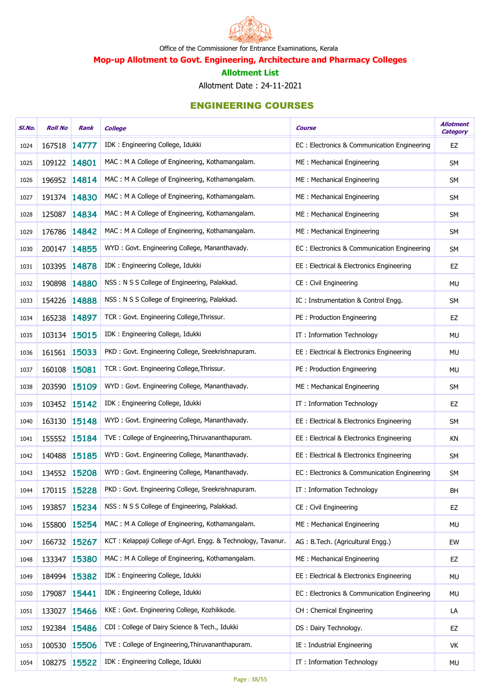

Mop-up Allotment to Govt. Engineering, Architecture and Pharmacy Colleges

#### Allotment List

Allotment Date : 24-11-2021

| SI.No. | <b>Roll No</b> | Rank         | <b>College</b>                                               | <b>Course</b>                               | <b>Allotment</b><br><b>Category</b> |
|--------|----------------|--------------|--------------------------------------------------------------|---------------------------------------------|-------------------------------------|
| 1024   | 167518 14777   |              | IDK: Engineering College, Idukki                             | EC: Electronics & Communication Engineering | EZ                                  |
| 1025   | 109122 14801   |              | MAC: M A College of Engineering, Kothamangalam.              | ME: Mechanical Engineering                  | SM                                  |
| 1026   | 196952 14814   |              | MAC: M A College of Engineering, Kothamangalam.              | ME: Mechanical Engineering                  | SM                                  |
| 1027   | 191374 14830   |              | MAC: M A College of Engineering, Kothamangalam.              | ME: Mechanical Engineering                  | SM                                  |
| 1028   | 125087         | 14834        | MAC: M A College of Engineering, Kothamangalam.              | ME: Mechanical Engineering                  | SM                                  |
| 1029   | 176786 14842   |              | MAC: M A College of Engineering, Kothamangalam.              | ME: Mechanical Engineering                  | SM                                  |
| 1030   | 200147         | 14855        | WYD: Govt. Engineering College, Mananthavady.                | EC: Electronics & Communication Engineering | <b>SM</b>                           |
| 1031   | 103395 14878   |              | IDK: Engineering College, Idukki                             | EE: Electrical & Electronics Engineering    | EZ                                  |
| 1032   | 190898 14880   |              | NSS: N S S College of Engineering, Palakkad.                 | CE: Civil Engineering                       | <b>MU</b>                           |
| 1033   | 154226 14888   |              | NSS: N S S College of Engineering, Palakkad.                 | IC: Instrumentation & Control Engg.         | SM                                  |
| 1034   | 165238 14897   |              | TCR: Govt. Engineering College, Thrissur.                    | PE: Production Engineering                  | EZ                                  |
| 1035   | 103134 15015   |              | IDK: Engineering College, Idukki                             | IT: Information Technology                  | <b>MU</b>                           |
| 1036   | 161561 15033   |              | PKD: Govt. Engineering College, Sreekrishnapuram.            | EE : Electrical & Electronics Engineering   | <b>MU</b>                           |
| 1037   | 160108 15081   |              | TCR: Govt. Engineering College, Thrissur.                    | PE: Production Engineering                  | MU                                  |
| 1038   | 203590 15109   |              | WYD: Govt. Engineering College, Mananthavady.                | ME: Mechanical Engineering                  | <b>SM</b>                           |
| 1039   | 103452 15142   |              | IDK: Engineering College, Idukki                             | IT: Information Technology                  | EZ                                  |
| 1040   | 163130 15148   |              | WYD: Govt. Engineering College, Mananthavady.                | EE: Electrical & Electronics Engineering    | <b>SM</b>                           |
| 1041   | 155552 15184   |              | TVE: College of Engineering, Thiruvananthapuram.             | EE: Electrical & Electronics Engineering    | KN                                  |
| 1042   | 140488 15185   |              | WYD: Govt. Engineering College, Mananthavady.                | EE : Electrical & Electronics Engineering   | <b>SM</b>                           |
| 1043   | 134552 15208   |              | WYD: Govt. Engineering College, Mananthavady.                | EC: Electronics & Communication Engineering | <b>SM</b>                           |
| 1044   | 170115 15228   |              | PKD: Govt. Engineering College, Sreekrishnapuram.            | IT: Information Technology                  | BH                                  |
| 1045   | 193857 15234   |              | NSS: N S S College of Engineering, Palakkad.                 | CE: Civil Engineering                       | EZ                                  |
| 1046   | 155800         | 15254        | MAC: M A College of Engineering, Kothamangalam.              | ME: Mechanical Engineering                  | <b>MU</b>                           |
| 1047   | 166732 15267   |              | KCT: Kelappaji College of-Agrl. Engg. & Technology, Tavanur. | AG: B.Tech. (Agricultural Engg.)            | EW                                  |
| 1048   | 133347         | 15380        | MAC: M A College of Engineering, Kothamangalam.              | ME: Mechanical Engineering                  | EZ                                  |
| 1049   | 184994 15382   |              | IDK: Engineering College, Idukki                             | EE: Electrical & Electronics Engineering    | <b>MU</b>                           |
| 1050   | 179087         | 15441        | IDK: Engineering College, Idukki                             | EC: Electronics & Communication Engineering | <b>MU</b>                           |
| 1051   | 133027 15466   |              | KKE: Govt. Engineering College, Kozhikkode.                  | CH: Chemical Engineering                    | LA                                  |
| 1052   | 192384 15486   |              | CDI: College of Dairy Science & Tech., Idukki                | DS: Dairy Technology.                       | EZ                                  |
| 1053   | 100530         | 15506        | TVE: College of Engineering, Thiruvananthapuram.             | IE: Industrial Engineering                  | VK                                  |
| 1054   |                | 108275 15522 | IDK: Engineering College, Idukki                             | IT: Information Technology                  | <b>MU</b>                           |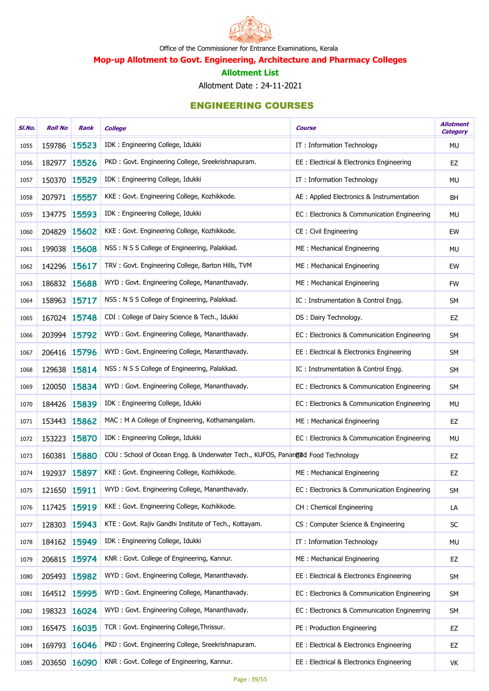

Mop-up Allotment to Govt. Engineering, Architecture and Pharmacy Colleges

#### Allotment List

Allotment Date : 24-11-2021

| SI.No. | <b>Roll No</b> | Rank         | <b>College</b>                                                                 | Course                                      | <b>Allotment</b><br><b>Category</b> |
|--------|----------------|--------------|--------------------------------------------------------------------------------|---------------------------------------------|-------------------------------------|
| 1055   | 159786         | 15523        | IDK: Engineering College, Idukki                                               | IT: Information Technology                  | MU                                  |
| 1056   | 182977 15526   |              | PKD: Govt. Engineering College, Sreekrishnapuram.                              | EE: Electrical & Electronics Engineering    | EZ                                  |
| 1057   | 150370         | 15529        | IDK: Engineering College, Idukki                                               | IT: Information Technology                  | <b>MU</b>                           |
| 1058   | 207971 15557   |              | KKE: Govt. Engineering College, Kozhikkode.                                    | AE : Applied Electronics & Instrumentation  | <b>BH</b>                           |
| 1059   | 134775         | 15593        | IDK: Engineering College, Idukki                                               | EC: Electronics & Communication Engineering | <b>MU</b>                           |
| 1060   | 204829 15602   |              | KKE: Govt. Engineering College, Kozhikkode.                                    | CE: Civil Engineering                       | EW                                  |
| 1061   | 199038         | 15608        | NSS: N S S College of Engineering, Palakkad.                                   | ME: Mechanical Engineering                  | MU                                  |
| 1062   | 142296 15617   |              | TRV: Govt. Engineering College, Barton Hills, TVM                              | ME: Mechanical Engineering                  | EW                                  |
| 1063   | 186832 15688   |              | WYD: Govt. Engineering College, Mananthavady.                                  | ME: Mechanical Engineering                  | <b>FW</b>                           |
| 1064   | 158963 15717   |              | NSS: N S S College of Engineering, Palakkad.                                   | IC: Instrumentation & Control Engg.         | <b>SM</b>                           |
| 1065   | 167024 15748   |              | CDI: College of Dairy Science & Tech., Idukki                                  | DS: Dairy Technology.                       | EZ                                  |
| 1066   | 203994 15792   |              | WYD: Govt. Engineering College, Mananthavady.                                  | EC: Electronics & Communication Engineering | SM                                  |
| 1067   | 206416         | 15796        | WYD: Govt. Engineering College, Mananthavady.                                  | EE: Electrical & Electronics Engineering    | SM                                  |
| 1068   | 129638 15814   |              | NSS: N S S College of Engineering, Palakkad.                                   | IC: Instrumentation & Control Engg.         | SM                                  |
| 1069   | 120050         | 15834        | WYD: Govt. Engineering College, Mananthavady.                                  | EC: Electronics & Communication Engineering | SM                                  |
| 1070   | 184426         | 15839        | IDK: Engineering College, Idukki                                               | EC: Electronics & Communication Engineering | MU                                  |
| 1071   | 153443         | 15862        | MAC: M A College of Engineering, Kothamangalam.                                | ME: Mechanical Engineering                  | EZ                                  |
| 1072   | 153223 15870   |              | IDK: Engineering College, Idukki                                               | EC: Electronics & Communication Engineering | <b>MU</b>                           |
| 1073   | 160381 15880   |              | COU: School of Ocean Engg. & Underwater Tech., KUFOS, Panangud Food Technology |                                             | EZ                                  |
| 1074   | 192937 15897   |              | KKE: Govt. Engineering College, Kozhikkode.                                    | ME: Mechanical Engineering                  | EZ                                  |
| 1075   | 121650 15911   |              | WYD: Govt. Engineering College, Mananthavady.                                  | EC: Electronics & Communication Engineering | <b>SM</b>                           |
| 1076   | 117425         | 15919        | KKE: Govt. Engineering College, Kozhikkode.                                    | CH: Chemical Engineering                    | LA                                  |
| 1077   | 128303         | 15943        | KTE: Govt. Rajiv Gandhi Institute of Tech., Kottayam.                          | CS: Computer Science & Engineering          | SC                                  |
| 1078   | 184162 15949   |              | IDK: Engineering College, Idukki                                               | IT: Information Technology                  | <b>MU</b>                           |
| 1079   | 206815         | 15974        | KNR: Govt. College of Engineering, Kannur.                                     | ME: Mechanical Engineering                  | EZ                                  |
| 1080   | 205493         | 15982        | WYD: Govt. Engineering College, Mananthavady.                                  | EE: Electrical & Electronics Engineering    | SM                                  |
| 1081   | 164512         | 15995        | WYD: Govt. Engineering College, Mananthavady.                                  | EC: Electronics & Communication Engineering | <b>SM</b>                           |
| 1082   | 198323         | 16024        | WYD: Govt. Engineering College, Mananthavady.                                  | EC: Electronics & Communication Engineering | SM                                  |
| 1083   | 165475         | 16035        | TCR: Govt. Engineering College, Thrissur.                                      | PE: Production Engineering                  | EZ                                  |
| 1084   | 169793         | 16046        | PKD: Govt. Engineering College, Sreekrishnapuram.                              | EE: Electrical & Electronics Engineering    | EZ                                  |
| 1085   |                | 203650 16090 | KNR: Govt. College of Engineering, Kannur.                                     | EE: Electrical & Electronics Engineering    | VK                                  |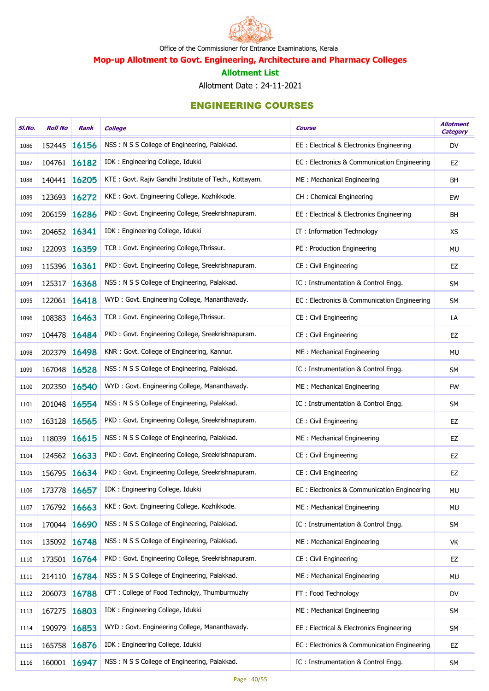

Mop-up Allotment to Govt. Engineering, Architecture and Pharmacy Colleges

#### Allotment List

Allotment Date : 24-11-2021

| SI.No. | <b>Roll No</b> | Rank         | <b>College</b>                                        | Course                                      | <b>Allotment</b><br><b>Category</b> |
|--------|----------------|--------------|-------------------------------------------------------|---------------------------------------------|-------------------------------------|
| 1086   | 152445         | 16156        | NSS: N S S College of Engineering, Palakkad.          | EE: Electrical & Electronics Engineering    | <b>DV</b>                           |
| 1087   | 104761 16182   |              | IDK: Engineering College, Idukki                      | EC: Electronics & Communication Engineering | EZ                                  |
| 1088   | 140441 16205   |              | KTE: Govt. Rajiv Gandhi Institute of Tech., Kottayam. | ME: Mechanical Engineering                  | <b>BH</b>                           |
| 1089   | 123693 16272   |              | KKE: Govt. Engineering College, Kozhikkode.           | CH: Chemical Engineering                    | EW                                  |
| 1090   | 206159         | 16286        | PKD: Govt. Engineering College, Sreekrishnapuram.     | EE: Electrical & Electronics Engineering    | BH                                  |
| 1091   | 204652 16341   |              | IDK: Engineering College, Idukki                      | IT: Information Technology                  | <b>XS</b>                           |
| 1092   | 122093         | 16359        | TCR: Govt. Engineering College, Thrissur.             | PE: Production Engineering                  | MU                                  |
| 1093   | 115396 16361   |              | PKD: Govt. Engineering College, Sreekrishnapuram.     | CE: Civil Engineering                       | EZ                                  |
| 1094   | 125317         | 16368        | NSS: N S S College of Engineering, Palakkad.          | IC: Instrumentation & Control Engg.         | SM                                  |
| 1095   | 122061 16418   |              | WYD: Govt. Engineering College, Mananthavady.         | EC: Electronics & Communication Engineering | SM                                  |
| 1096   | 108383         | 16463        | TCR: Govt. Engineering College, Thrissur.             | CE: Civil Engineering                       | LA                                  |
| 1097   | 104478 16484   |              | PKD: Govt. Engineering College, Sreekrishnapuram.     | CE: Civil Engineering                       | EZ                                  |
| 1098   | 202379         | 16498        | KNR: Govt. College of Engineering, Kannur.            | ME: Mechanical Engineering                  | <b>MU</b>                           |
| 1099   | 167048 16528   |              | NSS: N S S College of Engineering, Palakkad.          | IC: Instrumentation & Control Engg.         | <b>SM</b>                           |
| 1100   | 202350         | 16540        | WYD: Govt. Engineering College, Mananthavady.         | ME: Mechanical Engineering                  | <b>FW</b>                           |
| 1101   | 201048         | 16554        | NSS: N S S College of Engineering, Palakkad.          | IC: Instrumentation & Control Engg.         | SM                                  |
| 1102   | 163128         | 16565        | PKD: Govt. Engineering College, Sreekrishnapuram.     | CE: Civil Engineering                       | EZ                                  |
| 1103   | 118039 16615   |              | NSS: N S S College of Engineering, Palakkad.          | ME: Mechanical Engineering                  | EZ                                  |
| 1104   | 124562 16633   |              | PKD: Govt. Engineering College, Sreekrishnapuram.     | CE: Civil Engineering                       | EZ                                  |
| 1105   |                | 156795 16634 | PKD: Govt. Engineering College, Sreekrishnapuram.     | CE: Civil Engineering                       | EZ                                  |
| 1106   | 173778 16657   |              | IDK: Engineering College, Idukki                      | EC: Electronics & Communication Engineering | MU                                  |
| 1107   | 176792 16663   |              | KKE: Govt. Engineering College, Kozhikkode.           | ME: Mechanical Engineering                  | MU                                  |
| 1108   |                | 170044 16690 | NSS: N S S College of Engineering, Palakkad.          | IC: Instrumentation & Control Engg.         | SM                                  |
| 1109   | 135092 16748   |              | NSS: N S S College of Engineering, Palakkad.          | ME: Mechanical Engineering                  | VK                                  |
| 1110   |                | 173501 16764 | PKD: Govt. Engineering College, Sreekrishnapuram.     | CE: Civil Engineering                       | EZ                                  |
| 1111   | 214110         | 16784        | NSS: N S S College of Engineering, Palakkad.          | ME: Mechanical Engineering                  | MU                                  |
| 1112   | 206073         | 16788        | CFT: College of Food Technolgy, Thumburmuzhy          | FT: Food Technology                         | DV                                  |
| 1113   | 167275         | 16803        | IDK: Engineering College, Idukki                      | ME: Mechanical Engineering                  | <b>SM</b>                           |
| 1114   | 190979         | 16853        | WYD: Govt. Engineering College, Mananthavady.         | EE: Electrical & Electronics Engineering    | SM                                  |
| 1115   | 165758         | 16876        | IDK: Engineering College, Idukki                      | EC: Electronics & Communication Engineering | EZ                                  |
| 1116   |                | 160001 16947 | NSS: N S S College of Engineering, Palakkad.          | IC: Instrumentation & Control Engg.         | SM                                  |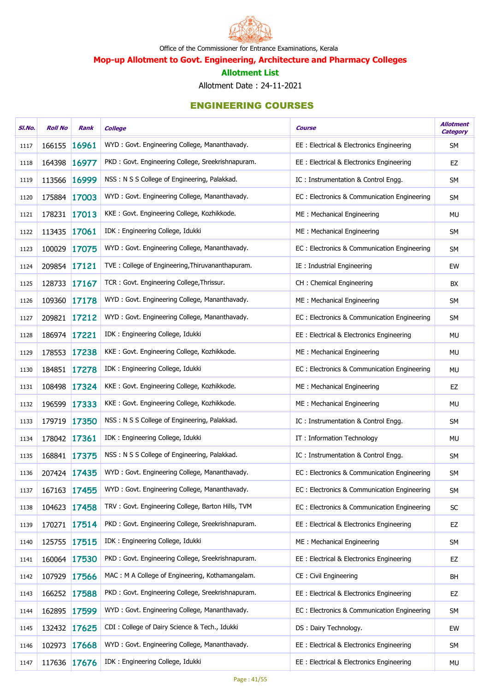

Mop-up Allotment to Govt. Engineering, Architecture and Pharmacy Colleges

#### Allotment List

Allotment Date : 24-11-2021

| SI.No. | <b>Roll No</b> | Rank  | <b>College</b>                                    | <b>Course</b>                               | <b>Allotment</b><br><b>Category</b> |
|--------|----------------|-------|---------------------------------------------------|---------------------------------------------|-------------------------------------|
| 1117   | 166155         | 16961 | WYD: Govt. Engineering College, Mananthavady.     | EE: Electrical & Electronics Engineering    | <b>SM</b>                           |
| 1118   | 164398 16977   |       | PKD: Govt. Engineering College, Sreekrishnapuram. | EE : Electrical & Electronics Engineering   | EZ                                  |
| 1119   | 113566         | 16999 | NSS: N S S College of Engineering, Palakkad.      | IC: Instrumentation & Control Engg.         | <b>SM</b>                           |
| 1120   | 175884 17003   |       | WYD: Govt. Engineering College, Mananthavady.     | EC: Electronics & Communication Engineering | SM                                  |
| 1121   | 178231 17013   |       | KKE: Govt. Engineering College, Kozhikkode.       | ME: Mechanical Engineering                  | <b>MU</b>                           |
| 1122   | 113435 17061   |       | IDK: Engineering College, Idukki                  | ME: Mechanical Engineering                  | <b>SM</b>                           |
| 1123   | 100029         | 17075 | WYD: Govt. Engineering College, Mananthavady.     | EC: Electronics & Communication Engineering | <b>SM</b>                           |
| 1124   | 209854 17121   |       | TVE: College of Engineering, Thiruvananthapuram.  | IE: Industrial Engineering                  | EW                                  |
| 1125   | 128733 17167   |       | TCR: Govt. Engineering College, Thrissur.         | CH: Chemical Engineering                    | BX                                  |
| 1126   | 109360 17178   |       | WYD: Govt. Engineering College, Mananthavady.     | ME: Mechanical Engineering                  | <b>SM</b>                           |
| 1127   | 209821 17212   |       | WYD: Govt. Engineering College, Mananthavady.     | EC: Electronics & Communication Engineering | <b>SM</b>                           |
| 1128   | 186974 17221   |       | IDK: Engineering College, Idukki                  | EE: Electrical & Electronics Engineering    | <b>MU</b>                           |
| 1129   | 178553         | 17238 | KKE: Govt. Engineering College, Kozhikkode.       | ME: Mechanical Engineering                  | <b>MU</b>                           |
| 1130   | 184851 17278   |       | IDK: Engineering College, Idukki                  | EC: Electronics & Communication Engineering | <b>MU</b>                           |
| 1131   | 108498         | 17324 | KKE: Govt. Engineering College, Kozhikkode.       | ME: Mechanical Engineering                  | EZ                                  |
| 1132   | 196599         | 17333 | KKE: Govt. Engineering College, Kozhikkode.       | ME: Mechanical Engineering                  | <b>MU</b>                           |
| 1133   | 179719         | 17350 | NSS: N S S College of Engineering, Palakkad.      | IC: Instrumentation & Control Engg.         | <b>SM</b>                           |
| 1134   | 178042 17361   |       | IDK: Engineering College, Idukki                  | IT: Information Technology                  | <b>MU</b>                           |
| 1135   | 168841 17375   |       | NSS: N S S College of Engineering, Palakkad.      | IC: Instrumentation & Control Engg.         | <b>SM</b>                           |
| 1136   | 207424 17435   |       | WYD: Govt. Engineering College, Mananthavady.     | EC: Electronics & Communication Engineering | <b>SM</b>                           |
| 1137   | 167163 17455   |       | WYD: Govt. Engineering College, Mananthavady.     | EC: Electronics & Communication Engineering | <b>SM</b>                           |
| 1138   | 104623 17458   |       | TRV: Govt. Engineering College, Barton Hills, TVM | EC: Electronics & Communication Engineering | SC                                  |
| 1139   | 170271 17514   |       | PKD: Govt. Engineering College, Sreekrishnapuram. | EE: Electrical & Electronics Engineering    | EZ                                  |
| 1140   | 125755 17515   |       | IDK: Engineering College, Idukki                  | ME: Mechanical Engineering                  | SM                                  |
| 1141   | 160064 17530   |       | PKD: Govt. Engineering College, Sreekrishnapuram. | EE : Electrical & Electronics Engineering   | EZ                                  |
| 1142   | 107929         | 17566 | MAC: M A College of Engineering, Kothamangalam.   | <b>CE: Civil Engineering</b>                | BH                                  |
| 1143   | 166252 17588   |       | PKD: Govt. Engineering College, Sreekrishnapuram. | EE : Electrical & Electronics Engineering   | EZ                                  |
| 1144   | 162895 17599   |       | WYD: Govt. Engineering College, Mananthavady.     | EC: Electronics & Communication Engineering | <b>SM</b>                           |
| 1145   | 132432 17625   |       | CDI : College of Dairy Science & Tech., Idukki    | DS: Dairy Technology.                       | EW                                  |
| 1146   | 102973         | 17668 | WYD: Govt. Engineering College, Mananthavady.     | EE: Electrical & Electronics Engineering    | <b>SM</b>                           |
| 1147   | 117636         | 17676 | IDK : Engineering College, Idukki                 | EE : Electrical & Electronics Engineering   | <b>MU</b>                           |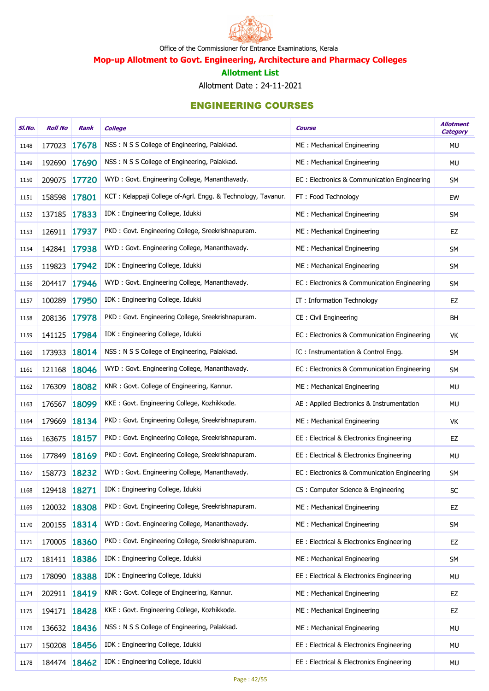

Mop-up Allotment to Govt. Engineering, Architecture and Pharmacy Colleges

#### Allotment List

Allotment Date : 24-11-2021

| SI.No. | <b>Roll No</b> | Rank         | <b>College</b>                                               | Course                                      | <b>Allotment</b><br><b>Category</b> |
|--------|----------------|--------------|--------------------------------------------------------------|---------------------------------------------|-------------------------------------|
| 1148   | 177023 17678   |              | NSS: N S S College of Engineering, Palakkad.                 | ME: Mechanical Engineering                  | MU                                  |
| 1149   | 192690 17690   |              | NSS: N S S College of Engineering, Palakkad.                 | ME: Mechanical Engineering                  | MU                                  |
| 1150   | 209075         | 17720        | WYD: Govt. Engineering College, Mananthavady.                | EC: Electronics & Communication Engineering | SM                                  |
| 1151   | 158598 17801   |              | KCT: Kelappaji College of-Agrl. Engg. & Technology, Tavanur. | FT: Food Technology                         | EW                                  |
| 1152   | 137185         | 17833        | IDK: Engineering College, Idukki                             | ME: Mechanical Engineering                  | <b>SM</b>                           |
| 1153   | 126911 17937   |              | PKD: Govt. Engineering College, Sreekrishnapuram.            | ME: Mechanical Engineering                  | EZ                                  |
| 1154   | 142841 17938   |              | WYD: Govt. Engineering College, Mananthavady.                | ME: Mechanical Engineering                  | <b>SM</b>                           |
| 1155   | 119823 17942   |              | IDK: Engineering College, Idukki                             | ME: Mechanical Engineering                  | SM                                  |
| 1156   | 204417         | 17946        | WYD: Govt. Engineering College, Mananthavady.                | EC: Electronics & Communication Engineering | SM                                  |
| 1157   | 100289 17950   |              | IDK: Engineering College, Idukki                             | IT: Information Technology                  | EZ                                  |
| 1158   | 208136         | 17978        | PKD: Govt. Engineering College, Sreekrishnapuram.            | CE: Civil Engineering                       | <b>BH</b>                           |
| 1159   | 141125         | 17984        | IDK: Engineering College, Idukki                             | EC: Electronics & Communication Engineering | VK                                  |
| 1160   | 173933         | 18014        | NSS: N S S College of Engineering, Palakkad.                 | IC: Instrumentation & Control Engg.         | SM                                  |
| 1161   | 121168 18046   |              | WYD: Govt. Engineering College, Mananthavady.                | EC: Electronics & Communication Engineering | SM                                  |
| 1162   | 176309         | 18082        | KNR: Govt. College of Engineering, Kannur.                   | ME: Mechanical Engineering                  | MU                                  |
| 1163   | 176567         | 18099        | KKE: Govt. Engineering College, Kozhikkode.                  | AE : Applied Electronics & Instrumentation  | MU                                  |
| 1164   | 179669         | 18134        | PKD: Govt. Engineering College, Sreekrishnapuram.            | ME: Mechanical Engineering                  | VK                                  |
| 1165   | 163675 18157   |              | PKD: Govt. Engineering College, Sreekrishnapuram.            | EE: Electrical & Electronics Engineering    | EZ                                  |
| 1166   | 177849         | <b>18169</b> | PKD: Govt. Engineering College, Sreekrishnapuram.            | EE: Electrical & Electronics Engineering    | <b>MU</b>                           |
| 1167   | 158773 18232   |              | WYD: Govt. Engineering College, Mananthavady.                | EC: Electronics & Communication Engineering | <b>SM</b>                           |
| 1168   | 129418 18271   |              | IDK: Engineering College, Idukki                             | CS: Computer Science & Engineering          | SC                                  |
| 1169   | 120032 18308   |              | PKD: Govt. Engineering College, Sreekrishnapuram.            | ME: Mechanical Engineering                  | EZ                                  |
| 1170   | 200155         | 18314        | WYD: Govt. Engineering College, Mananthavady.                | ME: Mechanical Engineering                  | SM                                  |
| 1171   |                | 170005 18360 | PKD: Govt. Engineering College, Sreekrishnapuram.            | EE: Electrical & Electronics Engineering    | EZ                                  |
| 1172   |                | 181411 18386 | IDK : Engineering College, Idukki                            | ME: Mechanical Engineering                  | <b>SM</b>                           |
| 1173   | 178090         | 18388        | IDK: Engineering College, Idukki                             | EE: Electrical & Electronics Engineering    | MU                                  |
| 1174   | 202911 18419   |              | KNR: Govt. College of Engineering, Kannur.                   | ME: Mechanical Engineering                  | EZ                                  |
| 1175   | 194171 18428   |              | KKE: Govt. Engineering College, Kozhikkode.                  | ME: Mechanical Engineering                  | EZ                                  |
| 1176   |                | 136632 18436 | NSS: N S S College of Engineering, Palakkad.                 | ME: Mechanical Engineering                  | MU                                  |
| 1177   | 150208         | 18456        | IDK: Engineering College, Idukki                             | EE: Electrical & Electronics Engineering    | MU                                  |
| 1178   |                | 184474 18462 | IDK : Engineering College, Idukki                            | EE: Electrical & Electronics Engineering    | MU                                  |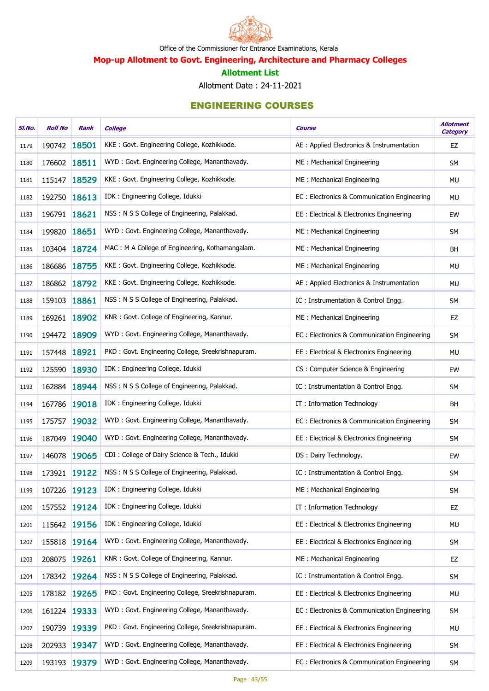

Mop-up Allotment to Govt. Engineering, Architecture and Pharmacy Colleges

#### Allotment List

Allotment Date : 24-11-2021

| SI.No. | <b>Roll No</b> | Rank         | <b>College</b>                                    | <b>Course</b>                                | <b>Allotment</b><br><b>Category</b> |
|--------|----------------|--------------|---------------------------------------------------|----------------------------------------------|-------------------------------------|
| 1179   | 190742 18501   |              | KKE: Govt. Engineering College, Kozhikkode.       | AE : Applied Electronics & Instrumentation   | EZ                                  |
| 1180   | 176602 18511   |              | WYD: Govt. Engineering College, Mananthavady.     | ME: Mechanical Engineering                   | <b>SM</b>                           |
| 1181   |                | 115147 18529 | KKE: Govt. Engineering College, Kozhikkode.       | ME: Mechanical Engineering                   | MU                                  |
| 1182   | 192750         | 18613        | IDK: Engineering College, Idukki                  | EC: Electronics & Communication Engineering  | <b>MU</b>                           |
| 1183   | 196791 18621   |              | NSS: N S S College of Engineering, Palakkad.      | EE : Electrical & Electronics Engineering    | EW                                  |
| 1184   | 199820 18651   |              | WYD: Govt. Engineering College, Mananthavady.     | ME: Mechanical Engineering                   | <b>SM</b>                           |
| 1185   |                | 103404 18724 | MAC: M A College of Engineering, Kothamangalam.   | ME: Mechanical Engineering                   | BH                                  |
| 1186   | 186686         | 18755        | KKE: Govt. Engineering College, Kozhikkode.       | ME: Mechanical Engineering                   | <b>MU</b>                           |
| 1187   |                | 186862 18792 | KKE: Govt. Engineering College, Kozhikkode.       | AE : Applied Electronics & Instrumentation   | MU                                  |
| 1188   | 159103 18861   |              | NSS: N S S College of Engineering, Palakkad.      | IC: Instrumentation & Control Engg.          | SM                                  |
| 1189   |                | 169261 18902 | KNR: Govt. College of Engineering, Kannur.        | ME: Mechanical Engineering                   | EZ                                  |
| 1190   | 194472 18909   |              | WYD: Govt. Engineering College, Mananthavady.     | EC: Electronics & Communication Engineering  | SM                                  |
| 1191   | 157448         | 18921        | PKD: Govt. Engineering College, Sreekrishnapuram. | EE: Electrical & Electronics Engineering     | <b>MU</b>                           |
| 1192   | 125590         | 18930        | IDK: Engineering College, Idukki                  | CS: Computer Science & Engineering           | EW                                  |
| 1193   |                | 162884 18944 | NSS: N S S College of Engineering, Palakkad.      | IC: Instrumentation & Control Engg.          | <b>SM</b>                           |
| 1194   | 167786         | 19018        | IDK: Engineering College, Idukki                  | IT: Information Technology                   | BH                                  |
| 1195   | 175757         | 19032        | WYD: Govt. Engineering College, Mananthavady.     | EC : Electronics & Communication Engineering | SM                                  |
| 1196   | 187049         | 19040        | WYD: Govt. Engineering College, Mananthavady.     | EE: Electrical & Electronics Engineering     | <b>SM</b>                           |
| 1197   |                | 146078 19065 | CDI : College of Dairy Science & Tech., Idukki    | DS: Dairy Technology.                        | EW                                  |
| 1198   |                | 173921 19122 | NSS: N S S College of Engineering, Palakkad.      | IC: Instrumentation & Control Engg.          | SM                                  |
| 1199   | 107226 19123   |              | IDK: Engineering College, Idukki                  | ME: Mechanical Engineering                   | <b>SM</b>                           |
| 1200   |                | 157552 19124 | IDK: Engineering College, Idukki                  | IT: Information Technology                   | EZ                                  |
| 1201   |                | 115642 19156 | IDK : Engineering College, Idukki                 | EE: Electrical & Electronics Engineering     | MU                                  |
| 1202   |                | 155818 19164 | WYD: Govt. Engineering College, Mananthavady.     | EE: Electrical & Electronics Engineering     | SM                                  |
| 1203   | 208075 19261   |              | KNR: Govt. College of Engineering, Kannur.        | ME: Mechanical Engineering                   | EZ                                  |
| 1204   |                | 178342 19264 | NSS: N S S College of Engineering, Palakkad.      | IC: Instrumentation & Control Engg.          | SM                                  |
| 1205   |                | 178182 19265 | PKD: Govt. Engineering College, Sreekrishnapuram. | EE : Electrical & Electronics Engineering    | MU                                  |
| 1206   |                | 161224 19333 | WYD: Govt. Engineering College, Mananthavady.     | EC: Electronics & Communication Engineering  | <b>SM</b>                           |
| 1207   |                | 190739 19339 | PKD: Govt. Engineering College, Sreekrishnapuram. | EE: Electrical & Electronics Engineering     | MU                                  |
| 1208   | 202933         | 19347        | WYD: Govt. Engineering College, Mananthavady.     | EE: Electrical & Electronics Engineering     | SM                                  |
| 1209   |                | 193193 19379 | WYD: Govt. Engineering College, Mananthavady.     | EC: Electronics & Communication Engineering  | <b>SM</b>                           |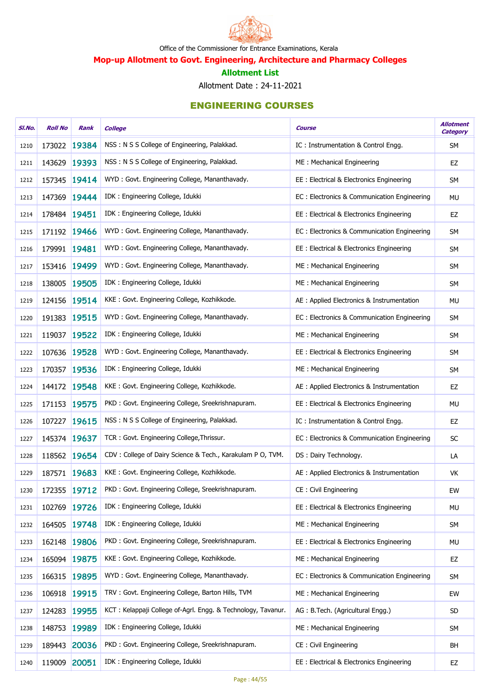

Mop-up Allotment to Govt. Engineering, Architecture and Pharmacy Colleges

#### Allotment List

Allotment Date : 24-11-2021

| SI.No. | <b>Roll No</b> | Rank         | <b>College</b>                                               | Course                                      | <b>Allotment</b><br><b>Category</b> |
|--------|----------------|--------------|--------------------------------------------------------------|---------------------------------------------|-------------------------------------|
| 1210   | 173022         | 19384        | NSS: N S S College of Engineering, Palakkad.                 | IC: Instrumentation & Control Engg.         | <b>SM</b>                           |
| 1211   | 143629 19393   |              | NSS: N S S College of Engineering, Palakkad.                 | ME: Mechanical Engineering                  | EZ                                  |
| 1212   | 157345         | 19414        | WYD: Govt. Engineering College, Mananthavady.                | EE: Electrical & Electronics Engineering    | <b>SM</b>                           |
| 1213   | 147369         | 19444        | IDK: Engineering College, Idukki                             | EC: Electronics & Communication Engineering | MU                                  |
| 1214   | 178484 19451   |              | IDK: Engineering College, Idukki                             | EE: Electrical & Electronics Engineering    | EZ                                  |
| 1215   | 171192 19466   |              | WYD: Govt. Engineering College, Mananthavady.                | EC: Electronics & Communication Engineering | <b>SM</b>                           |
| 1216   | 179991 19481   |              | WYD: Govt. Engineering College, Mananthavady.                | EE : Electrical & Electronics Engineering   | SM                                  |
| 1217   | 153416         | 19499        | WYD: Govt. Engineering College, Mananthavady.                | ME: Mechanical Engineering                  | SM                                  |
| 1218   | 138005         | 19505        | IDK: Engineering College, Idukki                             | ME: Mechanical Engineering                  | <b>SM</b>                           |
| 1219   | 124156         | 19514        | KKE: Govt. Engineering College, Kozhikkode.                  | AE : Applied Electronics & Instrumentation  | <b>MU</b>                           |
| 1220   | 191383         | 19515        | WYD: Govt. Engineering College, Mananthavady.                | EC: Electronics & Communication Engineering | SM                                  |
| 1221   | 119037         | 19522        | IDK: Engineering College, Idukki                             | ME: Mechanical Engineering                  | SM                                  |
| 1222   | 107636         | 19528        | WYD: Govt. Engineering College, Mananthavady.                | EE: Electrical & Electronics Engineering    | SM                                  |
| 1223   | 170357 19536   |              | IDK: Engineering College, Idukki                             | ME: Mechanical Engineering                  | <b>SM</b>                           |
| 1224   | 144172 19548   |              | KKE: Govt. Engineering College, Kozhikkode.                  | AE : Applied Electronics & Instrumentation  | EZ                                  |
| 1225   | 171153         | 19575        | PKD: Govt. Engineering College, Sreekrishnapuram.            | EE: Electrical & Electronics Engineering    | <b>MU</b>                           |
| 1226   | 107227         | 19615        | NSS: N S S College of Engineering, Palakkad.                 | IC: Instrumentation & Control Engg.         | EZ                                  |
| 1227   | 145374 19637   |              | TCR: Govt. Engineering College, Thrissur.                    | EC: Electronics & Communication Engineering | SC                                  |
| 1228   |                | 118562 19654 | CDV: College of Dairy Science & Tech., Karakulam P O, TVM.   | DS: Dairy Technology.                       | LA                                  |
| 1229   | 187571 19683   |              | KKE: Govt. Engineering College, Kozhikkode.                  | AE : Applied Electronics & Instrumentation  | VK                                  |
| 1230   | 172355 19712   |              | PKD: Govt. Engineering College, Sreekrishnapuram.            | CE: Civil Engineering                       | EW                                  |
| 1231   | 102769         | 19726        | IDK: Engineering College, Idukki                             | EE: Electrical & Electronics Engineering    | <b>MU</b>                           |
| 1232   | 164505         | 19748        | IDK: Engineering College, Idukki                             | ME: Mechanical Engineering                  | <b>SM</b>                           |
| 1233   | 162148 19806   |              | PKD: Govt. Engineering College, Sreekrishnapuram.            | EE: Electrical & Electronics Engineering    | <b>MU</b>                           |
| 1234   |                | 165094 19875 | KKE: Govt. Engineering College, Kozhikkode.                  | ME: Mechanical Engineering                  | EZ                                  |
| 1235   | 166315         | 19895        | WYD: Govt. Engineering College, Mananthavady.                | EC: Electronics & Communication Engineering | SM                                  |
| 1236   | 106918         | 19915        | TRV: Govt. Engineering College, Barton Hills, TVM            | ME: Mechanical Engineering                  | EW                                  |
| 1237   | 124283 19955   |              | KCT: Kelappaji College of-Agrl. Engg. & Technology, Tavanur. | AG: B.Tech. (Agricultural Engg.)            | SD                                  |
| 1238   | 148753         | 19989        | IDK: Engineering College, Idukki                             | ME: Mechanical Engineering                  | <b>SM</b>                           |
| 1239   | 189443         | 20036        | PKD: Govt. Engineering College, Sreekrishnapuram.            | CE: Civil Engineering                       | BH                                  |
| 1240   | 119009         | 20051        | IDK: Engineering College, Idukki                             | EE: Electrical & Electronics Engineering    | EZ                                  |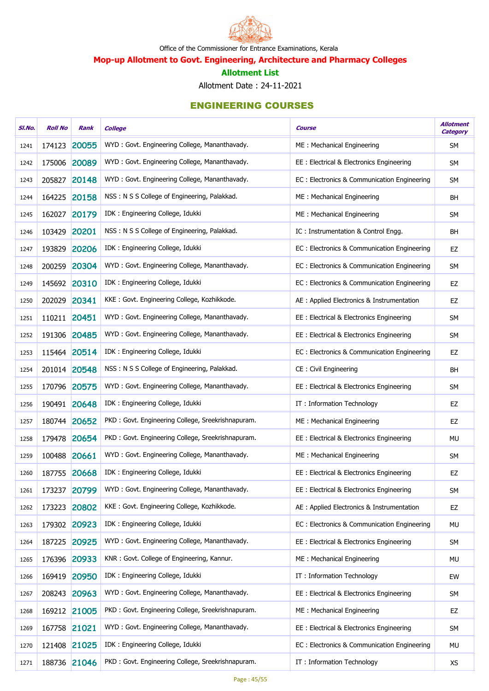

Mop-up Allotment to Govt. Engineering, Architecture and Pharmacy Colleges

#### Allotment List

Allotment Date : 24-11-2021

| SI.No. | <b>Roll No</b> | Rank         | <b>College</b>                                    | Course                                      | <b>Allotment</b><br><b>Category</b> |
|--------|----------------|--------------|---------------------------------------------------|---------------------------------------------|-------------------------------------|
| 1241   | 174123         | 20055        | WYD: Govt. Engineering College, Mananthavady.     | ME: Mechanical Engineering                  | SM                                  |
| 1242   | 175006 20089   |              | WYD: Govt. Engineering College, Mananthavady.     | EE: Electrical & Electronics Engineering    | <b>SM</b>                           |
| 1243   | 205827         | 20148        | WYD: Govt. Engineering College, Mananthavady.     | EC: Electronics & Communication Engineering | SM                                  |
| 1244   | 164225         | 20158        | NSS: N S S College of Engineering, Palakkad.      | ME: Mechanical Engineering                  | <b>BH</b>                           |
| 1245   | 162027         | 20179        | IDK: Engineering College, Idukki                  | ME: Mechanical Engineering                  | SM                                  |
| 1246   | 103429         | 20201        | NSS: N S S College of Engineering, Palakkad.      | IC: Instrumentation & Control Engg.         | <b>BH</b>                           |
| 1247   | 193829         | 20206        | IDK : Engineering College, Idukki                 | EC: Electronics & Communication Engineering | EZ                                  |
| 1248   | 200259         | 20304        | WYD: Govt. Engineering College, Mananthavady.     | EC: Electronics & Communication Engineering | SM                                  |
| 1249   |                | 145692 20310 | IDK: Engineering College, Idukki                  | EC: Electronics & Communication Engineering | EZ                                  |
| 1250   | 202029 20341   |              | KKE: Govt. Engineering College, Kozhikkode.       | AE : Applied Electronics & Instrumentation  | EZ                                  |
| 1251   | 110211 20451   |              | WYD: Govt. Engineering College, Mananthavady.     | EE: Electrical & Electronics Engineering    | SM                                  |
| 1252   | 191306         | 20485        | WYD: Govt. Engineering College, Mananthavady.     | EE: Electrical & Electronics Engineering    | SM                                  |
| 1253   |                | 115464 20514 | IDK: Engineering College, Idukki                  | EC: Electronics & Communication Engineering | EZ                                  |
| 1254   | 201014 20548   |              | NSS: N S S College of Engineering, Palakkad.      | CE: Civil Engineering                       | <b>BH</b>                           |
| 1255   |                | 170796 20575 | WYD: Govt. Engineering College, Mananthavady.     | EE: Electrical & Electronics Engineering    | SM                                  |
| 1256   | 190491 20648   |              | IDK: Engineering College, Idukki                  | IT: Information Technology                  | EZ                                  |
| 1257   |                | 180744 20652 | PKD: Govt. Engineering College, Sreekrishnapuram. | ME: Mechanical Engineering                  | EZ                                  |
| 1258   |                | 179478 20654 | PKD: Govt. Engineering College, Sreekrishnapuram. | EE: Electrical & Electronics Engineering    | MU                                  |
| 1259   | 100488 20661   |              | WYD: Govt. Engineering College, Mananthavady.     | ME: Mechanical Engineering                  | <b>SM</b>                           |
| 1260   | 187755 20668   |              | IDK: Engineering College, Idukki                  | EE : Electrical & Electronics Engineering   | EZ                                  |
| 1261   | 173237         | 20799        | WYD: Govt. Engineering College, Mananthavady.     | EE: Electrical & Electronics Engineering    | <b>SM</b>                           |
| 1262   | 173223         | 20802        | KKE: Govt. Engineering College, Kozhikkode.       | AE : Applied Electronics & Instrumentation  | EZ                                  |
| 1263   |                | 179302 20923 | IDK: Engineering College, Idukki                  | EC: Electronics & Communication Engineering | <b>MU</b>                           |
| 1264   |                | 187225 20925 | WYD: Govt. Engineering College, Mananthavady.     | EE: Electrical & Electronics Engineering    | SM                                  |
| 1265   | 176396         | 20933        | KNR: Govt. College of Engineering, Kannur.        | ME: Mechanical Engineering                  | MU                                  |
| 1266   | 169419         | 20950        | IDK: Engineering College, Idukki                  | IT: Information Technology                  | EW                                  |
| 1267   | 208243         | 20963        | WYD: Govt. Engineering College, Mananthavady.     | EE: Electrical & Electronics Engineering    | <b>SM</b>                           |
| 1268   |                | 169212 21005 | PKD: Govt. Engineering College, Sreekrishnapuram. | ME: Mechanical Engineering                  | EZ                                  |
| 1269   | 167758 21021   |              | WYD: Govt. Engineering College, Mananthavady.     | EE: Electrical & Electronics Engineering    | SM                                  |
| 1270   | 121408         | 21025        | IDK: Engineering College, Idukki                  | EC: Electronics & Communication Engineering | MU                                  |
| 1271   |                | 188736 21046 | PKD: Govt. Engineering College, Sreekrishnapuram. | IT: Information Technology                  | XS                                  |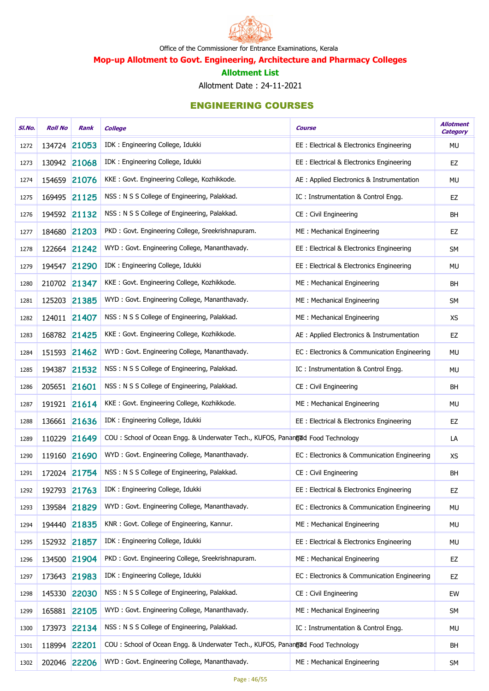

Mop-up Allotment to Govt. Engineering, Architecture and Pharmacy Colleges

#### Allotment List

Allotment Date : 24-11-2021

| SI.No. | <b>Roll No</b> | Rank         | <b>College</b>                                                                 | <b>Course</b>                               | <b>Allotment</b><br><b>Category</b> |
|--------|----------------|--------------|--------------------------------------------------------------------------------|---------------------------------------------|-------------------------------------|
| 1272   | 134724 21053   |              | IDK: Engineering College, Idukki                                               | EE: Electrical & Electronics Engineering    | <b>MU</b>                           |
| 1273   | 130942 21068   |              | IDK: Engineering College, Idukki                                               | EE: Electrical & Electronics Engineering    | EZ                                  |
| 1274   | 154659         | 21076        | KKE: Govt. Engineering College, Kozhikkode.                                    | AE : Applied Electronics & Instrumentation  | <b>MU</b>                           |
| 1275   | 169495 21125   |              | NSS: N S S College of Engineering, Palakkad.                                   | IC: Instrumentation & Control Engg.         | EZ                                  |
| 1276   |                | 194592 21132 | NSS: N S S College of Engineering, Palakkad.                                   | CE: Civil Engineering                       | BH                                  |
| 1277   | 184680 21203   |              | PKD: Govt. Engineering College, Sreekrishnapuram.                              | ME: Mechanical Engineering                  | EZ                                  |
| 1278   | 122664 21242   |              | WYD: Govt. Engineering College, Mananthavady.                                  | EE: Electrical & Electronics Engineering    | <b>SM</b>                           |
| 1279   | 194547 21290   |              | IDK: Engineering College, Idukki                                               | EE: Electrical & Electronics Engineering    | <b>MU</b>                           |
| 1280   | 210702 21347   |              | KKE: Govt. Engineering College, Kozhikkode.                                    | ME: Mechanical Engineering                  | <b>BH</b>                           |
| 1281   | 125203 21385   |              | WYD: Govt. Engineering College, Mananthavady.                                  | ME: Mechanical Engineering                  | SM                                  |
| 1282   | 124011 21407   |              | NSS: N S S College of Engineering, Palakkad.                                   | ME: Mechanical Engineering                  | <b>XS</b>                           |
| 1283   | 168782 21425   |              | KKE: Govt. Engineering College, Kozhikkode.                                    | AE : Applied Electronics & Instrumentation  | EZ                                  |
| 1284   | 151593 21462   |              | WYD: Govt. Engineering College, Mananthavady.                                  | EC: Electronics & Communication Engineering | <b>MU</b>                           |
| 1285   | 194387 21532   |              | NSS: N S S College of Engineering, Palakkad.                                   | IC: Instrumentation & Control Engg.         | <b>MU</b>                           |
| 1286   | 205651 21601   |              | NSS: N S S College of Engineering, Palakkad.                                   | CE: Civil Engineering                       | <b>BH</b>                           |
| 1287   | 191921 21614   |              | KKE: Govt. Engineering College, Kozhikkode.                                    | ME: Mechanical Engineering                  | <b>MU</b>                           |
| 1288   | 136661 21636   |              | IDK: Engineering College, Idukki                                               | EE : Electrical & Electronics Engineering   | EZ                                  |
| 1289   | 110229 21649   |              | COU: School of Ocean Engg. & Underwater Tech., KUFOS, Panangad Food Technology |                                             | LA                                  |
| 1290   |                | 119160 21690 | WYD: Govt. Engineering College, Mananthavady.                                  | EC: Electronics & Communication Engineering | <b>XS</b>                           |
| 1291   |                | 172024 21754 | NSS: N S S College of Engineering, Palakkad.                                   | CE: Civil Engineering                       | BH                                  |
| 1292   | 192793 21763   |              | IDK: Engineering College, Idukki                                               | EE: Electrical & Electronics Engineering    | EZ                                  |
| 1293   | 139584 21829   |              | WYD: Govt. Engineering College, Mananthavady.                                  | EC: Electronics & Communication Engineering | <b>MU</b>                           |
| 1294   | 194440         | 21835        | KNR: Govt. College of Engineering, Kannur.                                     | ME: Mechanical Engineering                  | <b>MU</b>                           |
| 1295   |                | 152932 21857 | IDK: Engineering College, Idukki                                               | EE: Electrical & Electronics Engineering    | <b>MU</b>                           |
| 1296   | 134500         | 21904        | PKD: Govt. Engineering College, Sreekrishnapuram.                              | ME: Mechanical Engineering                  | EZ                                  |
| 1297   | 173643         | 21983        | IDK: Engineering College, Idukki                                               | EC: Electronics & Communication Engineering | EZ                                  |
| 1298   | 145330         | 22030        | NSS: N S S College of Engineering, Palakkad.                                   | CE: Civil Engineering                       | EW                                  |
| 1299   |                | 165881 22105 | WYD: Govt. Engineering College, Mananthavady.                                  | ME: Mechanical Engineering                  | SM                                  |
| 1300   | 173973         | 22134        | NSS: N S S College of Engineering, Palakkad.                                   | IC: Instrumentation & Control Engg.         | MU                                  |
| 1301   | 118994 22201   |              | COU: School of Ocean Engg. & Underwater Tech., KUFOS, Panangad Food Technology |                                             | BH                                  |
| 1302   |                | 202046 22206 | WYD: Govt. Engineering College, Mananthavady.                                  | ME: Mechanical Engineering                  | SM                                  |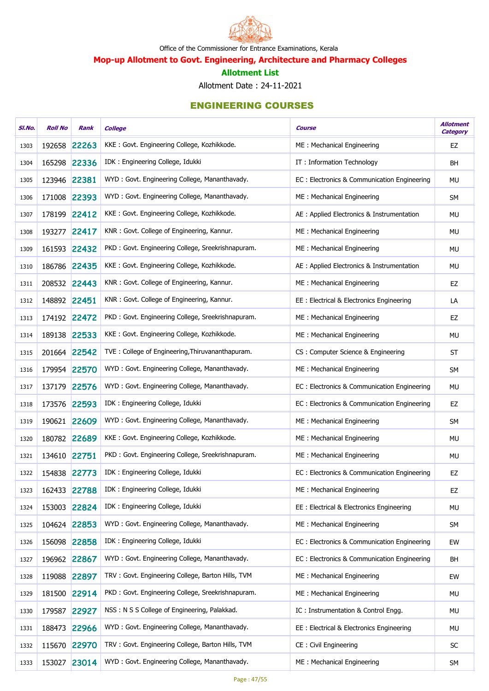

Mop-up Allotment to Govt. Engineering, Architecture and Pharmacy Colleges

#### Allotment List

Allotment Date : 24-11-2021

| SI.No. | <b>Roll No</b> | Rank         | <b>College</b>                                    | Course                                      | <b>Allotment</b><br><b>Category</b> |
|--------|----------------|--------------|---------------------------------------------------|---------------------------------------------|-------------------------------------|
| 1303   | 192658         | 22263        | KKE: Govt. Engineering College, Kozhikkode.       | ME: Mechanical Engineering                  | EZ                                  |
| 1304   |                | 165298 22336 | IDK: Engineering College, Idukki                  | IT: Information Technology                  | BH                                  |
| 1305   | 123946 22381   |              | WYD: Govt. Engineering College, Mananthavady.     | EC: Electronics & Communication Engineering | <b>MU</b>                           |
| 1306   |                | 171008 22393 | WYD: Govt. Engineering College, Mananthavady.     | ME: Mechanical Engineering                  | SM                                  |
| 1307   | 178199         | 22412        | KKE: Govt. Engineering College, Kozhikkode.       | AE : Applied Electronics & Instrumentation  | MU                                  |
| 1308   | 193277 22417   |              | KNR: Govt. College of Engineering, Kannur.        | ME: Mechanical Engineering                  | MU                                  |
| 1309   |                | 161593 22432 | PKD: Govt. Engineering College, Sreekrishnapuram. | ME: Mechanical Engineering                  | MU                                  |
| 1310   |                | 186786 22435 | KKE: Govt. Engineering College, Kozhikkode.       | AE : Applied Electronics & Instrumentation  | MU                                  |
| 1311   |                | 208532 22443 | KNR: Govt. College of Engineering, Kannur.        | ME: Mechanical Engineering                  | EZ                                  |
| 1312   | 148892 22451   |              | KNR: Govt. College of Engineering, Kannur.        | EE: Electrical & Electronics Engineering    | LA                                  |
| 1313   |                | 174192 22472 | PKD: Govt. Engineering College, Sreekrishnapuram. | ME: Mechanical Engineering                  | EZ                                  |
| 1314   | 189138 22533   |              | KKE: Govt. Engineering College, Kozhikkode.       | ME: Mechanical Engineering                  | <b>MU</b>                           |
| 1315   |                | 201664 22542 | TVE: College of Engineering, Thiruvananthapuram.  | CS: Computer Science & Engineering          | <b>ST</b>                           |
| 1316   |                | 179954 22570 | WYD: Govt. Engineering College, Mananthavady.     | ME: Mechanical Engineering                  | SM                                  |
| 1317   | 137179         | 22576        | WYD: Govt. Engineering College, Mananthavady.     | EC: Electronics & Communication Engineering | <b>MU</b>                           |
| 1318   | 173576         | 22593        | IDK: Engineering College, Idukki                  | EC: Electronics & Communication Engineering | EZ                                  |
| 1319   |                | 190621 22609 | WYD: Govt. Engineering College, Mananthavady.     | ME: Mechanical Engineering                  | SM                                  |
| 1320   |                | 180782 22689 | KKE: Govt. Engineering College, Kozhikkode.       | ME: Mechanical Engineering                  | MU                                  |
| 1321   | 134610 22751   |              | PKD: Govt. Engineering College, Sreekrishnapuram. | ME: Mechanical Engineering                  | MU                                  |
| 1322   | 154838 22773   |              | IDK: Engineering College, Idukki                  | EC: Electronics & Communication Engineering | EZ                                  |
| 1323   | 162433 22788   |              | IDK: Engineering College, Idukki                  | ME: Mechanical Engineering                  | EZ                                  |
| 1324   | 153003         | 22824        | IDK: Engineering College, Idukki                  | EE: Electrical & Electronics Engineering    | MU                                  |
| 1325   |                | 104624 22853 | WYD: Govt. Engineering College, Mananthavady.     | ME: Mechanical Engineering                  | SM                                  |
| 1326   |                | 156098 22858 | IDK: Engineering College, Idukki                  | EC: Electronics & Communication Engineering | EW                                  |
| 1327   |                | 196962 22867 | WYD: Govt. Engineering College, Mananthavady.     | EC: Electronics & Communication Engineering | <b>BH</b>                           |
| 1328   | 119088         | 22897        | TRV: Govt. Engineering College, Barton Hills, TVM | ME: Mechanical Engineering                  | EW                                  |
| 1329   | 181500         | 22914        | PKD: Govt. Engineering College, Sreekrishnapuram. | ME: Mechanical Engineering                  | MU                                  |
| 1330   | 179587         | 22927        | NSS: N S S College of Engineering, Palakkad.      | IC: Instrumentation & Control Engg.         | MU                                  |
| 1331   | 188473         | 22966        | WYD: Govt. Engineering College, Mananthavady.     | EE: Electrical & Electronics Engineering    | MU                                  |
| 1332   | 115670         | 22970        | TRV: Govt. Engineering College, Barton Hills, TVM | CE: Civil Engineering                       | ${\sf SC}$                          |
| 1333   | 153027         | 23014        | WYD: Govt. Engineering College, Mananthavady.     | ME: Mechanical Engineering                  | SM                                  |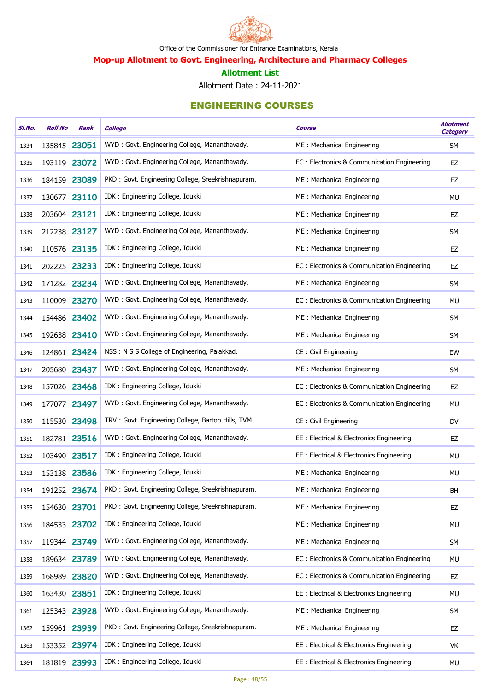

Mop-up Allotment to Govt. Engineering, Architecture and Pharmacy Colleges

#### Allotment List

Allotment Date : 24-11-2021

| SI.No. | <b>Roll No</b> | Rank         | <b>College</b>                                    | <b>Course</b>                               | <b>Allotment</b><br><b>Category</b> |
|--------|----------------|--------------|---------------------------------------------------|---------------------------------------------|-------------------------------------|
| 1334   | 135845         | 23051        | WYD: Govt. Engineering College, Mananthavady.     | ME: Mechanical Engineering                  | <b>SM</b>                           |
| 1335   | 193119 23072   |              | WYD: Govt. Engineering College, Mananthavady.     | EC: Electronics & Communication Engineering | EZ                                  |
| 1336   |                | 184159 23089 | PKD: Govt. Engineering College, Sreekrishnapuram. | ME: Mechanical Engineering                  | EZ                                  |
| 1337   | 130677         | 23110        | IDK: Engineering College, Idukki                  | ME: Mechanical Engineering                  | <b>MU</b>                           |
| 1338   | 203604 23121   |              | IDK: Engineering College, Idukki                  | ME: Mechanical Engineering                  | EZ                                  |
| 1339   | 212238 23127   |              | WYD: Govt. Engineering College, Mananthavady.     | ME: Mechanical Engineering                  | <b>SM</b>                           |
| 1340   | 110576         | 23135        | IDK: Engineering College, Idukki                  | ME: Mechanical Engineering                  | EZ                                  |
| 1341   | 202225 23233   |              | IDK: Engineering College, Idukki                  | EC: Electronics & Communication Engineering | EZ                                  |
| 1342   |                | 171282 23234 | WYD: Govt. Engineering College, Mananthavady.     | ME: Mechanical Engineering                  | SM                                  |
| 1343   |                | 110009 23270 | WYD: Govt. Engineering College, Mananthavady.     | EC: Electronics & Communication Engineering | MU                                  |
| 1344   | 154486         | 23402        | WYD: Govt. Engineering College, Mananthavady.     | ME: Mechanical Engineering                  | <b>SM</b>                           |
| 1345   | 192638         | 23410        | WYD: Govt. Engineering College, Mananthavady.     | ME: Mechanical Engineering                  | <b>SM</b>                           |
| 1346   |                | 124861 23424 | NSS: N S S College of Engineering, Palakkad.      | CE: Civil Engineering                       | EW                                  |
| 1347   | 205680 23437   |              | WYD: Govt. Engineering College, Mananthavady.     | ME: Mechanical Engineering                  | <b>SM</b>                           |
| 1348   | 157026         | 23468        | IDK: Engineering College, Idukki                  | EC: Electronics & Communication Engineering | EZ                                  |
| 1349   | 177077         | 23497        | WYD: Govt. Engineering College, Mananthavady.     | EC: Electronics & Communication Engineering | <b>MU</b>                           |
| 1350   | 115530         | 23498        | TRV: Govt. Engineering College, Barton Hills, TVM | CE: Civil Engineering                       | DV                                  |
| 1351   | 182781 23516   |              | WYD: Govt. Engineering College, Mananthavady.     | EE: Electrical & Electronics Engineering    | EZ                                  |
| 1352   |                | 103490 23517 | IDK: Engineering College, Idukki                  | EE: Electrical & Electronics Engineering    | MU                                  |
| 1353   | 153138 23586   |              | IDK: Engineering College, Idukki                  | ME: Mechanical Engineering                  | MU                                  |
| 1354   |                | 191252 23674 | PKD: Govt. Engineering College, Sreekrishnapuram. | ME: Mechanical Engineering                  | BH                                  |
| 1355   | 154630 23701   |              | PKD: Govt. Engineering College, Sreekrishnapuram. | ME: Mechanical Engineering                  | EZ                                  |
| 1356   | 184533         | 23702        | IDK : Engineering College, Idukki                 | ME: Mechanical Engineering                  | MU                                  |
| 1357   |                | 119344 23749 | WYD: Govt. Engineering College, Mananthavady.     | ME: Mechanical Engineering                  | <b>SM</b>                           |
| 1358   |                | 189634 23789 | WYD: Govt. Engineering College, Mananthavady.     | EC: Electronics & Communication Engineering | MU                                  |
| 1359   | 168989         | 23820        | WYD: Govt. Engineering College, Mananthavady.     | EC: Electronics & Communication Engineering | EZ                                  |
| 1360   | 163430         | 23851        | IDK: Engineering College, Idukki                  | EE : Electrical & Electronics Engineering   | <b>MU</b>                           |
| 1361   |                | 125343 23928 | WYD: Govt. Engineering College, Mananthavady.     | ME: Mechanical Engineering                  | <b>SM</b>                           |
| 1362   |                | 159961 23939 | PKD: Govt. Engineering College, Sreekrishnapuram. | ME: Mechanical Engineering                  | EZ                                  |
| 1363   |                | 153352 23974 | IDK: Engineering College, Idukki                  | EE : Electrical & Electronics Engineering   | VK                                  |
| 1364   |                | 181819 23993 | IDK: Engineering College, Idukki                  | EE : Electrical & Electronics Engineering   | MU                                  |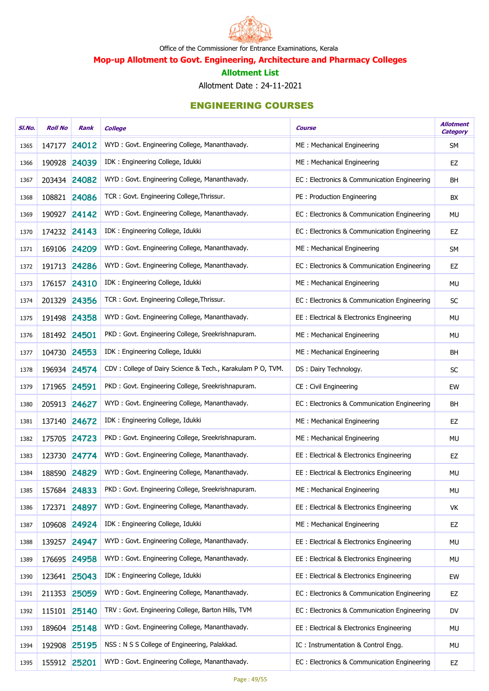

Mop-up Allotment to Govt. Engineering, Architecture and Pharmacy Colleges

#### Allotment List

Allotment Date : 24-11-2021

| SI.No. | <b>Roll No</b> | Rank         | <b>College</b>                                             | <b>Course</b>                               | <b>Allotment</b><br><b>Category</b> |
|--------|----------------|--------------|------------------------------------------------------------|---------------------------------------------|-------------------------------------|
| 1365   | 147177         | 24012        | WYD: Govt. Engineering College, Mananthavady.              | ME: Mechanical Engineering                  | <b>SM</b>                           |
| 1366   |                | 190928 24039 | IDK: Engineering College, Idukki                           | ME: Mechanical Engineering                  | EZ                                  |
| 1367   |                | 203434 24082 | WYD: Govt. Engineering College, Mananthavady.              | EC: Electronics & Communication Engineering | <b>BH</b>                           |
| 1368   |                | 108821 24086 | TCR: Govt. Engineering College, Thrissur.                  | PE: Production Engineering                  | BX                                  |
| 1369   | 190927         | 24142        | WYD: Govt. Engineering College, Mananthavady.              | EC: Electronics & Communication Engineering | MU                                  |
| 1370   |                | 174232 24143 | IDK: Engineering College, Idukki                           | EC: Electronics & Communication Engineering | EZ                                  |
| 1371   |                | 169106 24209 | WYD: Govt. Engineering College, Mananthavady.              | ME: Mechanical Engineering                  | SM                                  |
| 1372   |                | 191713 24286 | WYD: Govt. Engineering College, Mananthavady.              | EC: Electronics & Communication Engineering | EZ                                  |
| 1373   | 176157         | 24310        | IDK: Engineering College, Idukki                           | ME: Mechanical Engineering                  | MU                                  |
| 1374   |                | 201329 24356 | TCR: Govt. Engineering College, Thrissur.                  | EC: Electronics & Communication Engineering | <b>SC</b>                           |
| 1375   |                | 191498 24358 | WYD: Govt. Engineering College, Mananthavady.              | EE: Electrical & Electronics Engineering    | MU                                  |
| 1376   | 181492 24501   |              | PKD: Govt. Engineering College, Sreekrishnapuram.          | ME: Mechanical Engineering                  | MU                                  |
| 1377   |                | 104730 24553 | IDK: Engineering College, Idukki                           | ME: Mechanical Engineering                  | BH                                  |
| 1378   |                | 196934 24574 | CDV: College of Dairy Science & Tech., Karakulam P O, TVM. | DS: Dairy Technology.                       | <b>SC</b>                           |
| 1379   | 171965 24591   |              | PKD: Govt. Engineering College, Sreekrishnapuram.          | CE: Civil Engineering                       | EW                                  |
| 1380   |                | 205913 24627 | WYD: Govt. Engineering College, Mananthavady.              | EC: Electronics & Communication Engineering | BH                                  |
| 1381   |                | 137140 24672 | IDK: Engineering College, Idukki                           | ME: Mechanical Engineering                  | <b>EZ</b>                           |
| 1382   |                | 175705 24723 | PKD: Govt. Engineering College, Sreekrishnapuram.          | ME: Mechanical Engineering                  | <b>MU</b>                           |
| 1383   |                | 123730 24774 | WYD: Govt. Engineering College, Mananthavady.              | EE: Electrical & Electronics Engineering    | EZ                                  |
| 1384   |                | 188590 24829 | WYD: Govt. Engineering College, Mananthavady.              | EE: Electrical & Electronics Engineering    | <b>MU</b>                           |
| 1385   |                | 157684 24833 | PKD: Govt. Engineering College, Sreekrishnapuram.          | ME: Mechanical Engineering                  | MU                                  |
| 1386   | 172371         | 24897        | WYD: Govt. Engineering College, Mananthavady.              | EE: Electrical & Electronics Engineering    | VK                                  |
| 1387   | 109608         | 24924        | IDK : Engineering College, Idukki                          | ME: Mechanical Engineering                  | EZ                                  |
| 1388   | 139257         | 24947        | WYD: Govt. Engineering College, Mananthavady.              | EE: Electrical & Electronics Engineering    | MU                                  |
| 1389   | 176695         | 24958        | WYD: Govt. Engineering College, Mananthavady.              | EE: Electrical & Electronics Engineering    | MU                                  |
| 1390   | 123641         | 25043        | IDK: Engineering College, Idukki                           | EE: Electrical & Electronics Engineering    | EW                                  |
| 1391   | 211353         | 25059        | WYD: Govt. Engineering College, Mananthavady.              | EC: Electronics & Communication Engineering | EZ                                  |
| 1392   | 115101         | 25140        | TRV: Govt. Engineering College, Barton Hills, TVM          | EC: Electronics & Communication Engineering | DV                                  |
| 1393   |                | 189604 25148 | WYD: Govt. Engineering College, Mananthavady.              | EE : Electrical & Electronics Engineering   | MU                                  |
| 1394   | 192908         | 25195        | NSS: N S S College of Engineering, Palakkad.               | IC: Instrumentation & Control Engg.         | MU                                  |
| 1395   |                | 155912 25201 | WYD: Govt. Engineering College, Mananthavady.              | EC: Electronics & Communication Engineering | EZ                                  |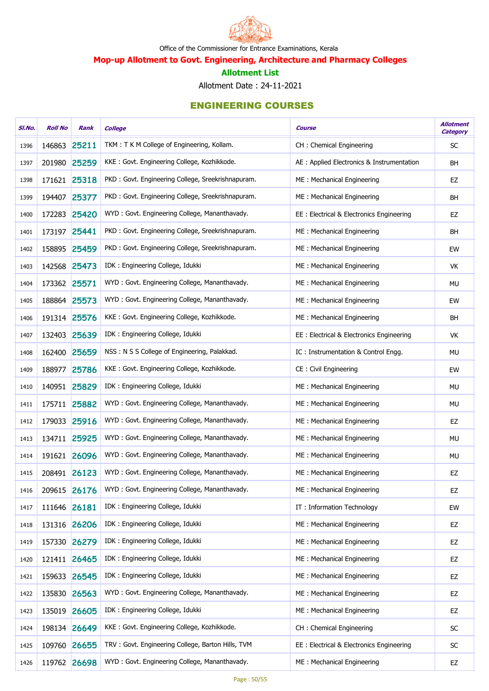

Mop-up Allotment to Govt. Engineering, Architecture and Pharmacy Colleges

#### Allotment List

Allotment Date : 24-11-2021

| SI.No. | <b>Roll No</b> | Rank         | <b>College</b>                                    | Course                                     | <b>Allotment</b><br><b>Category</b> |
|--------|----------------|--------------|---------------------------------------------------|--------------------------------------------|-------------------------------------|
| 1396   | 146863         | 25211        | TKM: T K M College of Engineering, Kollam.        | CH: Chemical Engineering                   | SC                                  |
| 1397   |                | 201980 25259 | KKE: Govt. Engineering College, Kozhikkode.       | AE : Applied Electronics & Instrumentation | BH                                  |
| 1398   |                | 171621 25318 | PKD: Govt. Engineering College, Sreekrishnapuram. | ME: Mechanical Engineering                 | EZ                                  |
| 1399   | 194407         | 25377        | PKD: Govt. Engineering College, Sreekrishnapuram. | ME: Mechanical Engineering                 | <b>BH</b>                           |
| 1400   | 172283         | 25420        | WYD: Govt. Engineering College, Mananthavady.     | EE: Electrical & Electronics Engineering   | EZ                                  |
| 1401   | 173197 25441   |              | PKD: Govt. Engineering College, Sreekrishnapuram. | ME: Mechanical Engineering                 | <b>BH</b>                           |
| 1402   | 158895         | 25459        | PKD: Govt. Engineering College, Sreekrishnapuram. | ME: Mechanical Engineering                 | EW                                  |
| 1403   | 142568         | 25473        | IDK: Engineering College, Idukki                  | ME: Mechanical Engineering                 | VK                                  |
| 1404   | 173362 25571   |              | WYD: Govt. Engineering College, Mananthavady.     | ME: Mechanical Engineering                 | MU                                  |
| 1405   | 188864 25573   |              | WYD: Govt. Engineering College, Mananthavady.     | ME: Mechanical Engineering                 | EW                                  |
| 1406   |                | 191314 25576 | KKE: Govt. Engineering College, Kozhikkode.       | ME: Mechanical Engineering                 | <b>BH</b>                           |
| 1407   |                | 132403 25639 | IDK: Engineering College, Idukki                  | EE: Electrical & Electronics Engineering   | VK                                  |
| 1408   | 162400         | 25659        | NSS: N S S College of Engineering, Palakkad.      | IC: Instrumentation & Control Engg.        | <b>MU</b>                           |
| 1409   | 188977         | 25786        | KKE: Govt. Engineering College, Kozhikkode.       | CE: Civil Engineering                      | EW                                  |
| 1410   |                | 140951 25829 | IDK: Engineering College, Idukki                  | ME: Mechanical Engineering                 | MU                                  |
| 1411   |                | 175711 25882 | WYD: Govt. Engineering College, Mananthavady.     | ME: Mechanical Engineering                 | <b>MU</b>                           |
| 1412   | 179033         | 25916        | WYD: Govt. Engineering College, Mananthavady.     | ME: Mechanical Engineering                 | EZ                                  |
| 1413   |                | 134711 25925 | WYD: Govt. Engineering College, Mananthavady.     | ME: Mechanical Engineering                 | MU                                  |
| 1414   |                | 191621 26096 | WYD: Govt. Engineering College, Mananthavady.     | ME: Mechanical Engineering                 | MU                                  |
| 1415   |                | 208491 26123 | WYD: Govt. Engineering College, Mananthavady.     | ME: Mechanical Engineering                 | EZ                                  |
| 1416   |                | 209615 26176 | WYD: Govt. Engineering College, Mananthavady.     | ME: Mechanical Engineering                 | EZ                                  |
| 1417   | 111646         | 26181        | IDK: Engineering College, Idukki                  | IT: Information Technology                 | EW                                  |
| 1418   | 131316         | 26206        | IDK : Engineering College, Idukki                 | ME: Mechanical Engineering                 | EZ                                  |
| 1419   |                | 157330 26279 | IDK : Engineering College, Idukki                 | ME: Mechanical Engineering                 | EZ                                  |
| 1420   |                | 121411 26465 | IDK : Engineering College, Idukki                 | ME: Mechanical Engineering                 | EZ                                  |
| 1421   | 159633         | 26545        | IDK: Engineering College, Idukki                  | ME: Mechanical Engineering                 | EZ                                  |
| 1422   | 135830         | 26563        | WYD: Govt. Engineering College, Mananthavady.     | ME: Mechanical Engineering                 | EZ                                  |
| 1423   |                | 135019 26605 | IDK: Engineering College, Idukki                  | ME: Mechanical Engineering                 | EZ                                  |
| 1424   |                | 198134 26649 | KKE: Govt. Engineering College, Kozhikkode.       | CH: Chemical Engineering                   | SC                                  |
| 1425   |                | 109760 26655 | TRV: Govt. Engineering College, Barton Hills, TVM | EE: Electrical & Electronics Engineering   | ${\sf SC}$                          |
| 1426   |                | 119762 26698 | WYD: Govt. Engineering College, Mananthavady.     | ME: Mechanical Engineering                 | EZ                                  |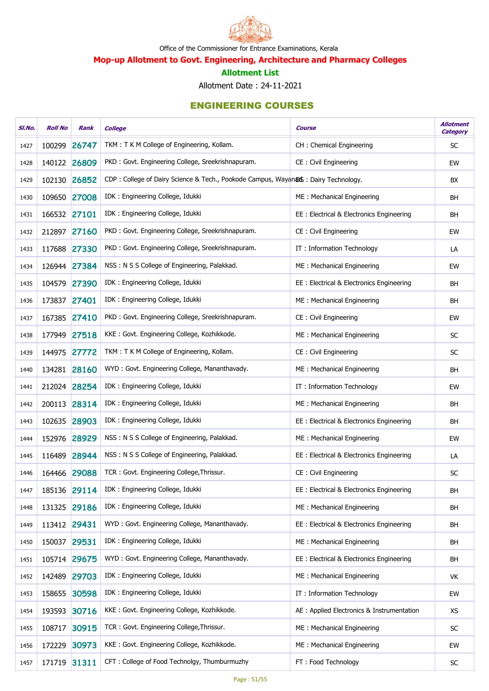

Mop-up Allotment to Govt. Engineering, Architecture and Pharmacy Colleges

#### Allotment List

Allotment Date : 24-11-2021

| SI.No. | <b>Roll No</b> | Rank         | <b>College</b>                                                                    | Course                                     | <b>Allotment</b><br><b>Category</b> |
|--------|----------------|--------------|-----------------------------------------------------------------------------------|--------------------------------------------|-------------------------------------|
| 1427   | 100299         | 26747        | TKM: T K M College of Engineering, Kollam.                                        | CH: Chemical Engineering                   | SC                                  |
| 1428   |                | 140122 26809 | PKD: Govt. Engineering College, Sreekrishnapuram.                                 | CE: Civil Engineering                      | EW                                  |
| 1429   |                | 102130 26852 | CDP: College of Dairy Science & Tech., Pookode Campus, Wayanas: Dairy Technology. |                                            | BX                                  |
| 1430   |                | 109650 27008 | IDK: Engineering College, Idukki                                                  | ME: Mechanical Engineering                 | <b>BH</b>                           |
| 1431   | 166532 27101   |              | IDK: Engineering College, Idukki                                                  | EE: Electrical & Electronics Engineering   | <b>BH</b>                           |
| 1432   |                | 212897 27160 | PKD: Govt. Engineering College, Sreekrishnapuram.                                 | CE: Civil Engineering                      | EW                                  |
| 1433   |                | 117688 27330 | PKD: Govt. Engineering College, Sreekrishnapuram.                                 | IT: Information Technology                 | LA                                  |
| 1434   |                | 126944 27384 | NSS: N S S College of Engineering, Palakkad.                                      | ME: Mechanical Engineering                 | EW                                  |
| 1435   | 104579         | 27390        | IDK : Engineering College, Idukki                                                 | EE: Electrical & Electronics Engineering   | <b>BH</b>                           |
| 1436   | 173837 27401   |              | IDK: Engineering College, Idukki                                                  | ME: Mechanical Engineering                 | <b>BH</b>                           |
| 1437   |                | 167385 27410 | PKD: Govt. Engineering College, Sreekrishnapuram.                                 | CE: Civil Engineering                      | EW                                  |
| 1438   |                | 177949 27518 | KKE: Govt. Engineering College, Kozhikkode.                                       | ME: Mechanical Engineering                 | <b>SC</b>                           |
| 1439   | 144975         | 27772        | TKM: T K M College of Engineering, Kollam.                                        | CE: Civil Engineering                      | SC                                  |
| 1440   |                | 134281 28160 | WYD: Govt. Engineering College, Mananthavady.                                     | ME: Mechanical Engineering                 | <b>BH</b>                           |
| 1441   |                | 212024 28254 | IDK: Engineering College, Idukki                                                  | IT: Information Technology                 | EW                                  |
| 1442   |                | 200113 28314 | IDK: Engineering College, Idukki                                                  | ME: Mechanical Engineering                 | <b>BH</b>                           |
| 1443   | 102635         | 28903        | IDK : Engineering College, Idukki                                                 | EE: Electrical & Electronics Engineering   | <b>BH</b>                           |
| 1444   | 152976         | 28929        | NSS: N S S College of Engineering, Palakkad.                                      | ME: Mechanical Engineering                 | EW                                  |
| 1445   | 116489         | 28944        | NSS: N S S College of Engineering, Palakkad.                                      | EE : Electrical & Electronics Engineering  | LA                                  |
| 1446   |                | 164466 29088 | TCR: Govt. Engineering College, Thrissur.                                         | CE: Civil Engineering                      | SC                                  |
| 1447   |                | 185136 29114 | IDK: Engineering College, Idukki                                                  | EE: Electrical & Electronics Engineering   | BH                                  |
| 1448   |                | 131325 29186 | IDK: Engineering College, Idukki                                                  | ME: Mechanical Engineering                 | <b>BH</b>                           |
| 1449   | 113412 29431   |              | WYD: Govt. Engineering College, Mananthavady.                                     | EE : Electrical & Electronics Engineering  | <b>BH</b>                           |
| 1450   | 150037 29531   |              | IDK: Engineering College, Idukki                                                  | ME: Mechanical Engineering                 | <b>BH</b>                           |
| 1451   |                | 105714 29675 | WYD: Govt. Engineering College, Mananthavady.                                     | EE: Electrical & Electronics Engineering   | BH                                  |
| 1452   | 142489         | 29703        | IDK: Engineering College, Idukki                                                  | ME: Mechanical Engineering                 | VK                                  |
| 1453   | 158655         | 30598        | IDK: Engineering College, Idukki                                                  | IT: Information Technology                 | EW                                  |
| 1454   |                | 193593 30716 | KKE: Govt. Engineering College, Kozhikkode.                                       | AE : Applied Electronics & Instrumentation | <b>XS</b>                           |
| 1455   | 108717         | 30915        | TCR: Govt. Engineering College, Thrissur.                                         | ME: Mechanical Engineering                 | <b>SC</b>                           |
| 1456   | 172229         | 30973        | KKE: Govt. Engineering College, Kozhikkode.                                       | ME: Mechanical Engineering                 | EW                                  |
| 1457   |                | 171719 31311 | CFT: College of Food Technolgy, Thumburmuzhy                                      | FT: Food Technology                        | $\sf SC$                            |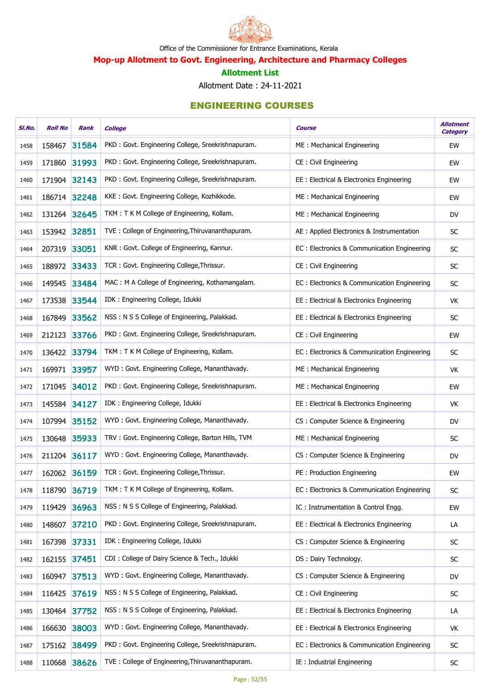

Mop-up Allotment to Govt. Engineering, Architecture and Pharmacy Colleges

#### Allotment List

Allotment Date : 24-11-2021

| SI.No. | <b>Roll No</b> | Rank  | <b>College</b>                                    | <b>Course</b>                               | <b>Allotment</b><br><b>Category</b> |
|--------|----------------|-------|---------------------------------------------------|---------------------------------------------|-------------------------------------|
| 1458   | 158467         | 31584 | PKD: Govt. Engineering College, Sreekrishnapuram. | ME: Mechanical Engineering                  | EW                                  |
| 1459   | 171860 31993   |       | PKD: Govt. Engineering College, Sreekrishnapuram. | CE : Civil Engineering                      | EW                                  |
| 1460   | 171904 32143   |       | PKD: Govt. Engineering College, Sreekrishnapuram. | EE : Electrical & Electronics Engineering   | EW                                  |
| 1461   | 186714 32248   |       | KKE: Govt. Engineering College, Kozhikkode.       | ME: Mechanical Engineering                  | EW                                  |
| 1462   | 131264 32645   |       | TKM: T K M College of Engineering, Kollam.        | ME: Mechanical Engineering                  | <b>DV</b>                           |
| 1463   | 153942 32851   |       | TVE: College of Engineering, Thiruvananthapuram.  | AE : Applied Electronics & Instrumentation  | SC                                  |
| 1464   | 207319 33051   |       | KNR: Govt. College of Engineering, Kannur.        | EC: Electronics & Communication Engineering | SC                                  |
| 1465   | 188972 33433   |       | TCR: Govt. Engineering College, Thrissur.         | CE: Civil Engineering                       | ${\sf SC}$                          |
| 1466   | 149545         | 33484 | MAC: M A College of Engineering, Kothamangalam.   | EC: Electronics & Communication Engineering | SC                                  |
| 1467   | 173538 33544   |       | IDK: Engineering College, Idukki                  | EE : Electrical & Electronics Engineering   | VK                                  |
| 1468   | 167849         | 33562 | NSS: N S S College of Engineering, Palakkad.      | EE : Electrical & Electronics Engineering   | SC                                  |
| 1469   | 212123         | 33766 | PKD: Govt. Engineering College, Sreekrishnapuram. | CE: Civil Engineering                       | EW                                  |
| 1470   | 136422 33794   |       | TKM: T K M College of Engineering, Kollam.        | EC: Electronics & Communication Engineering | SC                                  |
| 1471   | 169971 33957   |       | WYD: Govt. Engineering College, Mananthavady.     | ME: Mechanical Engineering                  | VK                                  |
| 1472   | 171045 34012   |       | PKD: Govt. Engineering College, Sreekrishnapuram. | ME: Mechanical Engineering                  | EW                                  |
| 1473   | 145584 34127   |       | IDK: Engineering College, Idukki                  | EE : Electrical & Electronics Engineering   | VK                                  |
| 1474   | 107994 35152   |       | WYD: Govt. Engineering College, Mananthavady.     | CS: Computer Science & Engineering          | <b>DV</b>                           |
| 1475   | 130648 35933   |       | TRV: Govt. Engineering College, Barton Hills, TVM | ME: Mechanical Engineering                  | SC                                  |
| 1476   | 211204 36117   |       | WYD: Govt. Engineering College, Mananthavady.     | CS: Computer Science & Engineering          | <b>DV</b>                           |
| 1477   | 162062 36159   |       | TCR: Govt. Engineering College, Thrissur.         | PE: Production Engineering                  | EW                                  |
| 1478   | 118790 36719   |       | TKM: T K M College of Engineering, Kollam.        | EC: Electronics & Communication Engineering | <b>SC</b>                           |
| 1479   | 119429         | 36963 | NSS: N S S College of Engineering, Palakkad.      | IC: Instrumentation & Control Engg.         | EW                                  |
| 1480   | 148607         | 37210 | PKD: Govt. Engineering College, Sreekrishnapuram. | EE : Electrical & Electronics Engineering   | LA                                  |
| 1481   | 167398 37331   |       | IDK : Engineering College, Idukki                 | CS: Computer Science & Engineering          | SC                                  |
| 1482   | 162155         | 37451 | CDI: College of Dairy Science & Tech., Idukki     | DS: Dairy Technology.                       | SC                                  |
| 1483   | 160947         | 37513 | WYD: Govt. Engineering College, Mananthavady.     | CS: Computer Science & Engineering          | DV                                  |
| 1484   | 116425         | 37619 | NSS: N S S College of Engineering, Palakkad.      | CE: Civil Engineering                       | SC                                  |
| 1485   | 130464 37752   |       | NSS: N S S College of Engineering, Palakkad.      | EE : Electrical & Electronics Engineering   | LA                                  |
| 1486   | 166630 38003   |       | WYD: Govt. Engineering College, Mananthavady.     | EE : Electrical & Electronics Engineering   | VK                                  |
| 1487   | 175162 38499   |       | PKD: Govt. Engineering College, Sreekrishnapuram. | EC: Electronics & Communication Engineering | ${\sf SC}$                          |
| 1488   | 110668         | 38626 | TVE: College of Engineering, Thiruvananthapuram.  | IE : Industrial Engineering                 | ${\sf SC}$                          |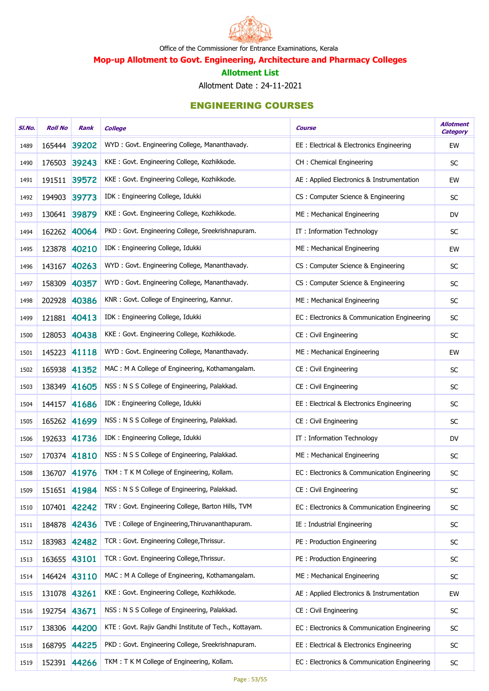

Mop-up Allotment to Govt. Engineering, Architecture and Pharmacy Colleges

#### Allotment List

Allotment Date : 24-11-2021

| SI.No. | <b>Roll No</b> | Rank         | <b>College</b>                                        | Course                                      | <b>Allotment</b><br><b>Category</b> |
|--------|----------------|--------------|-------------------------------------------------------|---------------------------------------------|-------------------------------------|
| 1489   |                | 165444 39202 | WYD: Govt. Engineering College, Mananthavady.         | EE : Electrical & Electronics Engineering   | EW                                  |
| 1490   | 176503         | 39243        | KKE: Govt. Engineering College, Kozhikkode.           | CH: Chemical Engineering                    | <b>SC</b>                           |
| 1491   |                | 191511 39572 | KKE: Govt. Engineering College, Kozhikkode.           | AE : Applied Electronics & Instrumentation  | EW                                  |
| 1492   | 194903         | 39773        | IDK: Engineering College, Idukki                      | CS: Computer Science & Engineering          | <b>SC</b>                           |
| 1493   |                | 130641 39879 | KKE: Govt. Engineering College, Kozhikkode.           | ME: Mechanical Engineering                  | DV                                  |
| 1494   |                | 162262 40064 | PKD: Govt. Engineering College, Sreekrishnapuram.     | IT: Information Technology                  | SC                                  |
| 1495   |                | 123878 40210 | IDK: Engineering College, Idukki                      | ME: Mechanical Engineering                  | EW                                  |
| 1496   |                | 143167 40263 | WYD: Govt. Engineering College, Mananthavady.         | CS: Computer Science & Engineering          | SC                                  |
| 1497   | 158309         | 40357        | WYD: Govt. Engineering College, Mananthavady.         | CS: Computer Science & Engineering          | SC                                  |
| 1498   | 202928         | 40386        | KNR: Govt. College of Engineering, Kannur.            | ME: Mechanical Engineering                  | SC                                  |
| 1499   |                | 121881 40413 | IDK: Engineering College, Idukki                      | EC: Electronics & Communication Engineering | SC                                  |
| 1500   |                | 128053 40438 | KKE: Govt. Engineering College, Kozhikkode.           | CE: Civil Engineering                       | SC                                  |
| 1501   |                | 145223 41118 | WYD: Govt. Engineering College, Mananthavady.         | ME: Mechanical Engineering                  | EW                                  |
| 1502   |                | 165938 41352 | MAC: M A College of Engineering, Kothamangalam.       | CE: Civil Engineering                       | SC                                  |
| 1503   |                | 138349 41605 | NSS: N S S College of Engineering, Palakkad.          | CE: Civil Engineering                       | SC                                  |
| 1504   |                | 144157 41686 | IDK: Engineering College, Idukki                      | EE : Electrical & Electronics Engineering   | SC                                  |
| 1505   |                | 165262 41699 | NSS: N S S College of Engineering, Palakkad.          | CE: Civil Engineering                       | SC                                  |
| 1506   |                | 192633 41736 | IDK: Engineering College, Idukki                      | IT: Information Technology                  | DV                                  |
| 1507   |                | 170374 41810 | NSS: N S S College of Engineering, Palakkad.          | ME: Mechanical Engineering                  | SC                                  |
| 1508   |                | 136707 41976 | TKM: T K M College of Engineering, Kollam.            | EC: Electronics & Communication Engineering | SC                                  |
| 1509   |                | 151651 41984 | NSS: N S S College of Engineering, Palakkad.          | CE : Civil Engineering                      | SC                                  |
| 1510   |                | 107401 42242 | TRV: Govt. Engineering College, Barton Hills, TVM     | EC: Electronics & Communication Engineering | SC                                  |
| 1511   |                | 184878 42436 | TVE: College of Engineering, Thiruvananthapuram.      | IE : Industrial Engineering                 | SC                                  |
| 1512   |                | 183983 42482 | TCR: Govt. Engineering College, Thrissur.             | PE: Production Engineering                  | SC                                  |
| 1513   | 163655 43101   |              | TCR: Govt. Engineering College, Thrissur.             | PE: Production Engineering                  | <b>SC</b>                           |
| 1514   |                | 146424 43110 | MAC: M A College of Engineering, Kothamangalam.       | ME: Mechanical Engineering                  | SC                                  |
| 1515   | 131078 43261   |              | KKE: Govt. Engineering College, Kozhikkode.           | AE : Applied Electronics & Instrumentation  | EW                                  |
| 1516   | 192754 43671   |              | NSS: N S S College of Engineering, Palakkad.          | CE: Civil Engineering                       | SC                                  |
| 1517   |                | 138306 44200 | KTE: Govt. Rajiv Gandhi Institute of Tech., Kottayam. | EC: Electronics & Communication Engineering | SC                                  |
| 1518   |                | 168795 44225 | PKD: Govt. Engineering College, Sreekrishnapuram.     | EE : Electrical & Electronics Engineering   | ${\sf SC}$                          |
| 1519   |                | 152391 44266 | TKM: T K M College of Engineering, Kollam.            | EC: Electronics & Communication Engineering | ${\sf SC}$                          |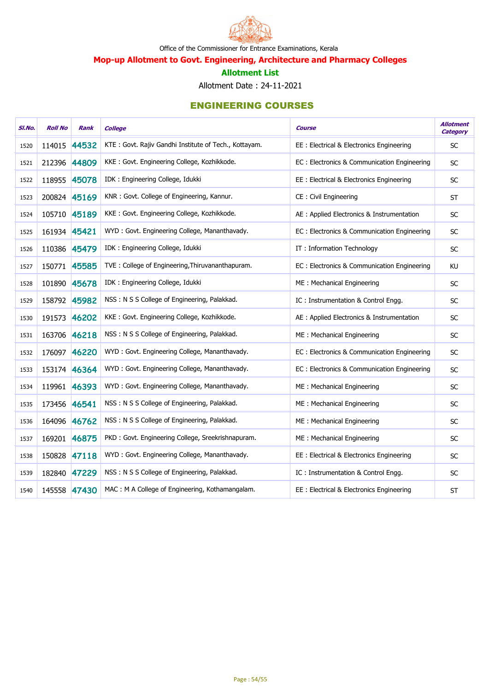

Mop-up Allotment to Govt. Engineering, Architecture and Pharmacy Colleges

#### Allotment List

Allotment Date : 24-11-2021

| SI.No. | <b>Roll No</b> | <b>Rank</b>  | <b>College</b>                                        | <b>Course</b>                               | <b>Allotment</b><br><b>Category</b> |
|--------|----------------|--------------|-------------------------------------------------------|---------------------------------------------|-------------------------------------|
| 1520   | 114015 44532   |              | KTE: Govt. Rajiv Gandhi Institute of Tech., Kottayam. | EE: Electrical & Electronics Engineering    | <b>SC</b>                           |
| 1521   | 212396 44809   |              | KKE: Govt. Engineering College, Kozhikkode.           | EC: Electronics & Communication Engineering | <b>SC</b>                           |
| 1522   | 118955 45078   |              | IDK: Engineering College, Idukki                      | EE : Electrical & Electronics Engineering   | SC                                  |
| 1523   | 200824 45169   |              | KNR: Govt. College of Engineering, Kannur.            | CE: Civil Engineering                       | <b>ST</b>                           |
| 1524   | 105710 45189   |              | KKE: Govt. Engineering College, Kozhikkode.           | AE : Applied Electronics & Instrumentation  | <b>SC</b>                           |
| 1525   | 161934 45421   |              | WYD: Govt. Engineering College, Mananthavady.         | EC: Electronics & Communication Engineering | SC                                  |
| 1526   | 110386 45479   |              | IDK: Engineering College, Idukki                      | IT: Information Technology                  | <b>SC</b>                           |
| 1527   | 150771 45585   |              | TVE: College of Engineering, Thiruvananthapuram.      | EC: Electronics & Communication Engineering | <b>KU</b>                           |
| 1528   | 101890 45678   |              | IDK: Engineering College, Idukki                      | ME: Mechanical Engineering                  | $\sf SC$                            |
| 1529   | 158792 45982   |              | NSS: N S S College of Engineering, Palakkad.          | IC: Instrumentation & Control Engg.         | <b>SC</b>                           |
| 1530   | 191573 46202   |              | KKE: Govt. Engineering College, Kozhikkode.           | AE : Applied Electronics & Instrumentation  | $\sf SC$                            |
| 1531   | 163706 46218   |              | NSS: N S S College of Engineering, Palakkad.          | ME: Mechanical Engineering                  | <b>SC</b>                           |
| 1532   | 176097 46220   |              | WYD: Govt. Engineering College, Mananthavady.         | EC: Electronics & Communication Engineering | SC                                  |
| 1533   | 153174 46364   |              | WYD: Govt. Engineering College, Mananthavady.         | EC: Electronics & Communication Engineering | $\sf SC$                            |
| 1534   | 119961 46393   |              | WYD: Govt. Engineering College, Mananthavady.         | ME: Mechanical Engineering                  | <b>SC</b>                           |
| 1535   | 173456 46541   |              | NSS: N S S College of Engineering, Palakkad.          | ME: Mechanical Engineering                  | $\sf SC$                            |
| 1536   |                | 164096 46762 | NSS: N S S College of Engineering, Palakkad.          | ME: Mechanical Engineering                  | SC                                  |
| 1537   | 169201 46875   |              | PKD: Govt. Engineering College, Sreekrishnapuram.     | ME: Mechanical Engineering                  | <b>SC</b>                           |
| 1538   | 150828         | 47118        | WYD: Govt. Engineering College, Mananthavady.         | EE : Electrical & Electronics Engineering   | $\sf SC$                            |
| 1539   | 182840 47229   |              | NSS: N S S College of Engineering, Palakkad.          | IC: Instrumentation & Control Engg.         | <b>SC</b>                           |
| 1540   |                | 145558 47430 | MAC: M A College of Engineering, Kothamangalam.       | EE: Electrical & Electronics Engineering    | <b>ST</b>                           |